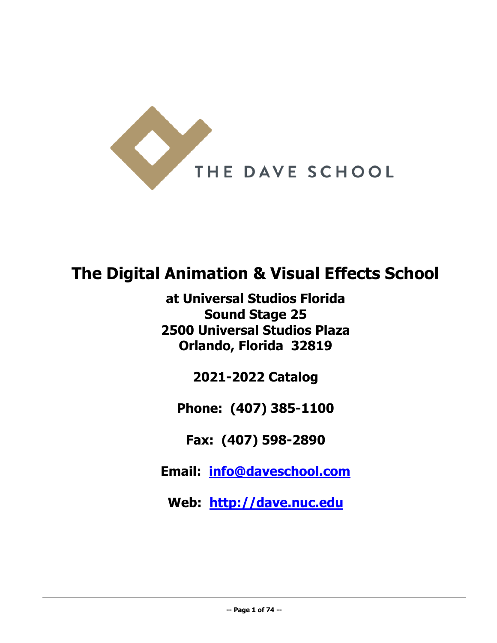

# **The Digital Animation & Visual Effects School**

**at Universal Studios Florida Sound Stage 25 2500 Universal Studios Plaza Orlando, Florida 32819**

**2021-2022 Catalog**

**Phone: (407) 385-1100** 

**Fax: (407) 598-2890** 

**Email: [info@daveschool.com](mailto:info@daveschool.com)** 

**Web: [http://dave.nuc.edu](http://dave.nuc.edu/)**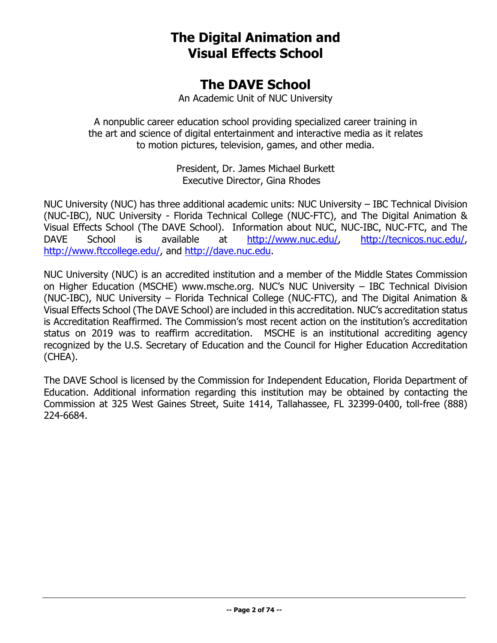## **The Digital Animation and Visual Effects School**

## **The DAVE School**

An Academic Unit of NUC University

A nonpublic career education school providing specialized career training in the art and science of digital entertainment and interactive media as it relates to motion pictures, television, games, and other media.

> President, Dr. James Michael Burkett Executive Director, Gina Rhodes

NUC University (NUC) has three additional academic units: NUC University – IBC Technical Division (NUC-IBC), NUC University - Florida Technical College (NUC-FTC), and The Digital Animation & Visual Effects School (The DAVE School). Information about NUC, NUC-IBC, NUC-FTC, and The DAVE School is available at [http://www.nuc.edu/,](http://www.nuc.edu/) [http://tecnicos.nuc.edu/,](http://tecnicos.nuc.edu/) [http://www.ftccollege.edu/,](http://www.ftccollege.edu/) and [http://dave.nuc.edu.](http://dave.nuc.edu/)

NUC University (NUC) is an accredited institution and a member of the Middle States Commission on Higher Education (MSCHE) www.msche.org. NUC's NUC University – IBC Technical Division (NUC-IBC), NUC University – Florida Technical College (NUC-FTC), and The Digital Animation & Visual Effects School (The DAVE School) are included in this accreditation. NUC's accreditation status is Accreditation Reaffirmed. The Commission's most recent action on the institution's accreditation status on 2019 was to reaffirm accreditation. MSCHE is an institutional accrediting agency recognized by the U.S. Secretary of Education and the Council for Higher Education Accreditation (CHEA).

The DAVE School is licensed by the Commission for Independent Education, Florida Department of Education. Additional information regarding this institution may be obtained by contacting the Commission at 325 West Gaines Street, Suite 1414, Tallahassee, FL 32399-0400, toll-free (888) 224-6684.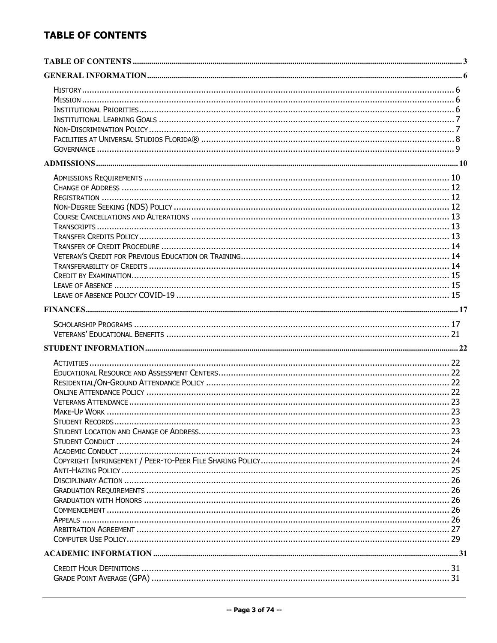## <span id="page-2-0"></span>**TABLE OF CONTENTS**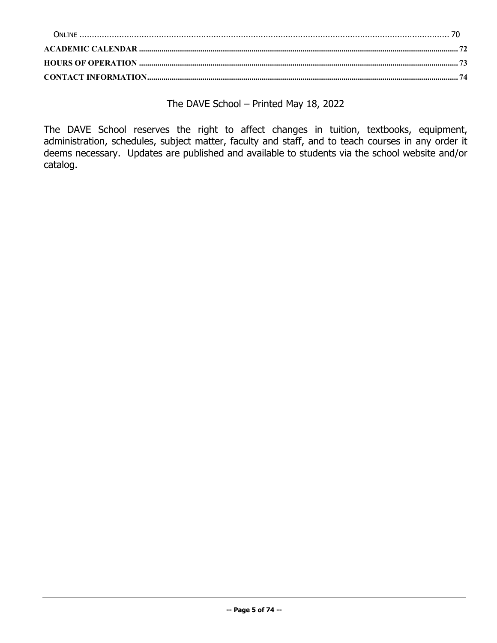The DAVE School – Printed May 18, 2022

The DAVE School reserves the right to affect changes in tuition, textbooks, equipment, administration, schedules, subject matter, faculty and staff, and to teach courses in any order it deems necessary. Updates are published and available to students via the school website and/or catalog.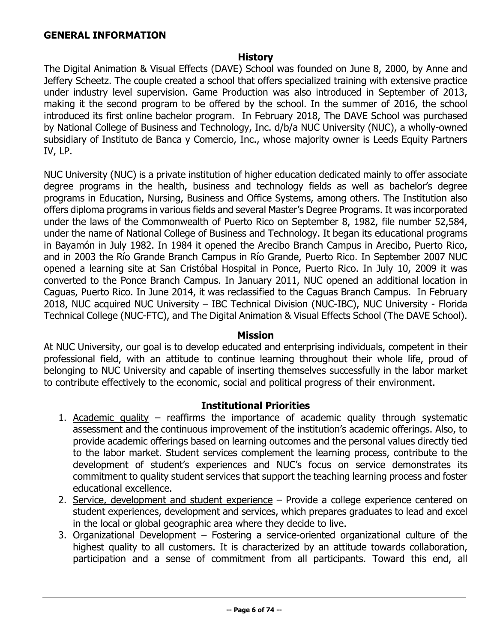#### <span id="page-5-0"></span>**GENERAL INFORMATION**

#### **History**

<span id="page-5-1"></span>The Digital Animation & Visual Effects (DAVE) School was founded on June 8, 2000, by Anne and Jeffery Scheetz. The couple created a school that offers specialized training with extensive practice under industry level supervision. Game Production was also introduced in September of 2013, making it the second program to be offered by the school. In the summer of 2016, the school introduced its first online bachelor program. In February 2018, The DAVE School was purchased by National College of Business and Technology, Inc. d/b/a NUC University (NUC), a wholly-owned subsidiary of Instituto de Banca y Comercio, Inc., whose majority owner is Leeds Equity Partners IV, LP.

NUC University (NUC) is a private institution of higher education dedicated mainly to offer associate degree programs in the health, business and technology fields as well as bachelor's degree programs in Education, Nursing, Business and Office Systems, among others. The Institution also offers diploma programs in various fields and several Master's Degree Programs. It was incorporated under the laws of the Commonwealth of Puerto Rico on September 8, 1982, file number 52,584, under the name of National College of Business and Technology. It began its educational programs in Bayamón in July 1982. In 1984 it opened the Arecibo Branch Campus in Arecibo, Puerto Rico, and in 2003 the Río Grande Branch Campus in Río Grande, Puerto Rico. In September 2007 NUC opened a learning site at San Cristóbal Hospital in Ponce, Puerto Rico. In July 10, 2009 it was converted to the Ponce Branch Campus. In January 2011, NUC opened an additional location in Caguas, Puerto Rico. In June 2014, it was reclassified to the Caguas Branch Campus. In February 2018, NUC acquired NUC University – IBC Technical Division (NUC-IBC), NUC University - Florida Technical College (NUC-FTC), and The Digital Animation & Visual Effects School (The DAVE School).

#### **Mission**

<span id="page-5-2"></span>At NUC University, our goal is to develop educated and enterprising individuals, competent in their professional field, with an attitude to continue learning throughout their whole life, proud of belonging to NUC University and capable of inserting themselves successfully in the labor market to contribute effectively to the economic, social and political progress of their environment.

#### **Institutional Priorities**

- <span id="page-5-3"></span>1. Academic quality – reaffirms the importance of academic quality through systematic assessment and the continuous improvement of the institution's academic offerings. Also, to provide academic offerings based on learning outcomes and the personal values directly tied to the labor market. Student services complement the learning process, contribute to the development of student's experiences and NUC's focus on service demonstrates its commitment to quality student services that support the teaching learning process and foster educational excellence.
- 2. Service, development and student experience Provide a college experience centered on student experiences, development and services, which prepares graduates to lead and excel in the local or global geographic area where they decide to live.
- 3. Organizational Development Fostering a service-oriented organizational culture of the highest quality to all customers. It is characterized by an attitude towards collaboration, participation and a sense of commitment from all participants. Toward this end, all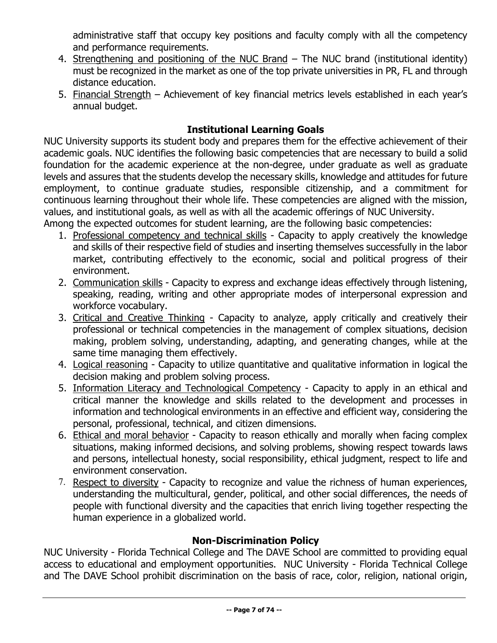administrative staff that occupy key positions and faculty comply with all the competency and performance requirements.

- 4. Strengthening and positioning of the NUC Brand The NUC brand (institutional identity) must be recognized in the market as one of the top private universities in PR, FL and through distance education.
- 5. Financial Strength Achievement of key financial metrics levels established in each year's annual budget.

## **Institutional Learning Goals**

<span id="page-6-0"></span>NUC University supports its student body and prepares them for the effective achievement of their academic goals. NUC identifies the following basic competencies that are necessary to build a solid foundation for the academic experience at the non-degree, under graduate as well as graduate levels and assures that the students develop the necessary skills, knowledge and attitudes for future employment, to continue graduate studies, responsible citizenship, and a commitment for continuous learning throughout their whole life. These competencies are aligned with the mission, values, and institutional goals, as well as with all the academic offerings of NUC University.

Among the expected outcomes for student learning, are the following basic competencies:

- 1. Professional competency and technical skills Capacity to apply creatively the knowledge and skills of their respective field of studies and inserting themselves successfully in the labor market, contributing effectively to the economic, social and political progress of their environment.
- 2. Communication skills Capacity to express and exchange ideas effectively through listening, speaking, reading, writing and other appropriate modes of interpersonal expression and workforce vocabulary.
- 3. Critical and Creative Thinking Capacity to analyze, apply critically and creatively their professional or technical competencies in the management of complex situations, decision making, problem solving, understanding, adapting, and generating changes, while at the same time managing them effectively.
- 4. Logical reasoning Capacity to utilize quantitative and qualitative information in logical the decision making and problem solving process.
- 5. Information Literacy and Technological Competency Capacity to apply in an ethical and critical manner the knowledge and skills related to the development and processes in information and technological environments in an effective and efficient way, considering the personal, professional, technical, and citizen dimensions.
- 6. Ethical and moral behavior Capacity to reason ethically and morally when facing complex situations, making informed decisions, and solving problems, showing respect towards laws and persons, intellectual honesty, social responsibility, ethical judgment, respect to life and environment conservation.
- 7. Respect to diversity Capacity to recognize and value the richness of human experiences, understanding the multicultural, gender, political, and other social differences, the needs of people with functional diversity and the capacities that enrich living together respecting the human experience in a globalized world.

## **Non-Discrimination Policy**

<span id="page-6-1"></span>NUC University - Florida Technical College and The DAVE School are committed to providing equal access to educational and employment opportunities. NUC University - Florida Technical College and The DAVE School prohibit discrimination on the basis of race, color, religion, national origin,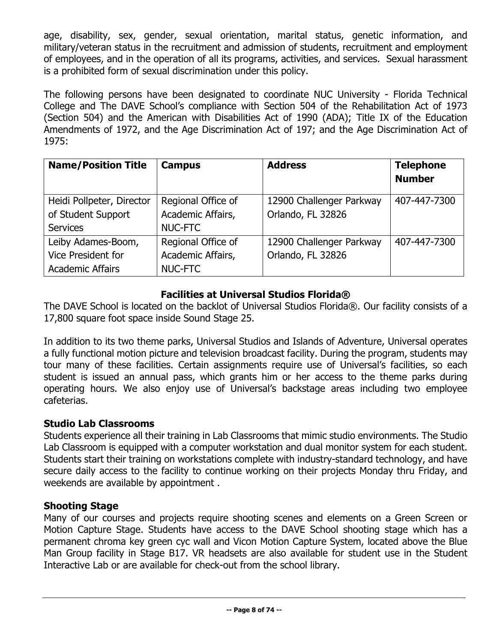age, disability, sex, gender, sexual orientation, marital status, genetic information, and military/veteran status in the recruitment and admission of students, recruitment and employment of employees, and in the operation of all its programs, activities, and services. Sexual harassment is a prohibited form of sexual discrimination under this policy.

The following persons have been designated to coordinate NUC University - Florida Technical College and The DAVE School's compliance with Section 504 of the Rehabilitation Act of 1973 (Section 504) and the American with Disabilities Act of 1990 (ADA); Title IX of the Education Amendments of 1972, and the Age Discrimination Act of 197; and the Age Discrimination Act of 1975:

| <b>Name/Position Title</b> | <b>Campus</b>      | <b>Address</b>           | <b>Telephone</b><br><b>Number</b> |  |
|----------------------------|--------------------|--------------------------|-----------------------------------|--|
|                            |                    |                          |                                   |  |
| Heidi Pollpeter, Director  | Regional Office of | 12900 Challenger Parkway | 407-447-7300                      |  |
| of Student Support         | Academic Affairs,  | Orlando, FL 32826        |                                   |  |
| <b>Services</b>            | <b>NUC-FTC</b>     |                          |                                   |  |
| Leiby Adames-Boom,         | Regional Office of | 12900 Challenger Parkway | 407-447-7300                      |  |
| <b>Vice President for</b>  | Academic Affairs,  | Orlando, FL 32826        |                                   |  |
| <b>Academic Affairs</b>    | <b>NUC-FTC</b>     |                          |                                   |  |

## **Facilities at Universal Studios Florida®**

<span id="page-7-0"></span>The DAVE School is located on the backlot of Universal Studios Florida®. Our facility consists of a 17,800 square foot space inside Sound Stage 25.

In addition to its two theme parks, Universal Studios and Islands of Adventure, Universal operates a fully functional motion picture and television broadcast facility. During the program, students may tour many of these facilities. Certain assignments require use of Universal's facilities, so each student is issued an annual pass, which grants him or her access to the theme parks during operating hours. We also enjoy use of Universal's backstage areas including two employee cafeterias.

## **Studio Lab Classrooms**

Students experience all their training in Lab Classrooms that mimic studio environments. The Studio Lab Classroom is equipped with a computer workstation and dual monitor system for each student. Students start their training on workstations complete with industry-standard technology, and have secure daily access to the facility to continue working on their projects Monday thru Friday, and weekends are available by appointment .

## **Shooting Stage**

Many of our courses and projects require shooting scenes and elements on a Green Screen or Motion Capture Stage. Students have access to the DAVE School shooting stage which has a permanent chroma key green cyc wall and Vicon Motion Capture System, located above the Blue Man Group facility in Stage B17. VR headsets are also available for student use in the Student Interactive Lab or are available for check-out from the school library.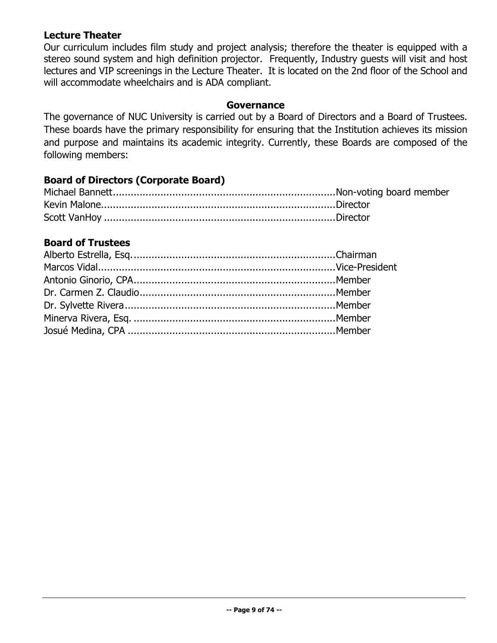## **Lecture Theater**

Our curriculum includes film study and project analysis; therefore the theater is equipped with a stereo sound system and high definition projector. Frequently, Industry guests will visit and host lectures and VIP screenings in the Lecture Theater. It is located on the 2nd floor of the School and will accommodate wheelchairs and is ADA compliant.

#### **Governance**

<span id="page-8-0"></span>The governance of NUC University is carried out by a Board of Directors and a Board of Trustees. These boards have the primary responsibility for ensuring that the Institution achieves its mission and purpose and maintains its academic integrity. Currently, these Boards are composed of the following members:

## **Board of Directors (Corporate Board)**

## **Board of Trustees**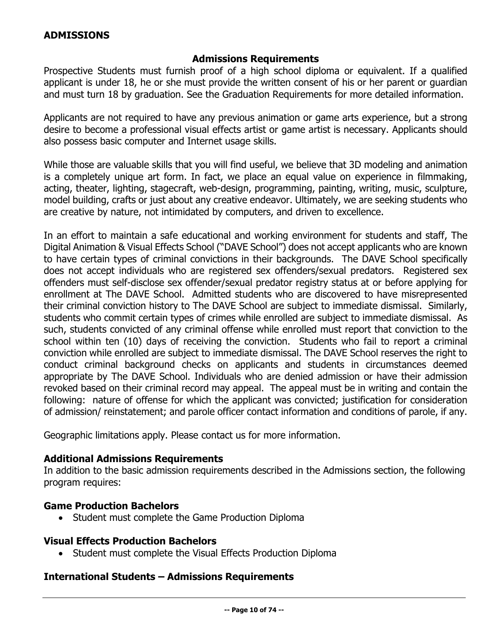## <span id="page-9-0"></span>**ADMISSIONS**

### **Admissions Requirements**

<span id="page-9-1"></span>Prospective Students must furnish proof of a high school diploma or equivalent. If a qualified applicant is under 18, he or she must provide the written consent of his or her parent or guardian and must turn 18 by graduation. See the Graduation Requirements for more detailed information.

Applicants are not required to have any previous animation or game arts experience, but a strong desire to become a professional visual effects artist or game artist is necessary. Applicants should also possess basic computer and Internet usage skills.

While those are valuable skills that you will find useful, we believe that 3D modeling and animation is a completely unique art form. In fact, we place an equal value on experience in filmmaking, acting, theater, lighting, stagecraft, web-design, programming, painting, writing, music, sculpture, model building, crafts or just about any creative endeavor. Ultimately, we are seeking students who are creative by nature, not intimidated by computers, and driven to excellence.

In an effort to maintain a safe educational and working environment for students and staff, The Digital Animation & Visual Effects School ("DAVE School") does not accept applicants who are known to have certain types of criminal convictions in their backgrounds. The DAVE School specifically does not accept individuals who are registered sex offenders/sexual predators. Registered sex offenders must self-disclose sex offender/sexual predator registry status at or before applying for enrollment at The DAVE School. Admitted students who are discovered to have misrepresented their criminal conviction history to The DAVE School are subject to immediate dismissal. Similarly, students who commit certain types of crimes while enrolled are subject to immediate dismissal. As such, students convicted of any criminal offense while enrolled must report that conviction to the school within ten (10) days of receiving the conviction. Students who fail to report a criminal conviction while enrolled are subject to immediate dismissal. The DAVE School reserves the right to conduct criminal background checks on applicants and students in circumstances deemed appropriate by The DAVE School. Individuals who are denied admission or have their admission revoked based on their criminal record may appeal. The appeal must be in writing and contain the following: nature of offense for which the applicant was convicted; justification for consideration of admission/ reinstatement; and parole officer contact information and conditions of parole, if any.

Geographic limitations apply. Please contact us for more information.

## **Additional Admissions Requirements**

In addition to the basic admission requirements described in the Admissions section, the following program requires:

#### **Game Production Bachelors**

• Student must complete the Game Production Diploma

#### **Visual Effects Production Bachelors**

• Student must complete the Visual Effects Production Diploma

#### **International Students – Admissions Requirements**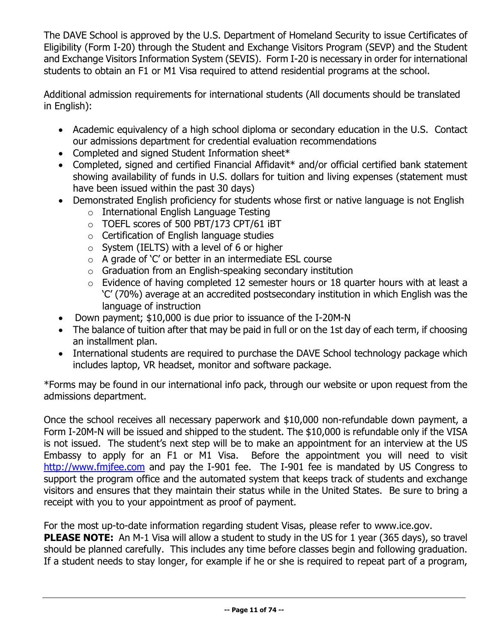The DAVE School is approved by the U.S. Department of Homeland Security to issue Certificates of Eligibility (Form I-20) through the Student and Exchange Visitors Program (SEVP) and the Student and Exchange Visitors Information System (SEVIS). Form I-20 is necessary in order for international students to obtain an F1 or M1 Visa required to attend residential programs at the school.

Additional admission requirements for international students (All documents should be translated in English):

- Academic equivalency of a high school diploma or secondary education in the U.S. Contact our admissions department for credential evaluation recommendations
- Completed and signed Student Information sheet\*
- Completed, signed and certified Financial Affidavit<sup>\*</sup> and/or official certified bank statement showing availability of funds in U.S. dollars for tuition and living expenses (statement must have been issued within the past 30 days)
- Demonstrated English proficiency for students whose first or native language is not English
	- o International English Language Testing
	- o TOEFL scores of 500 PBT/173 CPT/61 iBT
	- o Certification of English language studies
	- $\circ$  System (IELTS) with a level of 6 or higher
	- $\circ$  A grade of 'C' or better in an intermediate ESL course
	- o Graduation from an English-speaking secondary institution
	- o Evidence of having completed 12 semester hours or 18 quarter hours with at least a 'C' (70%) average at an accredited postsecondary institution in which English was the language of instruction
- Down payment; \$10,000 is due prior to issuance of the I-20M-N
- The balance of tuition after that may be paid in full or on the 1st day of each term, if choosing an installment plan.
- International students are required to purchase the DAVE School technology package which includes laptop, VR headset, monitor and software package.

\*Forms may be found in our international info pack, through our website or upon request from the admissions department.

Once the school receives all necessary paperwork and \$10,000 non-refundable down payment, a Form I-20M-N will be issued and shipped to the student. The \$10,000 is refundable only if the VISA is not issued. The student's next step will be to make an appointment for an interview at the US Embassy to apply for an F1 or M1 Visa. Before the appointment you will need to visit [http://www.fmjfee.com](http://www.fmjfee.com/) and pay the I-901 fee. The I-901 fee is mandated by US Congress to support the program office and the automated system that keeps track of students and exchange visitors and ensures that they maintain their status while in the United States. Be sure to bring a receipt with you to your appointment as proof of payment.

For the most up-to-date information regarding student Visas, please refer to www.ice.gov.

**PLEASE NOTE:** An M-1 Visa will allow a student to study in the US for 1 year (365 days), so travel should be planned carefully. This includes any time before classes begin and following graduation. If a student needs to stay longer, for example if he or she is required to repeat part of a program,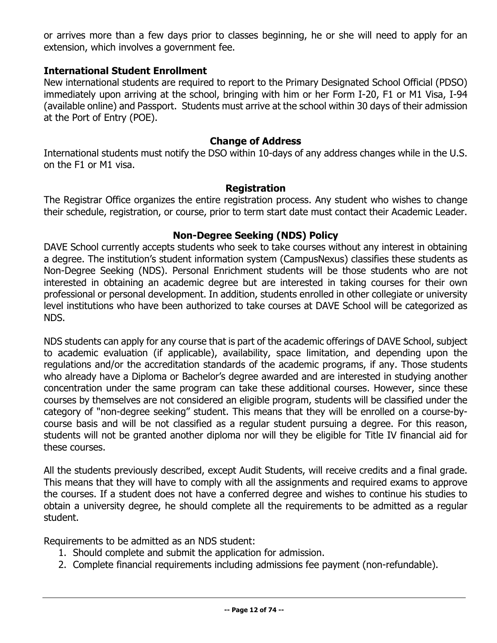or arrives more than a few days prior to classes beginning, he or she will need to apply for an extension, which involves a government fee.

## **International Student Enrollment**

New international students are required to report to the Primary Designated School Official (PDSO) immediately upon arriving at the school, bringing with him or her Form I-20, F1 or M1 Visa, I-94 (available online) and Passport. Students must arrive at the school within 30 days of their admission at the Port of Entry (POE).

#### **Change of Address**

<span id="page-11-0"></span>International students must notify the DSO within 10-days of any address changes while in the U.S. on the F1 or M1 visa.

#### **Registration**

<span id="page-11-1"></span>The Registrar Office organizes the entire registration process. Any student who wishes to change their schedule, registration, or course, prior to term start date must contact their Academic Leader.

#### **Non-Degree Seeking (NDS) Policy**

<span id="page-11-2"></span>DAVE School currently accepts students who seek to take courses without any interest in obtaining a degree. The institution's student information system (CampusNexus) classifies these students as Non-Degree Seeking (NDS). Personal Enrichment students will be those students who are not interested in obtaining an academic degree but are interested in taking courses for their own professional or personal development. In addition, students enrolled in other collegiate or university level institutions who have been authorized to take courses at DAVE School will be categorized as NDS.

NDS students can apply for any course that is part of the academic offerings of DAVE School, subject to academic evaluation (if applicable), availability, space limitation, and depending upon the regulations and/or the accreditation standards of the academic programs, if any. Those students who already have a Diploma or Bachelor's degree awarded and are interested in studying another concentration under the same program can take these additional courses. However, since these courses by themselves are not considered an eligible program, students will be classified under the category of "non-degree seeking" student. This means that they will be enrolled on a course-bycourse basis and will be not classified as a regular student pursuing a degree. For this reason, students will not be granted another diploma nor will they be eligible for Title IV financial aid for these courses.

All the students previously described, except Audit Students, will receive credits and a final grade. This means that they will have to comply with all the assignments and required exams to approve the courses. If a student does not have a conferred degree and wishes to continue his studies to obtain a university degree, he should complete all the requirements to be admitted as a regular student.

Requirements to be admitted as an NDS student:

- 1. Should complete and submit the application for admission.
- 2. Complete financial requirements including admissions fee payment (non-refundable).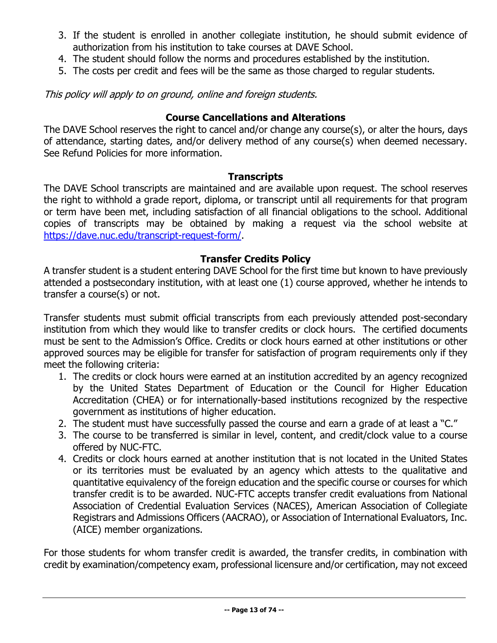- 3. If the student is enrolled in another collegiate institution, he should submit evidence of authorization from his institution to take courses at DAVE School.
- 4. The student should follow the norms and procedures established by the institution.
- 5. The costs per credit and fees will be the same as those charged to regular students.

This policy will apply to on ground, online and foreign students.

## **Course Cancellations and Alterations**

<span id="page-12-0"></span>The DAVE School reserves the right to cancel and/or change any course(s), or alter the hours, days of attendance, starting dates, and/or delivery method of any course(s) when deemed necessary. See Refund Policies for more information.

## **Transcripts**

<span id="page-12-1"></span>The DAVE School transcripts are maintained and are available upon request. The school reserves the right to withhold a grade report, diploma, or transcript until all requirements for that program or term have been met, including satisfaction of all financial obligations to the school. Additional copies of transcripts may be obtained by making a request via the school website at [https://dave.nuc.edu/transcript-request-form/.](https://dave.nuc.edu/transcript-request-form/)

## **Transfer Credits Policy**

<span id="page-12-2"></span>A transfer student is a student entering DAVE School for the first time but known to have previously attended a postsecondary institution, with at least one (1) course approved, whether he intends to transfer a course(s) or not.

Transfer students must submit official transcripts from each previously attended post-secondary institution from which they would like to transfer credits or clock hours. The certified documents must be sent to the Admission's Office. Credits or clock hours earned at other institutions or other approved sources may be eligible for transfer for satisfaction of program requirements only if they meet the following criteria:

- 1. The credits or clock hours were earned at an institution accredited by an agency recognized by the United States Department of Education or the Council for Higher Education Accreditation (CHEA) or for internationally-based institutions recognized by the respective government as institutions of higher education.
- 2. The student must have successfully passed the course and earn a grade of at least a "C."
- 3. The course to be transferred is similar in level, content, and credit/clock value to a course offered by NUC-FTC.
- 4. Credits or clock hours earned at another institution that is not located in the United States or its territories must be evaluated by an agency which attests to the qualitative and quantitative equivalency of the foreign education and the specific course or courses for which transfer credit is to be awarded. NUC-FTC accepts transfer credit evaluations from National Association of Credential Evaluation Services (NACES), American Association of Collegiate Registrars and Admissions Officers (AACRAO), or Association of International Evaluators, Inc. (AICE) member organizations.

For those students for whom transfer credit is awarded, the transfer credits, in combination with credit by examination/competency exam, professional licensure and/or certification, may not exceed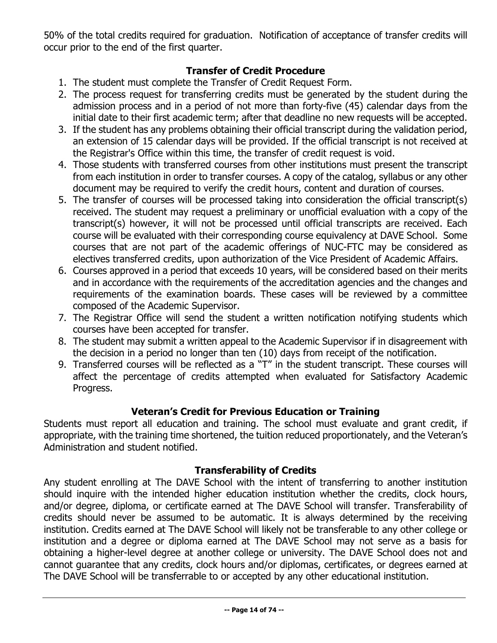50% of the total credits required for graduation. Notification of acceptance of transfer credits will occur prior to the end of the first quarter.

## **Transfer of Credit Procedure**

- <span id="page-13-0"></span>1. The student must complete the Transfer of Credit Request Form.
- 2. The process request for transferring credits must be generated by the student during the admission process and in a period of not more than forty-five (45) calendar days from the initial date to their first academic term; after that deadline no new requests will be accepted.
- 3. If the student has any problems obtaining their official transcript during the validation period, an extension of 15 calendar days will be provided. If the official transcript is not received at the Registrar's Office within this time, the transfer of credit request is void.
- 4. Those students with transferred courses from other institutions must present the transcript from each institution in order to transfer courses. A copy of the catalog, syllabus or any other document may be required to verify the credit hours, content and duration of courses.
- 5. The transfer of courses will be processed taking into consideration the official transcript(s) received. The student may request a preliminary or unofficial evaluation with a copy of the transcript(s) however, it will not be processed until official transcripts are received. Each course will be evaluated with their corresponding course equivalency at DAVE School. Some courses that are not part of the academic offerings of NUC-FTC may be considered as electives transferred credits, upon authorization of the Vice President of Academic Affairs.
- 6. Courses approved in a period that exceeds 10 years, will be considered based on their merits and in accordance with the requirements of the accreditation agencies and the changes and requirements of the examination boards. These cases will be reviewed by a committee composed of the Academic Supervisor.
- 7. The Registrar Office will send the student a written notification notifying students which courses have been accepted for transfer.
- 8. The student may submit a written appeal to the Academic Supervisor if in disagreement with the decision in a period no longer than ten (10) days from receipt of the notification.
- 9. Transferred courses will be reflected as a "T" in the student transcript. These courses will affect the percentage of credits attempted when evaluated for Satisfactory Academic Progress.

## **Veteran's Credit for Previous Education or Training**

<span id="page-13-1"></span>Students must report all education and training. The school must evaluate and grant credit, if appropriate, with the training time shortened, the tuition reduced proportionately, and the Veteran's Administration and student notified.

## **Transferability of Credits**

<span id="page-13-2"></span>Any student enrolling at The DAVE School with the intent of transferring to another institution should inquire with the intended higher education institution whether the credits, clock hours, and/or degree, diploma, or certificate earned at The DAVE School will transfer. Transferability of credits should never be assumed to be automatic. It is always determined by the receiving institution. Credits earned at The DAVE School will likely not be transferable to any other college or institution and a degree or diploma earned at The DAVE School may not serve as a basis for obtaining a higher-level degree at another college or university. The DAVE School does not and cannot guarantee that any credits, clock hours and/or diplomas, certificates, or degrees earned at The DAVE School will be transferrable to or accepted by any other educational institution.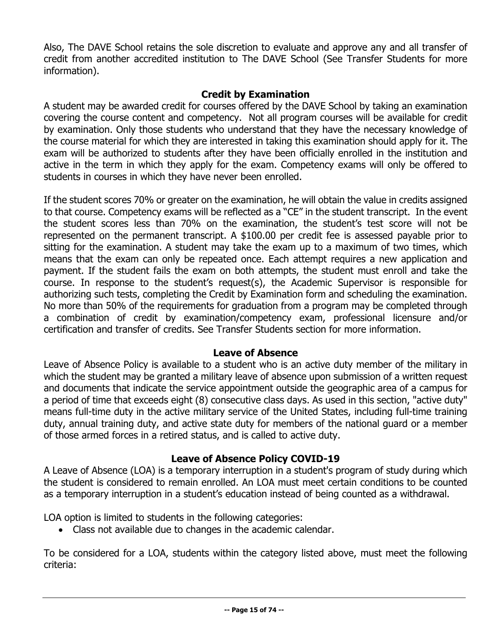Also, The DAVE School retains the sole discretion to evaluate and approve any and all transfer of credit from another accredited institution to The DAVE School (See Transfer Students for more information).

## **Credit by Examination**

<span id="page-14-0"></span>A student may be awarded credit for courses offered by the DAVE School by taking an examination covering the course content and competency. Not all program courses will be available for credit by examination. Only those students who understand that they have the necessary knowledge of the course material for which they are interested in taking this examination should apply for it. The exam will be authorized to students after they have been officially enrolled in the institution and active in the term in which they apply for the exam. Competency exams will only be offered to students in courses in which they have never been enrolled.

If the student scores 70% or greater on the examination, he will obtain the value in credits assigned to that course. Competency exams will be reflected as a "CE" in the student transcript. In the event the student scores less than 70% on the examination, the student's test score will not be represented on the permanent transcript. A \$100.00 per credit fee is assessed payable prior to sitting for the examination. A student may take the exam up to a maximum of two times, which means that the exam can only be repeated once. Each attempt requires a new application and payment. If the student fails the exam on both attempts, the student must enroll and take the course. In response to the student's request(s), the Academic Supervisor is responsible for authorizing such tests, completing the Credit by Examination form and scheduling the examination. No more than 50% of the requirements for graduation from a program may be completed through a combination of credit by examination/competency exam, professional licensure and/or certification and transfer of credits. See Transfer Students section for more information.

## **Leave of Absence**

<span id="page-14-1"></span>Leave of Absence Policy is available to a student who is an active duty member of the military in which the student may be granted a military leave of absence upon submission of a written request and documents that indicate the service appointment outside the geographic area of a campus for a period of time that exceeds eight (8) consecutive class days. As used in this section, "active duty" means full-time duty in the active military service of the United States, including full-time training duty, annual training duty, and active state duty for members of the national guard or a member of those armed forces in a retired status, and is called to active duty.

## **Leave of Absence Policy COVID-19**

<span id="page-14-2"></span>A Leave of Absence (LOA) is a temporary interruption in a student's program of study during which the student is considered to remain enrolled. An LOA must meet certain conditions to be counted as a temporary interruption in a student's education instead of being counted as a withdrawal.

LOA option is limited to students in the following categories:

• Class not available due to changes in the academic calendar.

To be considered for a LOA, students within the category listed above, must meet the following criteria: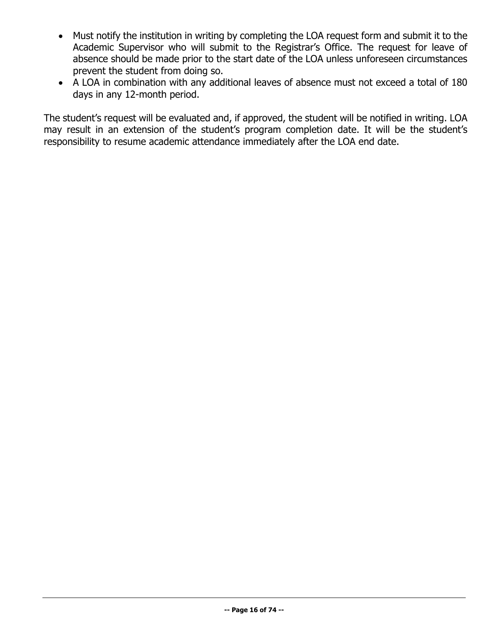- Must notify the institution in writing by completing the LOA request form and submit it to the Academic Supervisor who will submit to the Registrar's Office. The request for leave of absence should be made prior to the start date of the LOA unless unforeseen circumstances prevent the student from doing so.
- A LOA in combination with any additional leaves of absence must not exceed a total of 180 days in any 12-month period.

The student's request will be evaluated and, if approved, the student will be notified in writing. LOA may result in an extension of the student's program completion date. It will be the student's responsibility to resume academic attendance immediately after the LOA end date.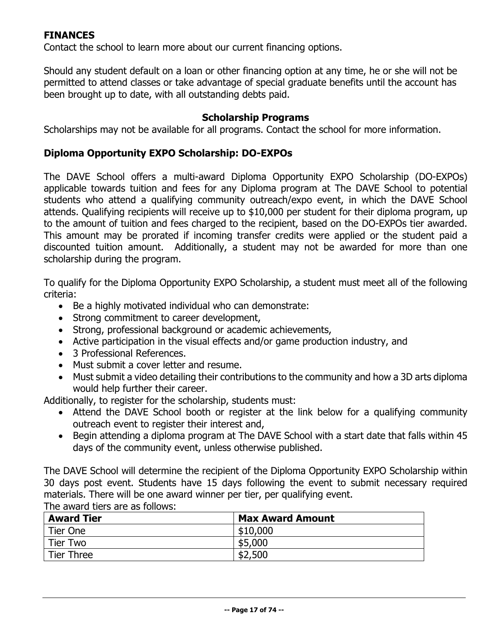## <span id="page-16-0"></span>**FINANCES**

Contact the school to learn more about our current financing options.

Should any student default on a loan or other financing option at any time, he or she will not be permitted to attend classes or take advantage of special graduate benefits until the account has been brought up to date, with all outstanding debts paid.

#### **Scholarship Programs**

<span id="page-16-1"></span>Scholarships may not be available for all programs. Contact the school for more information.

#### **Diploma Opportunity EXPO Scholarship: DO-EXPOs**

The DAVE School offers a multi-award Diploma Opportunity EXPO Scholarship (DO-EXPOs) applicable towards tuition and fees for any Diploma program at The DAVE School to potential students who attend a qualifying community outreach/expo event, in which the DAVE School attends. Qualifying recipients will receive up to \$10,000 per student for their diploma program, up to the amount of tuition and fees charged to the recipient, based on the DO-EXPOs tier awarded. This amount may be prorated if incoming transfer credits were applied or the student paid a discounted tuition amount. Additionally, a student may not be awarded for more than one scholarship during the program.

To qualify for the Diploma Opportunity EXPO Scholarship, a student must meet all of the following criteria:

- Be a highly motivated individual who can demonstrate:
- Strong commitment to career development,
- Strong, professional background or academic achievements,
- Active participation in the visual effects and/or game production industry, and
- 3 Professional References.
- Must submit a cover letter and resume.
- Must submit a video detailing their contributions to the community and how a 3D arts diploma would help further their career.

Additionally, to register for the scholarship, students must:

- Attend the DAVE School booth or register at the link below for a qualifying community outreach event to register their interest and,
- Begin attending a diploma program at The DAVE School with a start date that falls within 45 days of the community event, unless otherwise published.

The DAVE School will determine the recipient of the Diploma Opportunity EXPO Scholarship within 30 days post event. Students have 15 days following the event to submit necessary required materials. There will be one award winner per tier, per qualifying event. The award tiers are as follows:

| <b>Award Tier</b> | <b>Max Award Amount</b> |  |
|-------------------|-------------------------|--|
| Tier One          | \$10,000                |  |
| Tier Two          | \$5,000                 |  |
| <b>Tier Three</b> | \$2,500                 |  |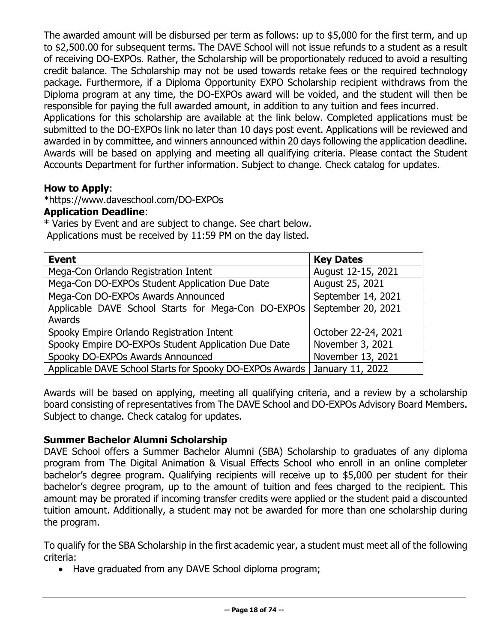The awarded amount will be disbursed per term as follows: up to \$5,000 for the first term, and up to \$2,500.00 for subsequent terms. The DAVE School will not issue refunds to a student as a result of receiving DO-EXPOs. Rather, the Scholarship will be proportionately reduced to avoid a resulting credit balance. The Scholarship may not be used towards retake fees or the required technology package. Furthermore, if a Diploma Opportunity EXPO Scholarship recipient withdraws from the Diploma program at any time, the DO-EXPOs award will be voided, and the student will then be responsible for paying the full awarded amount, in addition to any tuition and fees incurred. Applications for this scholarship are available at the link below. Completed applications must be submitted to the DO-EXPOs link no later than 10 days post event. Applications will be reviewed and awarded in by committee, and winners announced within 20 days following the application deadline. Awards will be based on applying and meeting all qualifying criteria. Please contact the Student Accounts Department for further information. Subject to change. Check catalog for updates.

## **How to Apply**:

\*https://www.daveschool.com/DO-EXPOs

## **Application Deadline**:

\* Varies by Event and are subject to change. See chart below. Applications must be received by 11:59 PM on the day listed.

| <b>Event</b>                                             | <b>Key Dates</b>    |  |
|----------------------------------------------------------|---------------------|--|
| Mega-Con Orlando Registration Intent                     | August 12-15, 2021  |  |
| Mega-Con DO-EXPOs Student Application Due Date           | August 25, 2021     |  |
| Mega-Con DO-EXPOs Awards Announced                       | September 14, 2021  |  |
| Applicable DAVE School Starts for Mega-Con DO-EXPOs      | September 20, 2021  |  |
| Awards                                                   |                     |  |
| Spooky Empire Orlando Registration Intent                | October 22-24, 2021 |  |
| Spooky Empire DO-EXPOs Student Application Due Date      | November 3, 2021    |  |
| Spooky DO-EXPOs Awards Announced                         | November 13, 2021   |  |
| Applicable DAVE School Starts for Spooky DO-EXPOs Awards | January 11, 2022    |  |

Awards will be based on applying, meeting all qualifying criteria, and a review by a scholarship board consisting of representatives from The DAVE School and DO-EXPOs Advisory Board Members. Subject to change. Check catalog for updates.

## **Summer Bachelor Alumni Scholarship**

DAVE School offers a Summer Bachelor Alumni (SBA) Scholarship to graduates of any diploma program from The Digital Animation & Visual Effects School who enroll in an online completer bachelor's degree program. Qualifying recipients will receive up to \$5,000 per student for their bachelor's degree program, up to the amount of tuition and fees charged to the recipient. This amount may be prorated if incoming transfer credits were applied or the student paid a discounted tuition amount. Additionally, a student may not be awarded for more than one scholarship during the program.

To qualify for the SBA Scholarship in the first academic year, a student must meet all of the following criteria:

• Have graduated from any DAVE School diploma program;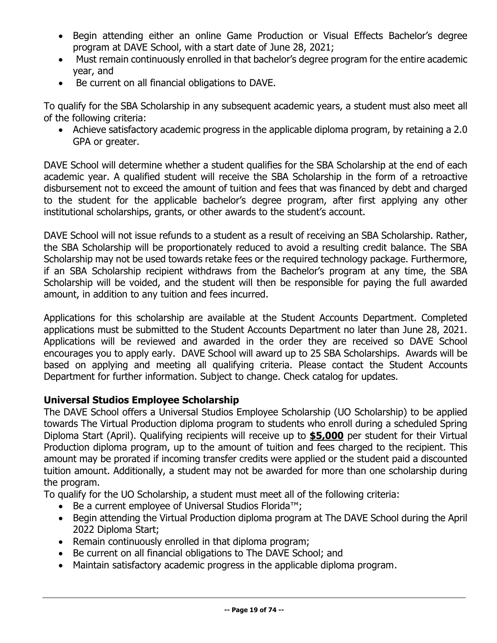- Begin attending either an online Game Production or Visual Effects Bachelor's degree program at DAVE School, with a start date of June 28, 2021;
- Must remain continuously enrolled in that bachelor's degree program for the entire academic year, and
- Be current on all financial obligations to DAVE.

To qualify for the SBA Scholarship in any subsequent academic years, a student must also meet all of the following criteria:

• Achieve satisfactory academic progress in the applicable diploma program, by retaining a 2.0 GPA or greater.

DAVE School will determine whether a student qualifies for the SBA Scholarship at the end of each academic year. A qualified student will receive the SBA Scholarship in the form of a retroactive disbursement not to exceed the amount of tuition and fees that was financed by debt and charged to the student for the applicable bachelor's degree program, after first applying any other institutional scholarships, grants, or other awards to the student's account.

DAVE School will not issue refunds to a student as a result of receiving an SBA Scholarship. Rather, the SBA Scholarship will be proportionately reduced to avoid a resulting credit balance. The SBA Scholarship may not be used towards retake fees or the required technology package. Furthermore, if an SBA Scholarship recipient withdraws from the Bachelor's program at any time, the SBA Scholarship will be voided, and the student will then be responsible for paying the full awarded amount, in addition to any tuition and fees incurred.

Applications for this scholarship are available at the Student Accounts Department. Completed applications must be submitted to the Student Accounts Department no later than June 28, 2021. Applications will be reviewed and awarded in the order they are received so DAVE School encourages you to apply early. DAVE School will award up to 25 SBA Scholarships. Awards will be based on applying and meeting all qualifying criteria. Please contact the Student Accounts Department for further information. Subject to change. Check catalog for updates.

## **Universal Studios Employee Scholarship**

The DAVE School offers a Universal Studios Employee Scholarship (UO Scholarship) to be applied towards The Virtual Production diploma program to students who enroll during a scheduled Spring Diploma Start (April). Qualifying recipients will receive up to **\$5,000** per student for their Virtual Production diploma program, up to the amount of tuition and fees charged to the recipient. This amount may be prorated if incoming transfer credits were applied or the student paid a discounted tuition amount. Additionally, a student may not be awarded for more than one scholarship during the program.

To qualify for the UO Scholarship, a student must meet all of the following criteria:

- Be a current employee of Universal Studios Florida™;
- Begin attending the Virtual Production diploma program at The DAVE School during the April 2022 Diploma Start;
- Remain continuously enrolled in that diploma program;
- Be current on all financial obligations to The DAVE School; and
- Maintain satisfactory academic progress in the applicable diploma program .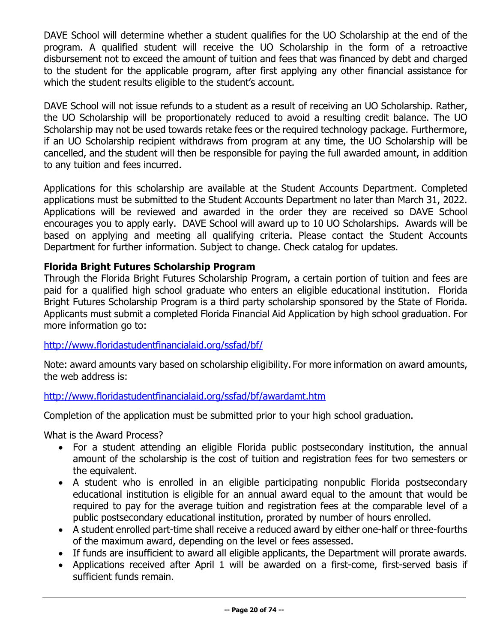DAVE School will determine whether a student qualifies for the UO Scholarship at the end of the program. A qualified student will receive the UO Scholarship in the form of a retroactive disbursement not to exceed the amount of tuition and fees that was financed by debt and charged to the student for the applicable program, after first applying any other financial assistance for which the student results eligible to the student's account.

DAVE School will not issue refunds to a student as a result of receiving an UO Scholarship. Rather, the UO Scholarship will be proportionately reduced to avoid a resulting credit balance. The UO Scholarship may not be used towards retake fees or the required technology package. Furthermore, if an UO Scholarship recipient withdraws from program at any time, the UO Scholarship will be cancelled, and the student will then be responsible for paying the full awarded amount, in addition to any tuition and fees incurred.

Applications for this scholarship are available at the Student Accounts Department. Completed applications must be submitted to the Student Accounts Department no later than March 31, 2022. Applications will be reviewed and awarded in the order they are received so DAVE School encourages you to apply early. DAVE School will award up to 10 UO Scholarships. Awards will be based on applying and meeting all qualifying criteria. Please contact the Student Accounts Department for further information. Subject to change. Check catalog for updates.

## **Florida Bright Futures Scholarship Program**

Through the Florida Bright Futures Scholarship Program, a certain portion of tuition and fees are paid for a qualified high school graduate who enters an eligible educational institution. Florida Bright Futures Scholarship Program is a third party scholarship sponsored by the State of Florida. Applicants must submit a completed Florida Financial Aid Application by high school graduation. For more information go to:

## <http://www.floridastudentfinancialaid.org/ssfad/bf/>

Note: award amounts vary based on scholarship eligibility. For more information on award amounts, the web address is:

## <http://www.floridastudentfinancialaid.org/ssfad/bf/awardamt.htm>

Completion of the application must be submitted prior to your high school graduation.

What is the Award Process?

- For a student attending an eligible Florida public postsecondary institution, the annual amount of the scholarship is the cost of tuition and registration fees for two semesters or the equivalent.
- A student who is enrolled in an eligible participating nonpublic Florida postsecondary educational institution is eligible for an annual award equal to the amount that would be required to pay for the average tuition and registration fees at the comparable level of a public postsecondary educational institution, prorated by number of hours enrolled.
- A student enrolled part-time shall receive a reduced award by either one-half or three-fourths of the maximum award, depending on the level or fees assessed.
- If funds are insufficient to award all eligible applicants, the Department will prorate awards.
- Applications received after April 1 will be awarded on a first-come, first-served basis if sufficient funds remain.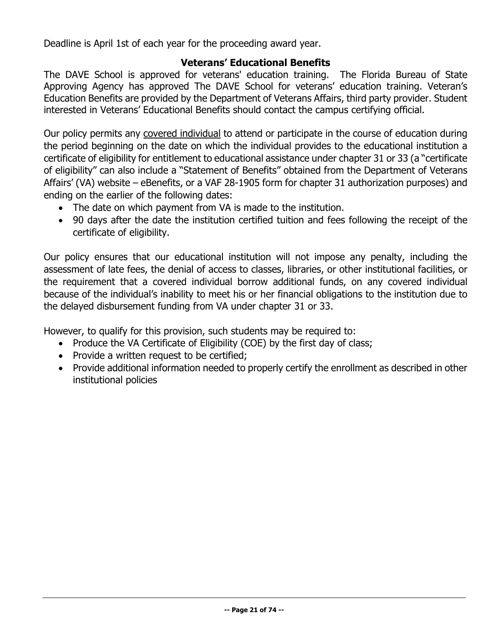Deadline is April 1st of each year for the proceeding award year.

## **Veterans' Educational Benefits**

<span id="page-20-0"></span>The DAVE School is approved for veterans' education training. The Florida Bureau of State Approving Agency has approved The DAVE School for veterans' education training. Veteran's Education Benefits are provided by the Department of Veterans Affairs, third party provider. Student interested in Veterans' Educational Benefits should contact the campus certifying official.

Our policy permits any covered individual to attend or participate in the course of education during the period beginning on the date on which the individual provides to the educational institution a certificate of eligibility for entitlement to educational assistance under chapter 31 or 33 (a "certificate of eligibility" can also include a "Statement of Benefits" obtained from the Department of Veterans Affairs' (VA) website – eBenefits, or a VAF 28-1905 form for chapter 31 authorization purposes) and ending on the earlier of the following dates:

- The date on which payment from VA is made to the institution.
- 90 days after the date the institution certified tuition and fees following the receipt of the certificate of eligibility.

Our policy ensures that our educational institution will not impose any penalty, including the assessment of late fees, the denial of access to classes, libraries, or other institutional facilities, or the requirement that a covered individual borrow additional funds, on any covered individual because of the individual's inability to meet his or her financial obligations to the institution due to the delayed disbursement funding from VA under chapter 31 or 33.

However, to qualify for this provision, such students may be required to:

- Produce the VA Certificate of Eligibility (COE) by the first day of class;
- Provide a written request to be certified;
- Provide additional information needed to properly certify the enrollment as described in other institutional policies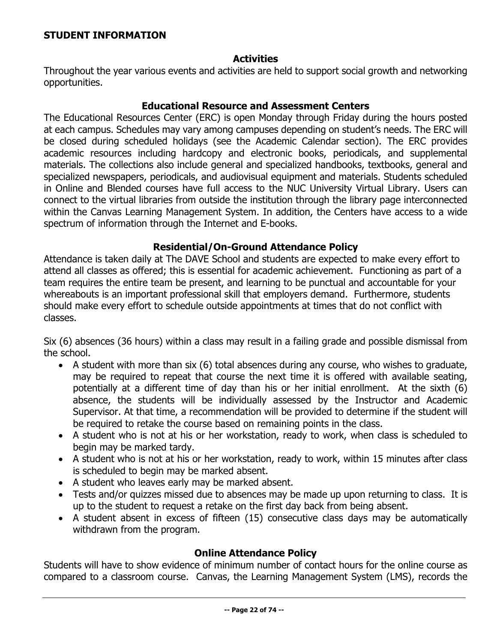#### <span id="page-21-0"></span>**STUDENT INFORMATION**

#### **Activities**

<span id="page-21-1"></span>Throughout the year various events and activities are held to support social growth and networking opportunities.

#### **Educational Resource and Assessment Centers**

<span id="page-21-2"></span>The Educational Resources Center (ERC) is open Monday through Friday during the hours posted at each campus. Schedules may vary among campuses depending on student's needs. The ERC will be closed during scheduled holidays (see the Academic Calendar section). The ERC provides academic resources including hardcopy and electronic books, periodicals, and supplemental materials. The collections also include general and specialized handbooks, textbooks, general and specialized newspapers, periodicals, and audiovisual equipment and materials. Students scheduled in Online and Blended courses have full access to the NUC University Virtual Library. Users can connect to the virtual libraries from outside the institution through the library page interconnected within the Canvas Learning Management System. In addition, the Centers have access to a wide spectrum of information through the Internet and E-books.

#### **Residential/On-Ground Attendance Policy**

<span id="page-21-3"></span>Attendance is taken daily at The DAVE School and students are expected to make every effort to attend all classes as offered; this is essential for academic achievement. Functioning as part of a team requires the entire team be present, and learning to be punctual and accountable for your whereabouts is an important professional skill that employers demand. Furthermore, students should make every effort to schedule outside appointments at times that do not conflict with classes.

Six (6) absences (36 hours) within a class may result in a failing grade and possible dismissal from the school.

- A student with more than six (6) total absences during any course, who wishes to graduate, may be required to repeat that course the next time it is offered with available seating, potentially at a different time of day than his or her initial enrollment. At the sixth (6) absence, the students will be individually assessed by the Instructor and Academic Supervisor. At that time, a recommendation will be provided to determine if the student will be required to retake the course based on remaining points in the class.
- A student who is not at his or her workstation, ready to work, when class is scheduled to begin may be marked tardy.
- A student who is not at his or her workstation, ready to work, within 15 minutes after class is scheduled to begin may be marked absent.
- A student who leaves early may be marked absent.
- Tests and/or quizzes missed due to absences may be made up upon returning to class. It is up to the student to request a retake on the first day back from being absent.
- A student absent in excess of fifteen (15) consecutive class days may be automatically withdrawn from the program.

#### **Online Attendance Policy**

<span id="page-21-4"></span>Students will have to show evidence of minimum number of contact hours for the online course as compared to a classroom course. Canvas, the Learning Management System (LMS), records the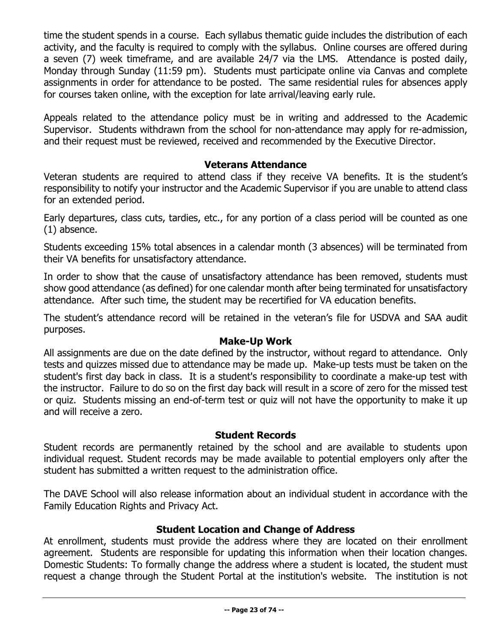time the student spends in a course. Each syllabus thematic guide includes the distribution of each activity, and the faculty is required to comply with the syllabus. Online courses are offered during a seven (7) week timeframe, and are available 24/7 via the LMS. Attendance is posted daily, Monday through Sunday (11:59 pm). Students must participate online via Canvas and complete assignments in order for attendance to be posted. The same residential rules for absences apply for courses taken online, with the exception for late arrival/leaving early rule.

Appeals related to the attendance policy must be in writing and addressed to the Academic Supervisor. Students withdrawn from the school for non-attendance may apply for re-admission, and their request must be reviewed, received and recommended by the Executive Director.

## **Veterans Attendance**

<span id="page-22-0"></span>Veteran students are required to attend class if they receive VA benefits. It is the student's responsibility to notify your instructor and the Academic Supervisor if you are unable to attend class for an extended period.

Early departures, class cuts, tardies, etc., for any portion of a class period will be counted as one (1) absence.

Students exceeding 15% total absences in a calendar month (3 absences) will be terminated from their VA benefits for unsatisfactory attendance.

In order to show that the cause of unsatisfactory attendance has been removed, students must show good attendance (as defined) for one calendar month after being terminated for unsatisfactory attendance. After such time, the student may be recertified for VA education benefits.

The student's attendance record will be retained in the veteran's file for USDVA and SAA audit purposes.

## **Make-Up Work**

<span id="page-22-1"></span>All assignments are due on the date defined by the instructor, without regard to attendance. Only tests and quizzes missed due to attendance may be made up. Make-up tests must be taken on the student's first day back in class. It is a student's responsibility to coordinate a make-up test with the instructor. Failure to do so on the first day back will result in a score of zero for the missed test or quiz. Students missing an end-of-term test or quiz will not have the opportunity to make it up and will receive a zero.

## **Student Records**

<span id="page-22-2"></span>Student records are permanently retained by the school and are available to students upon individual request. Student records may be made available to potential employers only after the student has submitted a written request to the administration office.

The DAVE School will also release information about an individual student in accordance with the Family Education Rights and Privacy Act.

## **Student Location and Change of Address**

<span id="page-22-3"></span>At enrollment, students must provide the address where they are located on their enrollment agreement. Students are responsible for updating this information when their location changes. Domestic Students: To formally change the address where a student is located, the student must request a change through the Student Portal at the institution's website. The institution is not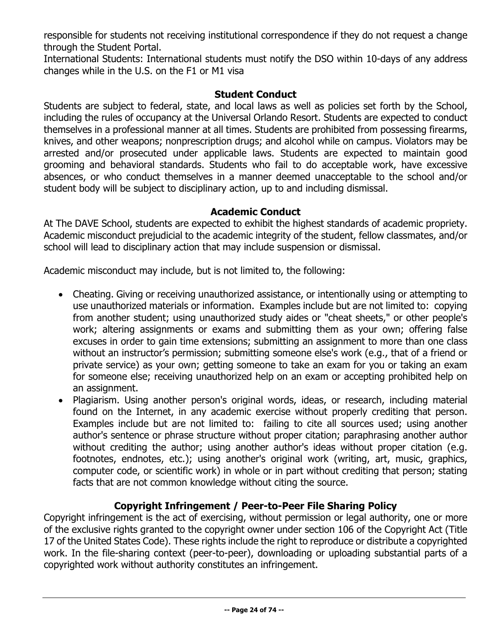responsible for students not receiving institutional correspondence if they do not request a change through the Student Portal.

International Students: International students must notify the DSO within 10-days of any address changes while in the U.S. on the F1 or M1 visa

## **Student Conduct**

<span id="page-23-0"></span>Students are subject to federal, state, and local laws as well as policies set forth by the School, including the rules of occupancy at the Universal Orlando Resort. Students are expected to conduct themselves in a professional manner at all times. Students are prohibited from possessing firearms, knives, and other weapons; nonprescription drugs; and alcohol while on campus. Violators may be arrested and/or prosecuted under applicable laws. Students are expected to maintain good grooming and behavioral standards. Students who fail to do acceptable work, have excessive absences, or who conduct themselves in a manner deemed unacceptable to the school and/or student body will be subject to disciplinary action, up to and including dismissal.

## **Academic Conduct**

<span id="page-23-1"></span>At The DAVE School, students are expected to exhibit the highest standards of academic propriety. Academic misconduct prejudicial to the academic integrity of the student, fellow classmates, and/or school will lead to disciplinary action that may include suspension or dismissal.

Academic misconduct may include, but is not limited to, the following:

- Cheating. Giving or receiving unauthorized assistance, or intentionally using or attempting to use unauthorized materials or information. Examples include but are not limited to: copying from another student; using unauthorized study aides or "cheat sheets," or other people's work; altering assignments or exams and submitting them as your own; offering false excuses in order to gain time extensions; submitting an assignment to more than one class without an instructor's permission; submitting someone else's work (e.g., that of a friend or private service) as your own; getting someone to take an exam for you or taking an exam for someone else; receiving unauthorized help on an exam or accepting prohibited help on an assignment.
- Plagiarism. Using another person's original words, ideas, or research, including material found on the Internet, in any academic exercise without properly crediting that person. Examples include but are not limited to: failing to cite all sources used; using another author's sentence or phrase structure without proper citation; paraphrasing another author without crediting the author; using another author's ideas without proper citation (e.g. footnotes, endnotes, etc.); using another's original work (writing, art, music, graphics, computer code, or scientific work) in whole or in part without crediting that person; stating facts that are not common knowledge without citing the source.

## **Copyright Infringement / Peer-to-Peer File Sharing Policy**

<span id="page-23-2"></span>Copyright infringement is the act of exercising, without permission or legal authority, one or more of the exclusive rights granted to the copyright owner under section 106 of the Copyright Act (Title 17 of the United States Code). These rights include the right to reproduce or distribute a copyrighted work. In the file-sharing context (peer-to-peer), downloading or uploading substantial parts of a copyrighted work without authority constitutes an infringement.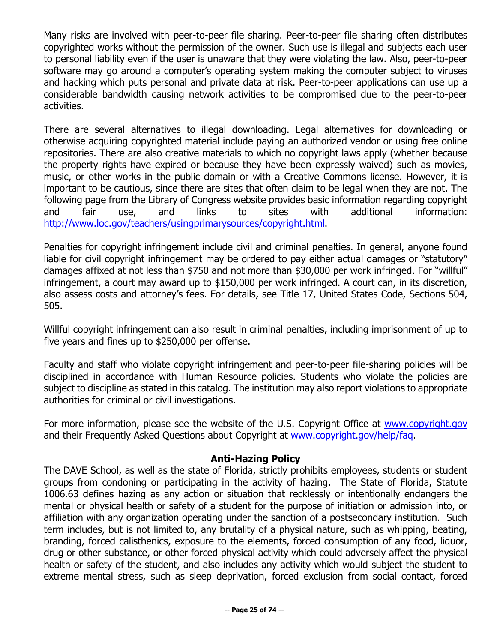Many risks are involved with peer-to-peer file sharing. Peer-to-peer file sharing often distributes copyrighted works without the permission of the owner. Such use is illegal and subjects each user to personal liability even if the user is unaware that they were violating the law. Also, peer-to-peer software may go around a computer's operating system making the computer subject to viruses and hacking which puts personal and private data at risk. Peer-to-peer applications can use up a considerable bandwidth causing network activities to be compromised due to the peer-to-peer activities.

There are several alternatives to illegal downloading. Legal alternatives for downloading or otherwise acquiring copyrighted material include paying an authorized vendor or using free online repositories. There are also creative materials to which no copyright laws apply (whether because the property rights have expired or because they have been expressly waived) such as movies, music, or other works in the public domain or with a Creative Commons license. However, it is important to be cautious, since there are sites that often claim to be legal when they are not. The following page from the Library of Congress website provides basic information regarding copyright<br>and fair use, and links to sites with additional information: and fair use, and links to sites with additional information: [http://www.loc.gov/teachers/usingprimarysources/copyright.html.](http://www.loc.gov/teachers/usingprimarysources/copyright.html)

Penalties for copyright infringement include civil and criminal penalties. In general, anyone found liable for civil copyright infringement may be ordered to pay either actual damages or "statutory" damages affixed at not less than \$750 and not more than \$30,000 per work infringed. For "willful" infringement, a court may award up to \$150,000 per work infringed. A court can, in its discretion, also assess costs and attorney's fees. For details, see Title 17, United States Code, Sections 504, 505.

Willful copyright infringement can also result in criminal penalties, including imprisonment of up to five years and fines up to \$250,000 per offense.

Faculty and staff who violate copyright infringement and peer-to-peer file-sharing policies will be disciplined in accordance with Human Resource policies. Students who violate the policies are subject to discipline as stated in this catalog. The institution may also report violations to appropriate authorities for criminal or civil investigations.

For more information, please see the website of the U.S. Copyright Office at [www.copyright.gov](http://www.copyright.gov/) and their Frequently Asked Questions about Copyright at [www.copyright.gov/help/faq.](http://www.copyright.gov/help/faq)

## **Anti-Hazing Policy**

<span id="page-24-0"></span>The DAVE School, as well as the state of Florida, strictly prohibits employees, students or student groups from condoning or participating in the activity of hazing. The State of Florida, Statute 1006.63 defines hazing as any action or situation that recklessly or intentionally endangers the mental or physical health or safety of a student for the purpose of initiation or admission into, or affiliation with any organization operating under the sanction of a postsecondary institution. Such term includes, but is not limited to, any brutality of a physical nature, such as whipping, beating, branding, forced calisthenics, exposure to the elements, forced consumption of any food, liquor, drug or other substance, or other forced physical activity which could adversely affect the physical health or safety of the student, and also includes any activity which would subject the student to extreme mental stress, such as sleep deprivation, forced exclusion from social contact, forced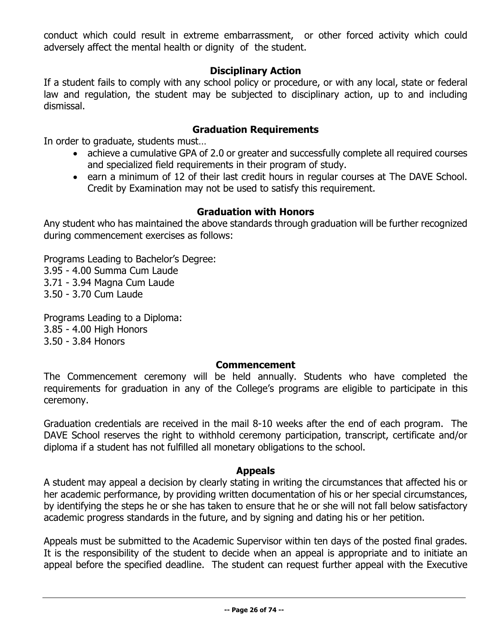conduct which could result in extreme embarrassment, or other forced activity which could adversely affect the mental health or dignity of the student.

## **Disciplinary Action**

<span id="page-25-0"></span>If a student fails to comply with any school policy or procedure, or with any local, state or federal law and regulation, the student may be subjected to disciplinary action, up to and including dismissal.

## **Graduation Requirements**

<span id="page-25-1"></span>In order to graduate, students must…

- achieve a cumulative GPA of 2.0 or greater and successfully complete all required courses and specialized field requirements in their program of study.
- earn a minimum of 12 of their last credit hours in regular courses at The DAVE School. Credit by Examination may not be used to satisfy this requirement.

## **Graduation with Honors**

<span id="page-25-2"></span>Any student who has maintained the above standards through graduation will be further recognized during commencement exercises as follows:

Programs Leading to Bachelor's Degree: 3.95 - 4.00 Summa Cum Laude 3.71 - 3.94 Magna Cum Laude 3.50 - 3.70 Cum Laude

Programs Leading to a Diploma: 3.85 - 4.00 High Honors 3.50 - 3.84 Honors

## **Commencement**

<span id="page-25-3"></span>The Commencement ceremony will be held annually. Students who have completed the requirements for graduation in any of the College's programs are eligible to participate in this ceremony.

Graduation credentials are received in the mail 8-10 weeks after the end of each program. The DAVE School reserves the right to withhold ceremony participation, transcript, certificate and/or diploma if a student has not fulfilled all monetary obligations to the school.

## **Appeals**

<span id="page-25-4"></span>A student may appeal a decision by clearly stating in writing the circumstances that affected his or her academic performance, by providing written documentation of his or her special circumstances, by identifying the steps he or she has taken to ensure that he or she will not fall below satisfactory academic progress standards in the future, and by signing and dating his or her petition.

Appeals must be submitted to the Academic Supervisor within ten days of the posted final grades. It is the responsibility of the student to decide when an appeal is appropriate and to initiate an appeal before the specified deadline. The student can request further appeal with the Executive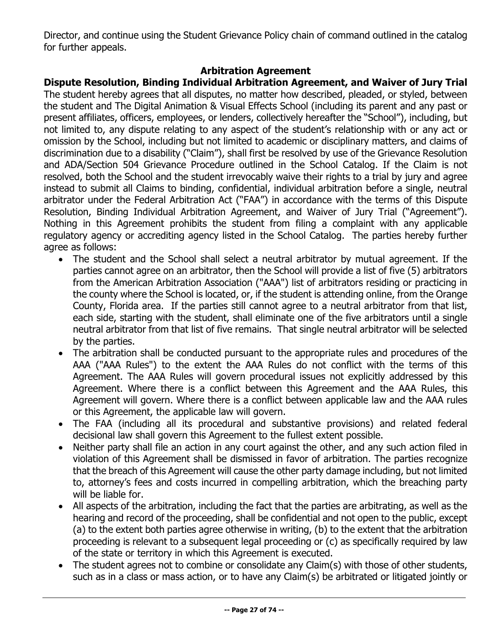Director, and continue using the Student Grievance Policy chain of command outlined in the catalog for further appeals.

## **Arbitration Agreement**

## <span id="page-26-0"></span>**Dispute Resolution, Binding Individual Arbitration Agreement, and Waiver of Jury Trial**

The student hereby agrees that all disputes, no matter how described, pleaded, or styled, between the student and The Digital Animation & Visual Effects School (including its parent and any past or present affiliates, officers, employees, or lenders, collectively hereafter the "School"), including, but not limited to, any dispute relating to any aspect of the student's relationship with or any act or omission by the School, including but not limited to academic or disciplinary matters, and claims of discrimination due to a disability ("Claim"), shall first be resolved by use of the Grievance Resolution and ADA/Section 504 Grievance Procedure outlined in the School Catalog. If the Claim is not resolved, both the School and the student irrevocably waive their rights to a trial by jury and agree instead to submit all Claims to binding, confidential, individual arbitration before a single, neutral arbitrator under the Federal Arbitration Act ("FAA") in accordance with the terms of this Dispute Resolution, Binding Individual Arbitration Agreement, and Waiver of Jury Trial ("Agreement"). Nothing in this Agreement prohibits the student from filing a complaint with any applicable regulatory agency or accrediting agency listed in the School Catalog. The parties hereby further agree as follows:

- The student and the School shall select a neutral arbitrator by mutual agreement. If the parties cannot agree on an arbitrator, then the School will provide a list of five (5) arbitrators from the American Arbitration Association ("AAA") list of arbitrators residing or practicing in the county where the School is located, or, if the student is attending online, from the Orange County, Florida area. If the parties still cannot agree to a neutral arbitrator from that list, each side, starting with the student, shall eliminate one of the five arbitrators until a single neutral arbitrator from that list of five remains. That single neutral arbitrator will be selected by the parties.
- The arbitration shall be conducted pursuant to the appropriate rules and procedures of the AAA ("AAA Rules") to the extent the AAA Rules do not conflict with the terms of this Agreement. The AAA Rules will govern procedural issues not explicitly addressed by this Agreement. Where there is a conflict between this Agreement and the AAA Rules, this Agreement will govern. Where there is a conflict between applicable law and the AAA rules or this Agreement, the applicable law will govern.
- The FAA (including all its procedural and substantive provisions) and related federal decisional law shall govern this Agreement to the fullest extent possible.
- Neither party shall file an action in any court against the other, and any such action filed in violation of this Agreement shall be dismissed in favor of arbitration. The parties recognize that the breach of this Agreement will cause the other party damage including, but not limited to, attorney's fees and costs incurred in compelling arbitration, which the breaching party will be liable for.
- All aspects of the arbitration, including the fact that the parties are arbitrating, as well as the hearing and record of the proceeding, shall be confidential and not open to the public, except (a) to the extent both parties agree otherwise in writing, (b) to the extent that the arbitration proceeding is relevant to a subsequent legal proceeding or (c) as specifically required by law of the state or territory in which this Agreement is executed.
- The student agrees not to combine or consolidate any Claim(s) with those of other students, such as in a class or mass action, or to have any Claim(s) be arbitrated or litigated jointly or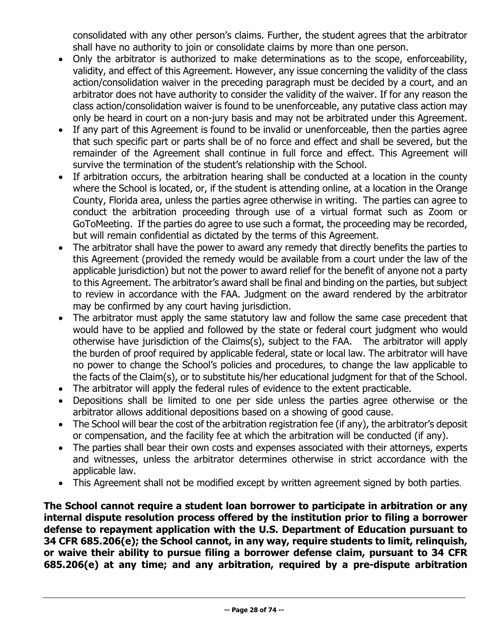consolidated with any other person's claims. Further, the student agrees that the arbitrator shall have no authority to join or consolidate claims by more than one person.

- Only the arbitrator is authorized to make determinations as to the scope, enforceability, validity, and effect of this Agreement. However, any issue concerning the validity of the class action/consolidation waiver in the preceding paragraph must be decided by a court, and an arbitrator does not have authority to consider the validity of the waiver. If for any reason the class action/consolidation waiver is found to be unenforceable, any putative class action may only be heard in court on a non-jury basis and may not be arbitrated under this Agreement.
- If any part of this Agreement is found to be invalid or unenforceable, then the parties agree that such specific part or parts shall be of no force and effect and shall be severed, but the remainder of the Agreement shall continue in full force and effect. This Agreement will survive the termination of the student's relationship with the School.
- If arbitration occurs, the arbitration hearing shall be conducted at a location in the county where the School is located, or, if the student is attending online, at a location in the Orange County, Florida area, unless the parties agree otherwise in writing. The parties can agree to conduct the arbitration proceeding through use of a virtual format such as Zoom or GoToMeeting. If the parties do agree to use such a format, the proceeding may be recorded, but will remain confidential as dictated by the terms of this Agreement.
- The arbitrator shall have the power to award any remedy that directly benefits the parties to this Agreement (provided the remedy would be available from a court under the law of the applicable jurisdiction) but not the power to award relief for the benefit of anyone not a party to this Agreement. The arbitrator's award shall be final and binding on the parties, but subject to review in accordance with the FAA. Judgment on the award rendered by the arbitrator may be confirmed by any court having jurisdiction.
- The arbitrator must apply the same statutory law and follow the same case precedent that would have to be applied and followed by the state or federal court judgment who would otherwise have jurisdiction of the Claims(s), subject to the FAA. The arbitrator will apply the burden of proof required by applicable federal, state or local law. The arbitrator will have no power to change the School's policies and procedures, to change the law applicable to the facts of the Claim(s), or to substitute his/her educational judgment for that of the School.
- The arbitrator will apply the federal rules of evidence to the extent practicable.
- Depositions shall be limited to one per side unless the parties agree otherwise or the arbitrator allows additional depositions based on a showing of good cause.
- The School will bear the cost of the arbitration registration fee (if any), the arbitrator's deposit or compensation, and the facility fee at which the arbitration will be conducted (if any).
- The parties shall bear their own costs and expenses associated with their attorneys, experts and witnesses, unless the arbitrator determines otherwise in strict accordance with the applicable law.
- This Agreement shall not be modified except by written agreement signed by both parties.

**The School cannot require a student loan borrower to participate in arbitration or any internal dispute resolution process offered by the institution prior to filing a borrower defense to repayment application with the U.S. Department of Education pursuant to 34 CFR 685.206(e); the School cannot, in any way, require students to limit, relinquish, or waive their ability to pursue filing a borrower defense claim, pursuant to 34 CFR 685.206(e) at any time; and any arbitration, required by a pre-dispute arbitration**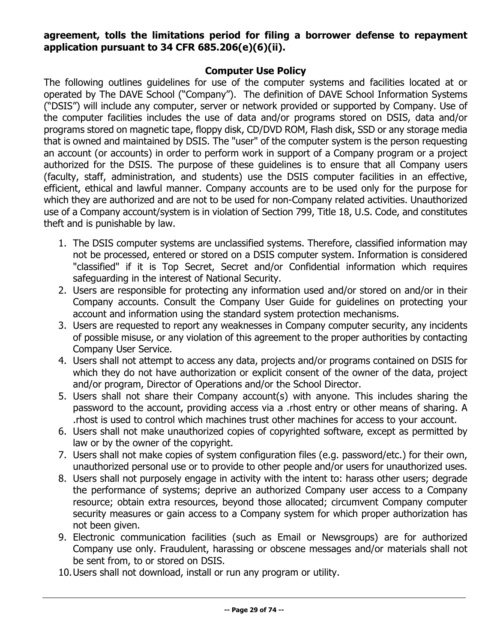## **agreement, tolls the limitations period for filing a borrower defense to repayment application pursuant to 34 CFR 685.206(e)(6)(ii).**

### **Computer Use Policy**

<span id="page-28-0"></span>The following outlines guidelines for use of the computer systems and facilities located at or operated by The DAVE School ("Company"). The definition of DAVE School Information Systems ("DSIS") will include any computer, server or network provided or supported by Company. Use of the computer facilities includes the use of data and/or programs stored on DSIS, data and/or programs stored on magnetic tape, floppy disk, CD/DVD ROM, Flash disk, SSD or any storage media that is owned and maintained by DSIS. The "user" of the computer system is the person requesting an account (or accounts) in order to perform work in support of a Company program or a project authorized for the DSIS. The purpose of these guidelines is to ensure that all Company users (faculty, staff, administration, and students) use the DSIS computer facilities in an effective, efficient, ethical and lawful manner. Company accounts are to be used only for the purpose for which they are authorized and are not to be used for non-Company related activities. Unauthorized use of a Company account/system is in violation of Section 799, Title 18, U.S. Code, and constitutes theft and is punishable by law.

- 1. The DSIS computer systems are unclassified systems. Therefore, classified information may not be processed, entered or stored on a DSIS computer system. Information is considered "classified" if it is Top Secret, Secret and/or Confidential information which requires safeguarding in the interest of National Security.
- 2. Users are responsible for protecting any information used and/or stored on and/or in their Company accounts. Consult the Company User Guide for guidelines on protecting your account and information using the standard system protection mechanisms.
- 3. Users are requested to report any weaknesses in Company computer security, any incidents of possible misuse, or any violation of this agreement to the proper authorities by contacting Company User Service.
- 4. Users shall not attempt to access any data, projects and/or programs contained on DSIS for which they do not have authorization or explicit consent of the owner of the data, project and/or program, Director of Operations and/or the School Director.
- 5. Users shall not share their Company account(s) with anyone. This includes sharing the password to the account, providing access via a .rhost entry or other means of sharing. A .rhost is used to control which machines trust other machines for access to your account.
- 6. Users shall not make unauthorized copies of copyrighted software, except as permitted by law or by the owner of the copyright.
- 7. Users shall not make copies of system configuration files (e.g. password/etc.) for their own, unauthorized personal use or to provide to other people and/or users for unauthorized uses.
- 8. Users shall not purposely engage in activity with the intent to: harass other users; degrade the performance of systems; deprive an authorized Company user access to a Company resource; obtain extra resources, beyond those allocated; circumvent Company computer security measures or gain access to a Company system for which proper authorization has not been given.
- 9. Electronic communication facilities (such as Email or Newsgroups) are for authorized Company use only. Fraudulent, harassing or obscene messages and/or materials shall not be sent from, to or stored on DSIS.
- 10.Users shall not download, install or run any program or utility.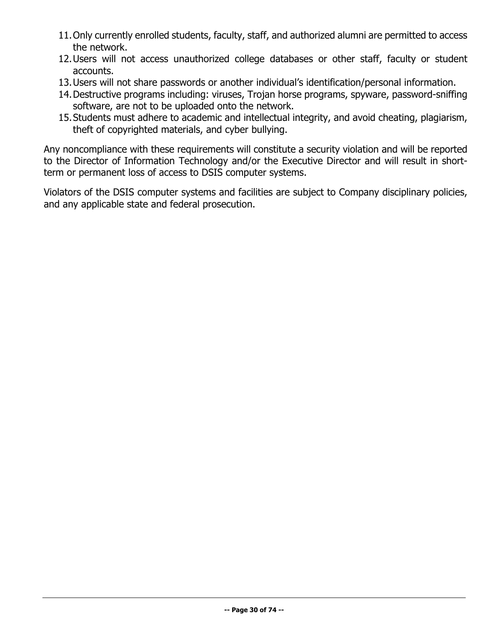- 11.Only currently enrolled students, faculty, staff, and authorized alumni are permitted to access the network.
- 12.Users will not access unauthorized college databases or other staff, faculty or student accounts.
- 13.Users will not share passwords or another individual's identification/personal information.
- 14.Destructive programs including: viruses, Trojan horse programs, spyware, password-sniffing software, are not to be uploaded onto the network.
- 15.Students must adhere to academic and intellectual integrity, and avoid cheating, plagiarism, theft of copyrighted materials, and cyber bullying.

Any noncompliance with these requirements will constitute a security violation and will be reported to the Director of Information Technology and/or the Executive Director and will result in shortterm or permanent loss of access to DSIS computer systems.

Violators of the DSIS computer systems and facilities are subject to Company disciplinary policies, and any applicable state and federal prosecution.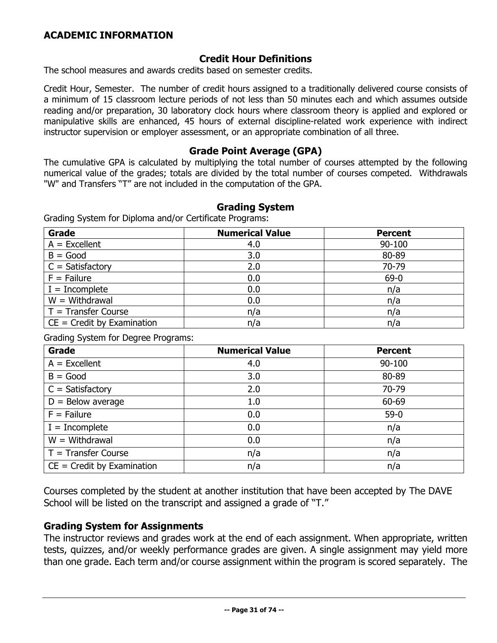## **Credit Hour Definitions**

<span id="page-30-1"></span><span id="page-30-0"></span>The school measures and awards credits based on semester credits.

Credit Hour, Semester. The number of credit hours assigned to a traditionally delivered course consists of a minimum of 15 classroom lecture periods of not less than 50 minutes each and which assumes outside reading and/or preparation, 30 laboratory clock hours where classroom theory is applied and explored or manipulative skills are enhanced, 45 hours of external discipline-related work experience with indirect instructor supervision or employer assessment, or an appropriate combination of all three.

#### **Grade Point Average (GPA)**

<span id="page-30-2"></span>The cumulative GPA is calculated by multiplying the total number of courses attempted by the following numerical value of the grades; totals are divided by the total number of courses competed. Withdrawals "W" and Transfers "T" are not included in the computation of the GPA.

#### **Grading System**

<span id="page-30-3"></span>Grading System for Diploma and/or Certificate Programs:

| Grade                        | <b>Numerical Value</b> | <b>Percent</b> |
|------------------------------|------------------------|----------------|
| $A = Excellent$              | 4.0                    | 90-100         |
| $B = Good$                   | 3.0                    | 80-89          |
| $C = Satisfactory$           | 2.0                    | 70-79          |
| $F =$ Failure                | 0.0                    | $69-0$         |
| $I = Incomplete$             | 0.0                    | n/a            |
| $W = Withdrawal$             | 0.0                    | n/a            |
| $T =$ Transfer Course        | n/a                    | n/a            |
| $CE = Credit by Examination$ | n/a                    | n/a            |

Grading System for Degree Programs:

| Grade                        | <b>Numerical Value</b> | <b>Percent</b> |
|------------------------------|------------------------|----------------|
| $A = Excellent$              | 4.0                    | 90-100         |
| $B = Good$                   | 3.0                    | 80-89          |
| $C = Satisfactory$           | 2.0                    | 70-79          |
| $D =$ Below average          | 1.0                    | 60-69          |
| $F =$ Failure                | 0.0                    | $59-0$         |
| $I = Incomplete$             | 0.0                    | n/a            |
| $W = Withdrawal$             | 0.0                    | n/a            |
| $T =$ Transfer Course        | n/a                    | n/a            |
| $CE = Credit by Examination$ | n/a                    | n/a            |

Courses completed by the student at another institution that have been accepted by The DAVE School will be listed on the transcript and assigned a grade of "T."

#### **Grading System for Assignments**

The instructor reviews and grades work at the end of each assignment. When appropriate, written tests, quizzes, and/or weekly performance grades are given. A single assignment may yield more than one grade. Each term and/or course assignment within the program is scored separately. The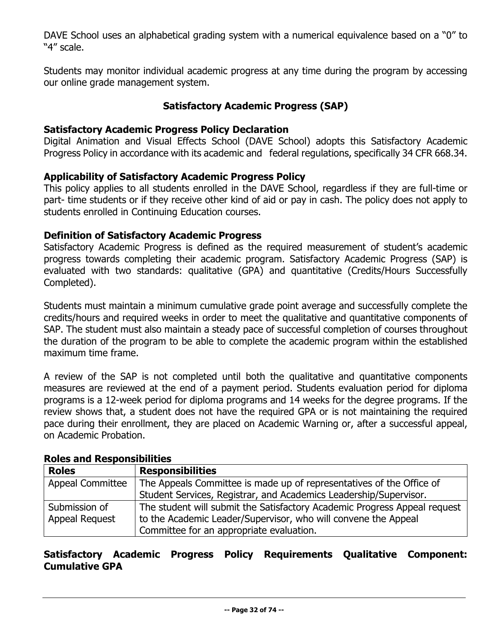DAVE School uses an alphabetical grading system with a numerical equivalence based on a "0" to "4" scale.

Students may monitor individual academic progress at any time during the program by accessing our online grade management system.

## **Satisfactory Academic Progress (SAP)**

### <span id="page-31-0"></span>**Satisfactory Academic Progress Policy Declaration**

Digital Animation and Visual Effects School (DAVE School) adopts this Satisfactory Academic Progress Policy in accordance with its academic and federal regulations, specifically 34 CFR 668.34.

## **Applicability of Satisfactory Academic Progress Policy**

This policy applies to all students enrolled in the DAVE School, regardless if they are full-time or part- time students or if they receive other kind of aid or pay in cash. The policy does not apply to students enrolled in Continuing Education courses.

#### **Definition of Satisfactory Academic Progress**

Satisfactory Academic Progress is defined as the required measurement of student's academic progress towards completing their academic program. Satisfactory Academic Progress (SAP) is evaluated with two standards: qualitative (GPA) and quantitative (Credits/Hours Successfully Completed).

Students must maintain a minimum cumulative grade point average and successfully complete the credits/hours and required weeks in order to meet the qualitative and quantitative components of SAP. The student must also maintain a steady pace of successful completion of courses throughout the duration of the program to be able to complete the academic program within the established maximum time frame.

A review of the SAP is not completed until both the qualitative and quantitative components measures are reviewed at the end of a payment period. Students evaluation period for diploma programs is a 12-week period for diploma programs and 14 weeks for the degree programs. If the review shows that, a student does not have the required GPA or is not maintaining the required pace during their enrollment, they are placed on Academic Warning or, after a successful appeal, on Academic Probation.

| RUIS and Responsibilities |                                                                           |
|---------------------------|---------------------------------------------------------------------------|
| <b>Roles</b>              | <b>Responsibilities</b>                                                   |
| <b>Appeal Committee</b>   | The Appeals Committee is made up of representatives of the Office of      |
|                           | Student Services, Registrar, and Academics Leadership/Supervisor.         |
| Submission of             | The student will submit the Satisfactory Academic Progress Appeal request |
| <b>Appeal Request</b>     | to the Academic Leader/Supervisor, who will convene the Appeal            |
|                           | Committee for an appropriate evaluation.                                  |

#### **Roles and Responsibilities**

## **Satisfactory Academic Progress Policy Requirements Qualitative Component: Cumulative GPA**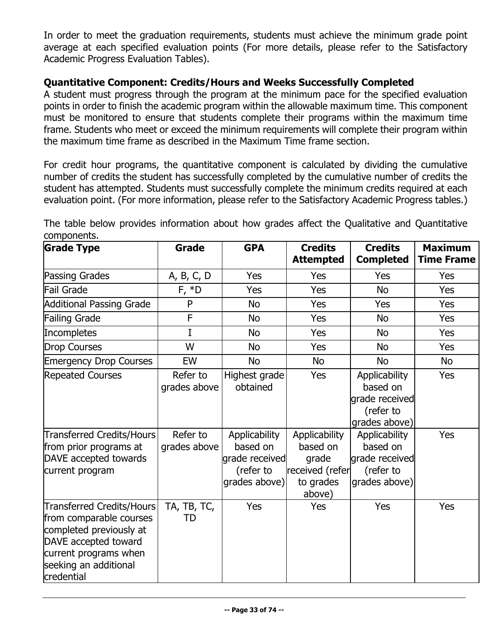In order to meet the graduation requirements, students must achieve the minimum grade point average at each specified evaluation points (For more details, please refer to the Satisfactory Academic Progress Evaluation Tables).

## **Quantitative Component: Credits/Hours and Weeks Successfully Completed**

A student must progress through the program at the minimum pace for the specified evaluation points in order to finish the academic program within the allowable maximum time. This component must be monitored to ensure that students complete their programs within the maximum time frame. Students who meet or exceed the minimum requirements will complete their program within the maximum time frame as described in the Maximum Time frame section.

For credit hour programs, the quantitative component is calculated by dividing the cumulative number of credits the student has successfully completed by the cumulative number of credits the student has attempted. Students must successfully complete the minimum credits required at each evaluation point. (For more information, please refer to the Satisfactory Academic Progress tables.)

The table below provides information about how grades affect the Qualitative and Quantitative components.

| <b>Grade Type</b>                                                                                                                                                       | <b>Grade</b>                                         | <b>GPA</b>                                             | <b>Credits</b><br><b>Attempted</b>              | <b>Credits</b><br><b>Completed</b>                                                                     | <b>Maximum</b><br><b>Time Frame</b> |
|-------------------------------------------------------------------------------------------------------------------------------------------------------------------------|------------------------------------------------------|--------------------------------------------------------|-------------------------------------------------|--------------------------------------------------------------------------------------------------------|-------------------------------------|
| Passing Grades                                                                                                                                                          | A, B, C, D                                           | Yes                                                    | Yes                                             | Yes                                                                                                    | Yes                                 |
| Fail Grade                                                                                                                                                              | $F, *D$                                              | Yes                                                    | Yes                                             | <b>No</b>                                                                                              | Yes                                 |
| <b>Additional Passing Grade</b>                                                                                                                                         | P                                                    | <b>No</b>                                              | Yes                                             | Yes                                                                                                    | Yes                                 |
| <b>Failing Grade</b>                                                                                                                                                    | F                                                    | <b>No</b>                                              | Yes                                             | <b>No</b>                                                                                              | <b>Yes</b>                          |
| Incompletes                                                                                                                                                             | I                                                    | <b>No</b>                                              | Yes                                             | <b>No</b>                                                                                              | Yes                                 |
| <b>Drop Courses</b>                                                                                                                                                     | W                                                    | <b>No</b>                                              | Yes                                             | <b>No</b>                                                                                              | <b>Yes</b>                          |
| <b>Emergency Drop Courses</b>                                                                                                                                           | EW                                                   | <b>No</b>                                              | <b>No</b>                                       | <b>No</b>                                                                                              | No                                  |
| <b>Repeated Courses</b><br>Transferred Credits/Hours<br>from prior programs at                                                                                          | Refer to<br>grades above<br>Refer to<br>grades above | Highest grade<br>obtained<br>Applicability<br>based on | Yes<br>Applicability<br>based on                | Applicability<br>based on<br>grade received<br>(refer to<br>grades above)<br>Applicability<br>based on | Yes<br><b>Yes</b>                   |
| DAVE accepted towards<br>current program                                                                                                                                |                                                      | grade received<br>(refer to<br>grades above)           | grade<br>received (refer<br>to grades<br>above) | grade received<br>(refer to<br>grades above)                                                           |                                     |
| Transferred Credits/Hours<br>from comparable courses<br>completed previously at<br>DAVE accepted toward<br>current programs when<br>seeking an additional<br>credential | TA, TB, TC,<br>TD                                    | Yes                                                    | Yes                                             | Yes                                                                                                    | Yes                                 |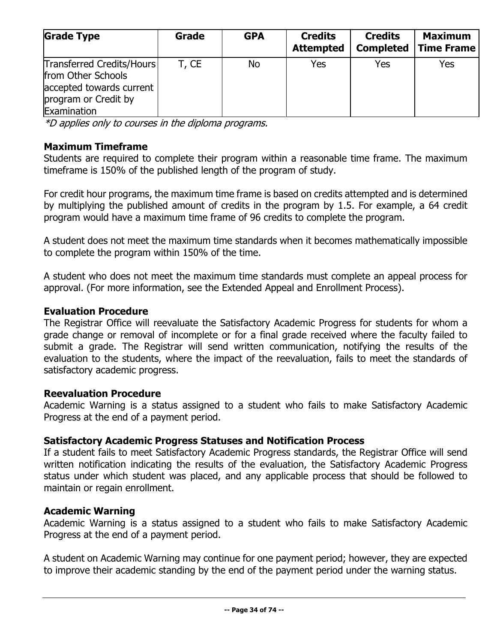| <b>Grade Type</b>                                                                                                  | Grade | <b>GPA</b> | <b>Credits</b><br><b>Attempted</b> | <b>Credits</b><br><b>Completed</b> | <b>Maximum</b><br><b>Time Frame</b> |
|--------------------------------------------------------------------------------------------------------------------|-------|------------|------------------------------------|------------------------------------|-------------------------------------|
| Transferred Credits/Hours<br>from Other Schools<br>accepted towards current<br>program or Credit by<br>Examination | T, CE | <b>No</b>  | Yes                                | Yes                                | Yes                                 |

\*D applies only to courses in the diploma programs.

## **Maximum Timeframe**

Students are required to complete their program within a reasonable time frame. The maximum timeframe is 150% of the published length of the program of study.

For credit hour programs, the maximum time frame is based on credits attempted and is determined by multiplying the published amount of credits in the program by 1.5. For example, a 64 credit program would have a maximum time frame of 96 credits to complete the program.

A student does not meet the maximum time standards when it becomes mathematically impossible to complete the program within 150% of the time.

A student who does not meet the maximum time standards must complete an appeal process for approval. (For more information, see the Extended Appeal and Enrollment Process).

#### **Evaluation Procedure**

The Registrar Office will reevaluate the Satisfactory Academic Progress for students for whom a grade change or removal of incomplete or for a final grade received where the faculty failed to submit a grade. The Registrar will send written communication, notifying the results of the evaluation to the students, where the impact of the reevaluation, fails to meet the standards of satisfactory academic progress.

## **Reevaluation Procedure**

Academic Warning is a status assigned to a student who fails to make Satisfactory Academic Progress at the end of a payment period.

## **Satisfactory Academic Progress Statuses and Notification Process**

If a student fails to meet Satisfactory Academic Progress standards, the Registrar Office will send written notification indicating the results of the evaluation, the Satisfactory Academic Progress status under which student was placed, and any applicable process that should be followed to maintain or regain enrollment.

## **Academic Warning**

Academic Warning is a status assigned to a student who fails to make Satisfactory Academic Progress at the end of a payment period.

A student on Academic Warning may continue for one payment period; however, they are expected to improve their academic standing by the end of the payment period under the warning status.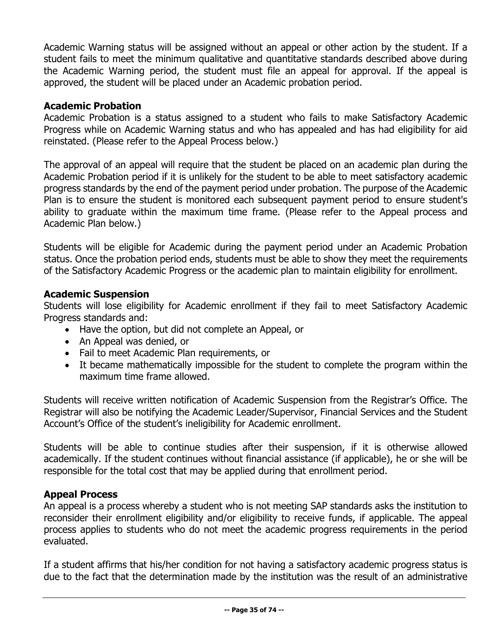Academic Warning status will be assigned without an appeal or other action by the student. If a student fails to meet the minimum qualitative and quantitative standards described above during the Academic Warning period, the student must file an appeal for approval. If the appeal is approved, the student will be placed under an Academic probation period.

### **Academic Probation**

Academic Probation is a status assigned to a student who fails to make Satisfactory Academic Progress while on Academic Warning status and who has appealed and has had eligibility for aid reinstated. (Please refer to the Appeal Process below.)

The approval of an appeal will require that the student be placed on an academic plan during the Academic Probation period if it is unlikely for the student to be able to meet satisfactory academic progress standards by the end of the payment period under probation. The purpose of the Academic Plan is to ensure the student is monitored each subsequent payment period to ensure student's ability to graduate within the maximum time frame. (Please refer to the Appeal process and Academic Plan below.)

Students will be eligible for Academic during the payment period under an Academic Probation status. Once the probation period ends, students must be able to show they meet the requirements of the Satisfactory Academic Progress or the academic plan to maintain eligibility for enrollment.

#### **Academic Suspension**

Students will lose eligibility for Academic enrollment if they fail to meet Satisfactory Academic Progress standards and:

- Have the option, but did not complete an Appeal, or
- An Appeal was denied, or
- Fail to meet Academic Plan requirements, or
- It became mathematically impossible for the student to complete the program within the maximum time frame allowed.

Students will receive written notification of Academic Suspension from the Registrar's Office. The Registrar will also be notifying the Academic Leader/Supervisor, Financial Services and the Student Account's Office of the student's ineligibility for Academic enrollment.

Students will be able to continue studies after their suspension, if it is otherwise allowed academically. If the student continues without financial assistance (if applicable), he or she will be responsible for the total cost that may be applied during that enrollment period.

## **Appeal Process**

An appeal is a process whereby a student who is not meeting SAP standards asks the institution to reconsider their enrollment eligibility and/or eligibility to receive funds, if applicable. The appeal process applies to students who do not meet the academic progress requirements in the period evaluated.

If a student affirms that his/her condition for not having a satisfactory academic progress status is due to the fact that the determination made by the institution was the result of an administrative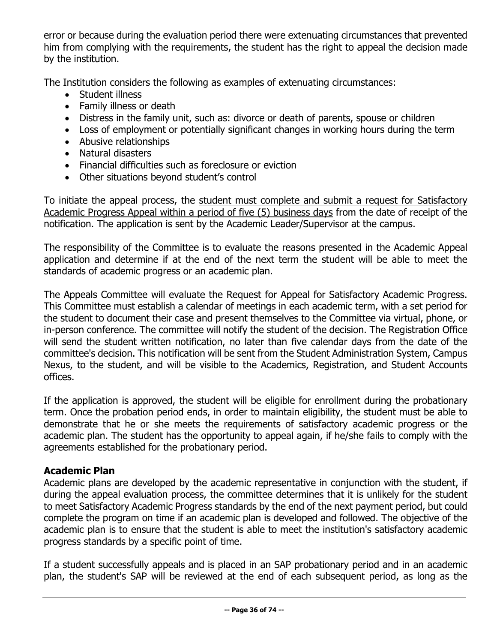error or because during the evaluation period there were extenuating circumstances that prevented him from complying with the requirements, the student has the right to appeal the decision made by the institution.

The Institution considers the following as examples of extenuating circumstances:

- Student illness
- Family illness or death
- Distress in the family unit, such as: divorce or death of parents, spouse or children
- Loss of employment or potentially significant changes in working hours during the term
- Abusive relationships
- Natural disasters
- Financial difficulties such as foreclosure or eviction
- Other situations beyond student's control

To initiate the appeal process, the student must complete and submit a request for Satisfactory Academic Progress Appeal within a period of five (5) business days from the date of receipt of the notification. The application is sent by the Academic Leader/Supervisor at the campus.

The responsibility of the Committee is to evaluate the reasons presented in the Academic Appeal application and determine if at the end of the next term the student will be able to meet the standards of academic progress or an academic plan.

The Appeals Committee will evaluate the Request for Appeal for Satisfactory Academic Progress. This Committee must establish a calendar of meetings in each academic term, with a set period for the student to document their case and present themselves to the Committee via virtual, phone, or in-person conference. The committee will notify the student of the decision. The Registration Office will send the student written notification, no later than five calendar days from the date of the committee's decision. This notification will be sent from the Student Administration System, Campus Nexus, to the student, and will be visible to the Academics, Registration, and Student Accounts offices.

If the application is approved, the student will be eligible for enrollment during the probationary term. Once the probation period ends, in order to maintain eligibility, the student must be able to demonstrate that he or she meets the requirements of satisfactory academic progress or the academic plan. The student has the opportunity to appeal again, if he/she fails to comply with the agreements established for the probationary period.

## **Academic Plan**

Academic plans are developed by the academic representative in conjunction with the student, if during the appeal evaluation process, the committee determines that it is unlikely for the student to meet Satisfactory Academic Progress standards by the end of the next payment period, but could complete the program on time if an academic plan is developed and followed. The objective of the academic plan is to ensure that the student is able to meet the institution's satisfactory academic progress standards by a specific point of time.

If a student successfully appeals and is placed in an SAP probationary period and in an academic plan, the student's SAP will be reviewed at the end of each subsequent period, as long as the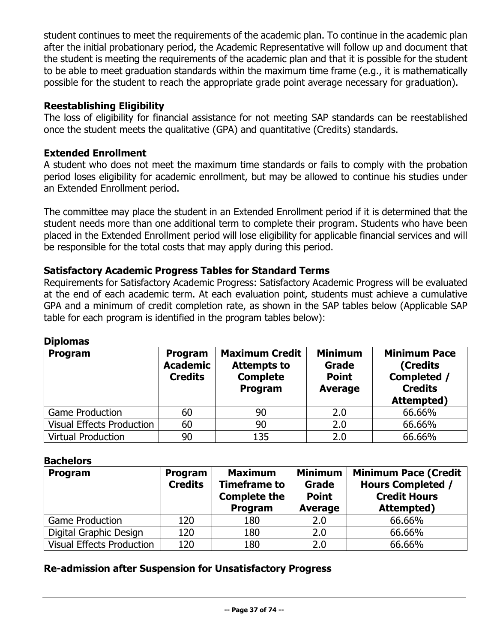student continues to meet the requirements of the academic plan. To continue in the academic plan after the initial probationary period, the Academic Representative will follow up and document that the student is meeting the requirements of the academic plan and that it is possible for the student to be able to meet graduation standards within the maximum time frame (e.g., it is mathematically possible for the student to reach the appropriate grade point average necessary for graduation).

# **Reestablishing Eligibility**

The loss of eligibility for financial assistance for not meeting SAP standards can be reestablished once the student meets the qualitative (GPA) and quantitative (Credits) standards.

# **Extended Enrollment**

A student who does not meet the maximum time standards or fails to comply with the probation period loses eligibility for academic enrollment, but may be allowed to continue his studies under an Extended Enrollment period.

The committee may place the student in an Extended Enrollment period if it is determined that the student needs more than one additional term to complete their program. Students who have been placed in the Extended Enrollment period will lose eligibility for applicable financial services and will be responsible for the total costs that may apply during this period.

### **Satisfactory Academic Progress Tables for Standard Terms**

Requirements for Satisfactory Academic Progress: Satisfactory Academic Progress will be evaluated at the end of each academic term. At each evaluation point, students must achieve a cumulative GPA and a minimum of credit completion rate, as shown in the SAP tables below (Applicable SAP table for each program is identified in the program tables below):

| <b>DIDIUIIIAS</b>                |                                              |                                                                           |                                                           |                                                                                |
|----------------------------------|----------------------------------------------|---------------------------------------------------------------------------|-----------------------------------------------------------|--------------------------------------------------------------------------------|
| Program                          | Program<br><b>Academic</b><br><b>Credits</b> | <b>Maximum Credit</b><br><b>Attempts to</b><br><b>Complete</b><br>Program | <b>Minimum</b><br>Grade<br><b>Point</b><br><b>Average</b> | <b>Minimum Pace</b><br>(Credits<br>Completed /<br><b>Credits</b><br>Attempted) |
| <b>Game Production</b>           | 60                                           | 90                                                                        | 2.0                                                       | 66.66%                                                                         |
| <b>Visual Effects Production</b> | 60                                           | 90                                                                        | 2.0                                                       | 66.66%                                                                         |
| <b>Virtual Production</b>        | 90                                           | 135                                                                       | 2.0                                                       | 66.66%                                                                         |

# **Diplomas**

### **Bachelors**

| Program                   | Program<br><b>Credits</b> | <b>Maximum</b><br><b>Timeframe to</b><br><b>Complete the</b><br>Program | <b>Minimum</b><br>Grade<br><b>Point</b><br><b>Average</b> | <b>Minimum Pace (Credit</b><br><b>Hours Completed /</b><br><b>Credit Hours</b><br>Attempted) |
|---------------------------|---------------------------|-------------------------------------------------------------------------|-----------------------------------------------------------|----------------------------------------------------------------------------------------------|
| <b>Game Production</b>    | 120                       | 180                                                                     | 2.0                                                       | 66.66%                                                                                       |
| Digital Graphic Design    | 120                       | 180                                                                     | 2.0                                                       | 66.66%                                                                                       |
| Visual Effects Production | 120                       | 180                                                                     | 2.0                                                       | 66.66%                                                                                       |

### **Re-admission after Suspension for Unsatisfactory Progress**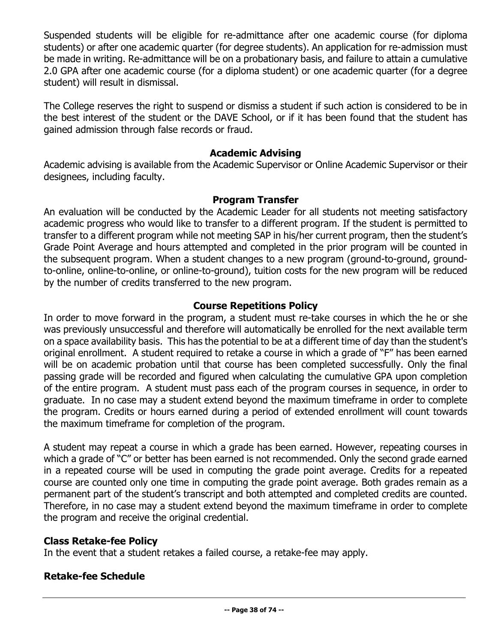Suspended students will be eligible for re-admittance after one academic course (for diploma students) or after one academic quarter (for degree students). An application for re-admission must be made in writing. Re-admittance will be on a probationary basis, and failure to attain a cumulative 2.0 GPA after one academic course (for a diploma student) or one academic quarter (for a degree student) will result in dismissal.

The College reserves the right to suspend or dismiss a student if such action is considered to be in the best interest of the student or the DAVE School, or if it has been found that the student has gained admission through false records or fraud.

### **Academic Advising**

Academic advising is available from the Academic Supervisor or Online Academic Supervisor or their designees, including faculty.

### **Program Transfer**

An evaluation will be conducted by the Academic Leader for all students not meeting satisfactory academic progress who would like to transfer to a different program. If the student is permitted to transfer to a different program while not meeting SAP in his/her current program, then the student's Grade Point Average and hours attempted and completed in the prior program will be counted in the subsequent program. When a student changes to a new program (ground-to-ground, groundto-online, online-to-online, or online-to-ground), tuition costs for the new program will be reduced by the number of credits transferred to the new program.

# **Course Repetitions Policy**

In order to move forward in the program, a student must re-take courses in which the he or she was previously unsuccessful and therefore will automatically be enrolled for the next available term on a space availability basis. This has the potential to be at a different time of day than the student's original enrollment. A student required to retake a course in which a grade of "F" has been earned will be on academic probation until that course has been completed successfully. Only the final passing grade will be recorded and figured when calculating the cumulative GPA upon completion of the entire program. A student must pass each of the program courses in sequence, in order to graduate. In no case may a student extend beyond the maximum timeframe in order to complete the program. Credits or hours earned during a period of extended enrollment will count towards the maximum timeframe for completion of the program.

A student may repeat a course in which a grade has been earned. However, repeating courses in which a grade of "C" or better has been earned is not recommended. Only the second grade earned in a repeated course will be used in computing the grade point average. Credits for a repeated course are counted only one time in computing the grade point average. Both grades remain as a permanent part of the student's transcript and both attempted and completed credits are counted. Therefore, in no case may a student extend beyond the maximum timeframe in order to complete the program and receive the original credential.

### **Class Retake-fee Policy**

In the event that a student retakes a failed course, a retake-fee may apply.

# **Retake-fee Schedule**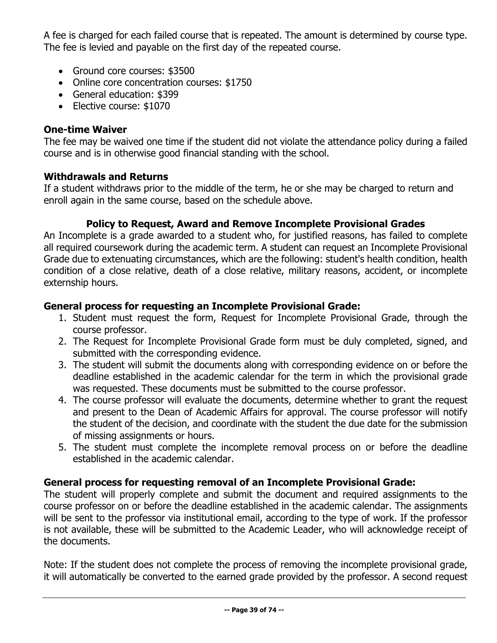A fee is charged for each failed course that is repeated. The amount is determined by course type. The fee is levied and payable on the first day of the repeated course.

- Ground core courses: \$3500
- Online core concentration courses: \$1750
- General education: \$399
- Elective course: \$1070

# **One-time Waiver**

The fee may be waived one time if the student did not violate the attendance policy during a failed course and is in otherwise good financial standing with the school.

# **Withdrawals and Returns**

If a student withdraws prior to the middle of the term, he or she may be charged to return and enroll again in the same course, based on the schedule above.

# **Policy to Request, Award and Remove Incomplete Provisional Grades**

An Incomplete is a grade awarded to a student who, for justified reasons, has failed to complete all required coursework during the academic term. A student can request an Incomplete Provisional Grade due to extenuating circumstances, which are the following: student's health condition, health condition of a close relative, death of a close relative, military reasons, accident, or incomplete externship hours.

# **General process for requesting an Incomplete Provisional Grade:**

- 1. Student must request the form, Request for Incomplete Provisional Grade, through the course professor.
- 2. The Request for Incomplete Provisional Grade form must be duly completed, signed, and submitted with the corresponding evidence.
- 3. The student will submit the documents along with corresponding evidence on or before the deadline established in the academic calendar for the term in which the provisional grade was requested. These documents must be submitted to the course professor.
- 4. The course professor will evaluate the documents, determine whether to grant the request and present to the Dean of Academic Affairs for approval. The course professor will notify the student of the decision, and coordinate with the student the due date for the submission of missing assignments or hours.
- 5. The student must complete the incomplete removal process on or before the deadline established in the academic calendar.

# **General process for requesting removal of an Incomplete Provisional Grade:**

The student will properly complete and submit the document and required assignments to the course professor on or before the deadline established in the academic calendar. The assignments will be sent to the professor via institutional email, according to the type of work. If the professor is not available, these will be submitted to the Academic Leader, who will acknowledge receipt of the documents.

Note: If the student does not complete the process of removing the incomplete provisional grade, it will automatically be converted to the earned grade provided by the professor. A second request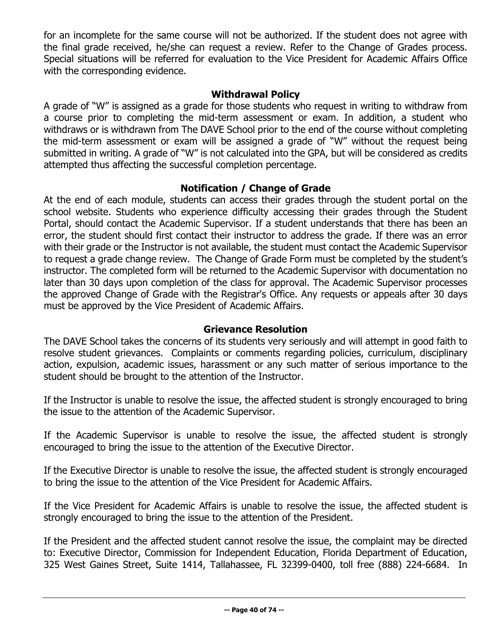for an incomplete for the same course will not be authorized. If the student does not agree with the final grade received, he/she can request a review. Refer to the Change of Grades process. Special situations will be referred for evaluation to the Vice President for Academic Affairs Office with the corresponding evidence.

### **Withdrawal Policy**

A grade of "W" is assigned as a grade for those students who request in writing to withdraw from a course prior to completing the mid-term assessment or exam. In addition, a student who withdraws or is withdrawn from The DAVE School prior to the end of the course without completing the mid-term assessment or exam will be assigned a grade of "W" without the request being submitted in writing. A grade of "W" is not calculated into the GPA, but will be considered as credits attempted thus affecting the successful completion percentage.

### **Notification / Change of Grade**

At the end of each module, students can access their grades through the student portal on the school website. Students who experience difficulty accessing their grades through the Student Portal, should contact the Academic Supervisor. If a student understands that there has been an error, the student should first contact their instructor to address the grade. If there was an error with their grade or the Instructor is not available, the student must contact the Academic Supervisor to request a grade change review. The Change of Grade Form must be completed by the student's instructor. The completed form will be returned to the Academic Supervisor with documentation no later than 30 days upon completion of the class for approval. The Academic Supervisor processes the approved Change of Grade with the Registrar's Office. Any requests or appeals after 30 days must be approved by the Vice President of Academic Affairs.

### **Grievance Resolution**

The DAVE School takes the concerns of its students very seriously and will attempt in good faith to resolve student grievances. Complaints or comments regarding policies, curriculum, disciplinary action, expulsion, academic issues, harassment or any such matter of serious importance to the student should be brought to the attention of the Instructor.

If the Instructor is unable to resolve the issue, the affected student is strongly encouraged to bring the issue to the attention of the Academic Supervisor.

If the Academic Supervisor is unable to resolve the issue, the affected student is strongly encouraged to bring the issue to the attention of the Executive Director.

If the Executive Director is unable to resolve the issue, the affected student is strongly encouraged to bring the issue to the attention of the Vice President for Academic Affairs.

If the Vice President for Academic Affairs is unable to resolve the issue, the affected student is strongly encouraged to bring the issue to the attention of the President.

If the President and the affected student cannot resolve the issue, the complaint may be directed to: Executive Director, Commission for Independent Education, Florida Department of Education, 325 West Gaines Street, Suite 1414, Tallahassee, FL 32399-0400, toll free (888) 224-6684. In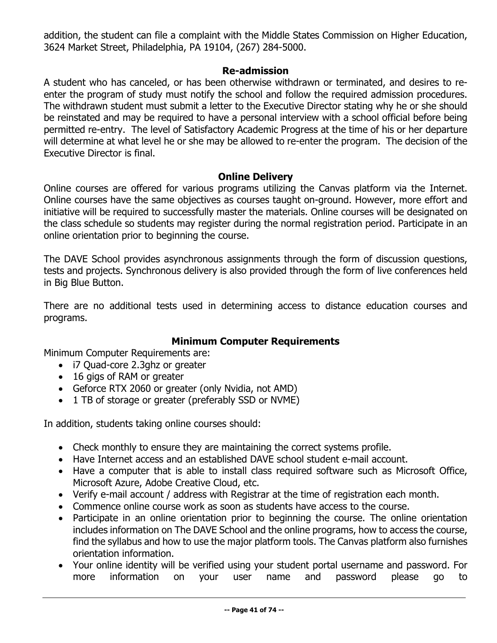addition, the student can file a complaint with the Middle States Commission on Higher Education, 3624 Market Street, Philadelphia, PA 19104, (267) 284-5000.

### **Re-admission**

A student who has canceled, or has been otherwise withdrawn or terminated, and desires to reenter the program of study must notify the school and follow the required admission procedures. The withdrawn student must submit a letter to the Executive Director stating why he or she should be reinstated and may be required to have a personal interview with a school official before being permitted re-entry. The level of Satisfactory Academic Progress at the time of his or her departure will determine at what level he or she may be allowed to re-enter the program. The decision of the Executive Director is final.

### **Online Delivery**

Online courses are offered for various programs utilizing the Canvas platform via the Internet. Online courses have the same objectives as courses taught on-ground. However, more effort and initiative will be required to successfully master the materials. Online courses will be designated on the class schedule so students may register during the normal registration period. Participate in an online orientation prior to beginning the course.

The DAVE School provides asynchronous assignments through the form of discussion questions, tests and projects. Synchronous delivery is also provided through the form of live conferences held in Big Blue Button.

There are no additional tests used in determining access to distance education courses and programs.

### **Minimum Computer Requirements**

Minimum Computer Requirements are:

- i7 Quad-core 2.3ghz or greater
- 16 gigs of RAM or greater
- Geforce RTX 2060 or greater (only Nvidia, not AMD)
- 1 TB of storage or greater (preferably SSD or NVME)

In addition, students taking online courses should:

- Check monthly to ensure they are maintaining the correct systems profile.
- Have Internet access and an established DAVE school student e-mail account.
- Have a computer that is able to install class required software such as Microsoft Office, Microsoft Azure, Adobe Creative Cloud, etc.
- Verify e-mail account / address with Registrar at the time of registration each month.
- Commence online course work as soon as students have access to the course.
- Participate in an online orientation prior to beginning the course. The online orientation includes information on The DAVE School and the online programs, how to access the course, find the syllabus and how to use the major platform tools. The Canvas platform also furnishes orientation information.
- Your online identity will be verified using your student portal username and password. For more information on your user name and password please go to more information on your user name and password please go to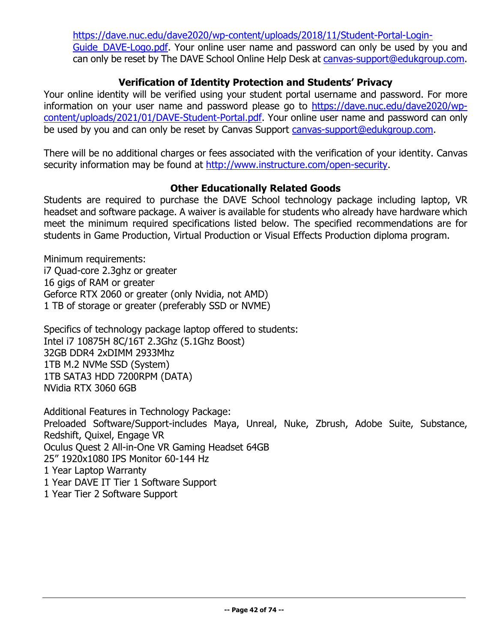[https://dave.nuc.edu/dave2020/wp-content/uploads/2018/11/Student-Portal-Login-](https://dave.nuc.edu/dave2020/wp-content/uploads/2018/11/Student-Portal-Login-Guide_DAVE-Logo.pdf)Guide DAVE-Logo.pdf. Your online user name and password can only be used by you and can only be reset by The DAVE School Online Help Desk at [canvas-support@edukgroup.com.](mailto:canvas-support@edukgroup.com)

# **Verification of Identity Protection and Students' Privacy**

Your online identity will be verified using your student portal username and password. For more information on your user name and password please go to [https://dave.nuc.edu/dave2020/wp](https://dave.nuc.edu/dave2020/wp-content/uploads/2021/01/DAVE-Student-Portal.pdf)[content/uploads/2021/01/DAVE-Student-Portal.pdf.](https://dave.nuc.edu/dave2020/wp-content/uploads/2021/01/DAVE-Student-Portal.pdf) Your online user name and password can only be used by you and can only be reset by Canvas Support [canvas-support@edukgroup.com.](mailto:canvas-support@edukgroup.com)

There will be no additional charges or fees associated with the verification of your identity. Canvas security information may be found at [http://www.instructure.com/open-security.](http://www.instructure.com/open-security)

### **Other Educationally Related Goods**

Students are required to purchase the DAVE School technology package including laptop, VR headset and software package. A waiver is available for students who already have hardware which meet the minimum required specifications listed below. The specified recommendations are for students in Game Production, Virtual Production or Visual Effects Production diploma program.

Minimum requirements: i7 Quad-core 2.3ghz or greater 16 gigs of RAM or greater Geforce RTX 2060 or greater (only Nvidia, not AMD) 1 TB of storage or greater (preferably SSD or NVME)

Specifics of technology package laptop offered to students: Intel i7 10875H 8C/16T 2.3Ghz (5.1Ghz Boost) 32GB DDR4 2xDIMM 2933Mhz 1TB M.2 NVMe SSD (System) 1TB SATA3 HDD 7200RPM (DATA) NVidia RTX 3060 6GB

Additional Features in Technology Package: Preloaded Software/Support-includes Maya, Unreal, Nuke, Zbrush, Adobe Suite, Substance, Redshift, Quixel, Engage VR Oculus Quest 2 All-in-One VR Gaming Headset 64GB 25" 1920x1080 IPS Monitor 60-144 Hz 1 Year Laptop Warranty 1 Year DAVE IT Tier 1 Software Support 1 Year Tier 2 Software Support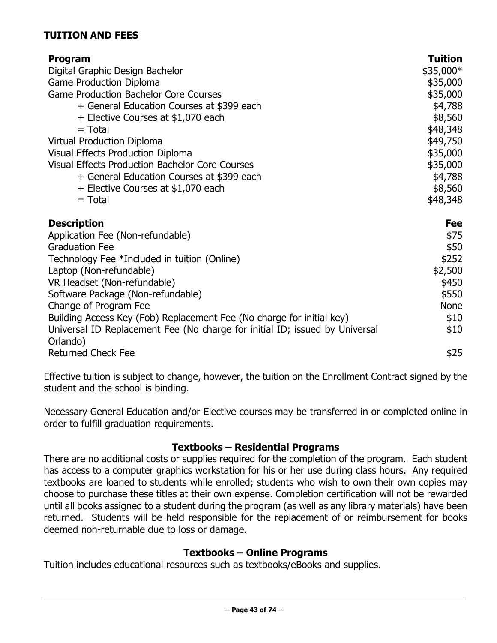# **TUITION AND FEES**

| Program<br>Digital Graphic Design Bachelor<br><b>Game Production Diploma</b><br><b>Game Production Bachelor Core Courses</b><br>+ General Education Courses at \$399 each<br>+ Elective Courses at \$1,070 each<br>$=$ Total<br><b>Virtual Production Diploma</b> | <b>Tuition</b><br>\$35,000*<br>\$35,000<br>\$35,000<br>\$4,788<br>\$8,560<br>\$48,348<br>\$49,750 |
|-------------------------------------------------------------------------------------------------------------------------------------------------------------------------------------------------------------------------------------------------------------------|---------------------------------------------------------------------------------------------------|
| Visual Effects Production Diploma<br><b>Visual Effects Production Bachelor Core Courses</b><br>+ General Education Courses at \$399 each<br>+ Elective Courses at \$1,070 each<br>$=$ Total                                                                       | \$35,000<br>\$35,000<br>\$4,788<br>\$8,560<br>\$48,348                                            |
| <b>Description</b>                                                                                                                                                                                                                                                | <b>Fee</b>                                                                                        |
| Application Fee (Non-refundable)                                                                                                                                                                                                                                  | \$75                                                                                              |
| <b>Graduation Fee</b>                                                                                                                                                                                                                                             | \$50                                                                                              |
| Technology Fee *Included in tuition (Online)                                                                                                                                                                                                                      | \$252                                                                                             |
| Laptop (Non-refundable)                                                                                                                                                                                                                                           | \$2,500                                                                                           |
| VR Headset (Non-refundable)                                                                                                                                                                                                                                       | \$450                                                                                             |
| Software Package (Non-refundable)<br>Change of Program Fee                                                                                                                                                                                                        | \$550<br><b>None</b>                                                                              |
| Building Access Key (Fob) Replacement Fee (No charge for initial key)                                                                                                                                                                                             | \$10                                                                                              |
| Universal ID Replacement Fee (No charge for initial ID; issued by Universal<br>Orlando)                                                                                                                                                                           | \$10                                                                                              |
| <b>Returned Check Fee</b>                                                                                                                                                                                                                                         | \$25                                                                                              |

Effective tuition is subject to change, however, the tuition on the Enrollment Contract signed by the student and the school is binding.

Necessary General Education and/or Elective courses may be transferred in or completed online in order to fulfill graduation requirements.

### **Textbooks – Residential Programs**

There are no additional costs or supplies required for the completion of the program. Each student has access to a computer graphics workstation for his or her use during class hours. Any required textbooks are loaned to students while enrolled; students who wish to own their own copies may choose to purchase these titles at their own expense. Completion certification will not be rewarded until all books assigned to a student during the program (as well as any library materials) have been returned. Students will be held responsible for the replacement of or reimbursement for books deemed non-returnable due to loss or damage.

# **Textbooks – Online Programs**

Tuition includes educational resources such as textbooks/eBooks and supplies.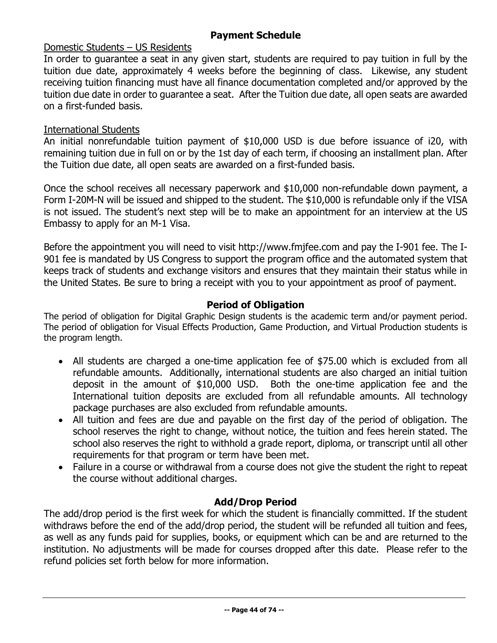# **Payment Schedule**

### Domestic Students – US Residents

In order to guarantee a seat in any given start, students are required to pay tuition in full by the tuition due date, approximately 4 weeks before the beginning of class. Likewise, any student receiving tuition financing must have all finance documentation completed and/or approved by the tuition due date in order to guarantee a seat. After the Tuition due date, all open seats are awarded on a first-funded basis.

### International Students

An initial nonrefundable tuition payment of \$10,000 USD is due before issuance of i20, with remaining tuition due in full on or by the 1st day of each term, if choosing an installment plan. After the Tuition due date, all open seats are awarded on a first-funded basis.

Once the school receives all necessary paperwork and \$10,000 non-refundable down payment, a Form I-20M-N will be issued and shipped to the student. The \$10,000 is refundable only if the VISA is not issued. The student's next step will be to make an appointment for an interview at the US Embassy to apply for an M-1 Visa.

Before the appointment you will need to visit http://www.fmjfee.com and pay the I-901 fee. The I-901 fee is mandated by US Congress to support the program office and the automated system that keeps track of students and exchange visitors and ensures that they maintain their status while in the United States. Be sure to bring a receipt with you to your appointment as proof of payment.

### **Period of Obligation**

The period of obligation for Digital Graphic Design students is the academic term and/or payment period. The period of obligation for Visual Effects Production, Game Production, and Virtual Production students is the program length.

- All students are charged a one-time application fee of \$75.00 which is excluded from all refundable amounts. Additionally, international students are also charged an initial tuition deposit in the amount of \$10,000 USD. Both the one-time application fee and the International tuition deposits are excluded from all refundable amounts. All technology package purchases are also excluded from refundable amounts.
- All tuition and fees are due and payable on the first day of the period of obligation. The school reserves the right to change, without notice, the tuition and fees herein stated. The school also reserves the right to withhold a grade report, diploma, or transcript until all other requirements for that program or term have been met.
- Failure in a course or withdrawal from a course does not give the student the right to repeat the course without additional charges.

### **Add/Drop Period**

The add/drop period is the first week for which the student is financially committed. If the student withdraws before the end of the add/drop period, the student will be refunded all tuition and fees, as well as any funds paid for supplies, books, or equipment which can be and are returned to the institution. No adjustments will be made for courses dropped after this date. Please refer to the refund policies set forth below for more information.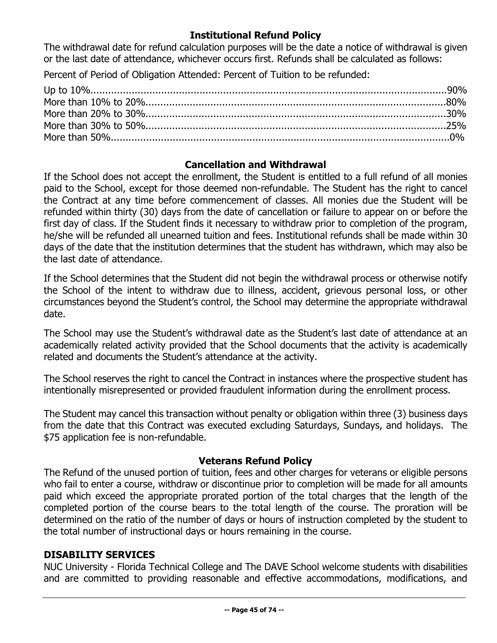### **Institutional Refund Policy**

The withdrawal date for refund calculation purposes will be the date a notice of withdrawal is given or the last date of attendance, whichever occurs first. Refunds shall be calculated as follows:

Percent of Period of Obligation Attended: Percent of Tuition to be refunded:

### **Cancellation and Withdrawal**

If the School does not accept the enrollment, the Student is entitled to a full refund of all monies paid to the School, except for those deemed non-refundable. The Student has the right to cancel the Contract at any time before commencement of classes. All monies due the Student will be refunded within thirty (30) days from the date of cancellation or failure to appear on or before the first day of class. If the Student finds it necessary to withdraw prior to completion of the program, he/she will be refunded all unearned tuition and fees. Institutional refunds shall be made within 30 days of the date that the institution determines that the student has withdrawn, which may also be the last date of attendance.

If the School determines that the Student did not begin the withdrawal process or otherwise notify the School of the intent to withdraw due to illness, accident, grievous personal loss, or other circumstances beyond the Student's control, the School may determine the appropriate withdrawal date.

The School may use the Student's withdrawal date as the Student's last date of attendance at an academically related activity provided that the School documents that the activity is academically related and documents the Student's attendance at the activity.

The School reserves the right to cancel the Contract in instances where the prospective student has intentionally misrepresented or provided fraudulent information during the enrollment process.

The Student may cancel this transaction without penalty or obligation within three (3) business days from the date that this Contract was executed excluding Saturdays, Sundays, and holidays. The \$75 application fee is non-refundable.

### **Veterans Refund Policy**

The Refund of the unused portion of tuition, fees and other charges for veterans or eligible persons who fail to enter a course, withdraw or discontinue prior to completion will be made for all amounts paid which exceed the appropriate prorated portion of the total charges that the length of the completed portion of the course bears to the total length of the course. The proration will be determined on the ratio of the number of days or hours of instruction completed by the student to the total number of instructional days or hours remaining in the course.

### **DISABILITY SERVICES**

NUC University - Florida Technical College and The DAVE School welcome students with disabilities and are committed to providing reasonable and effective accommodations, modifications, and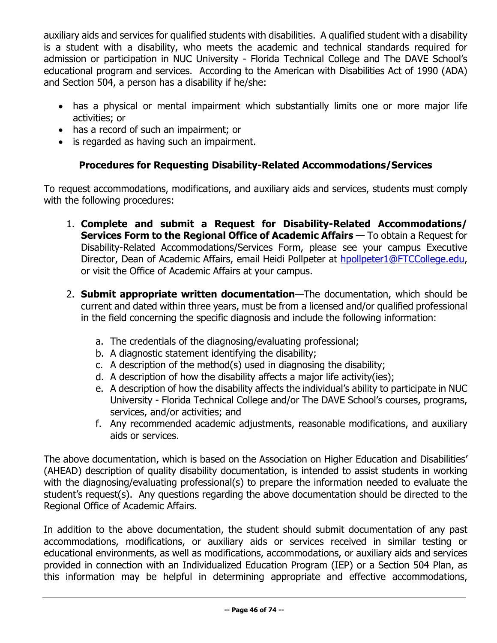auxiliary aids and services for qualified students with disabilities. A qualified student with a disability is a student with a disability, who meets the academic and technical standards required for admission or participation in NUC University - Florida Technical College and The DAVE School's educational program and services. According to the American with Disabilities Act of 1990 (ADA) and Section 504, a person has a disability if he/she:

- has a physical or mental impairment which substantially limits one or more major life activities; or
- has a record of such an impairment; or
- is regarded as having such an impairment.

# **Procedures for Requesting Disability-Related Accommodations/Services**

To request accommodations, modifications, and auxiliary aids and services, students must comply with the following procedures:

- 1. **Complete and submit a Request for Disability-Related Accommodations/ Services Form to the Regional Office of Academic Affairs** — To obtain a Request for Disability-Related Accommodations/Services Form, please see your campus Executive Director, Dean of Academic Affairs, email Heidi Pollpeter at [hpollpeter1@FTCCollege.edu,](mailto:hpollpeter1@FTCCollege.edu) or visit the Office of Academic Affairs at your campus.
- 2. **Submit appropriate written documentation**—The documentation, which should be current and dated within three years, must be from a licensed and/or qualified professional in the field concerning the specific diagnosis and include the following information:
	- a. The credentials of the diagnosing/evaluating professional;
	- b. A diagnostic statement identifying the disability;
	- c. A description of the method(s) used in diagnosing the disability;
	- d. A description of how the disability affects a major life activity(ies);
	- e. A description of how the disability affects the individual's ability to participate in NUC University - Florida Technical College and/or The DAVE School's courses, programs, services, and/or activities; and
	- f. Any recommended academic adjustments, reasonable modifications, and auxiliary aids or services.

The above documentation, which is based on the Association on Higher Education and Disabilities' (AHEAD) description of quality disability documentation, is intended to assist students in working with the diagnosing/evaluating professional(s) to prepare the information needed to evaluate the student's request(s). Any questions regarding the above documentation should be directed to the Regional Office of Academic Affairs.

In addition to the above documentation, the student should submit documentation of any past accommodations, modifications, or auxiliary aids or services received in similar testing or educational environments, as well as modifications, accommodations, or auxiliary aids and services provided in connection with an Individualized Education Program (IEP) or a Section 504 Plan, as this information may be helpful in determining appropriate and effective accommodations,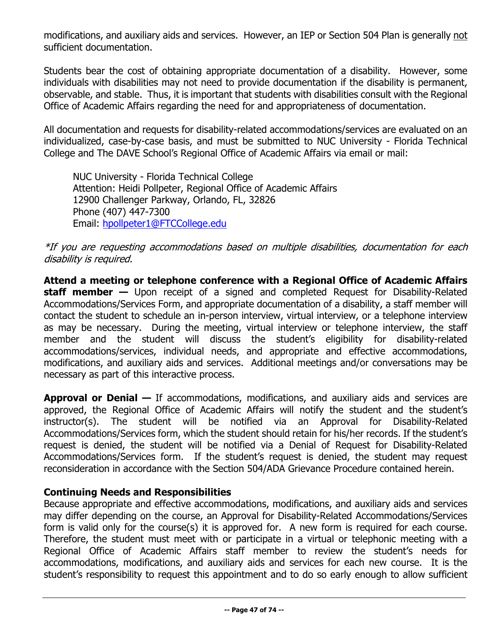modifications, and auxiliary aids and services. However, an IEP or Section 504 Plan is generally not sufficient documentation.

Students bear the cost of obtaining appropriate documentation of a disability. However, some individuals with disabilities may not need to provide documentation if the disability is permanent, observable, and stable. Thus, it is important that students with disabilities consult with the Regional Office of Academic Affairs regarding the need for and appropriateness of documentation.

All documentation and requests for disability-related accommodations/services are evaluated on an individualized, case-by-case basis, and must be submitted to NUC University - Florida Technical College and The DAVE School's Regional Office of Academic Affairs via email or mail:

NUC University - Florida Technical College Attention: Heidi Pollpeter, Regional Office of Academic Affairs 12900 Challenger Parkway, Orlando, FL, 32826 Phone (407) 447-7300 Email: [hpollpeter1@FTCCollege.edu](mailto:hpollpeter1@FTCCollege.edu)

### \*If you are requesting accommodations based on multiple disabilities, documentation for each disability is required.

**Attend a meeting or telephone conference with a Regional Office of Academic Affairs staff member —** Upon receipt of a signed and completed Request for Disability-Related Accommodations/Services Form, and appropriate documentation of a disability, a staff member will contact the student to schedule an in-person interview, virtual interview, or a telephone interview as may be necessary. During the meeting, virtual interview or telephone interview, the staff member and the student will discuss the student's eligibility for disability-related accommodations/services, individual needs, and appropriate and effective accommodations, modifications, and auxiliary aids and services. Additional meetings and/or conversations may be necessary as part of this interactive process.

**Approval or Denial —** If accommodations, modifications, and auxiliary aids and services are approved, the Regional Office of Academic Affairs will notify the student and the student's instructor(s). The student will be notified via an Approval for Disability-Related Accommodations/Services form, which the student should retain for his/her records. If the student's request is denied, the student will be notified via a Denial of Request for Disability-Related Accommodations/Services form. If the student's request is denied, the student may request reconsideration in accordance with the Section 504/ADA Grievance Procedure contained herein.

### **Continuing Needs and Responsibilities**

Because appropriate and effective accommodations, modifications, and auxiliary aids and services may differ depending on the course, an Approval for Disability-Related Accommodations/Services form is valid only for the course(s) it is approved for. A new form is required for each course. Therefore, the student must meet with or participate in a virtual or telephonic meeting with a Regional Office of Academic Affairs staff member to review the student's needs for accommodations, modifications, and auxiliary aids and services for each new course. It is the student's responsibility to request this appointment and to do so early enough to allow sufficient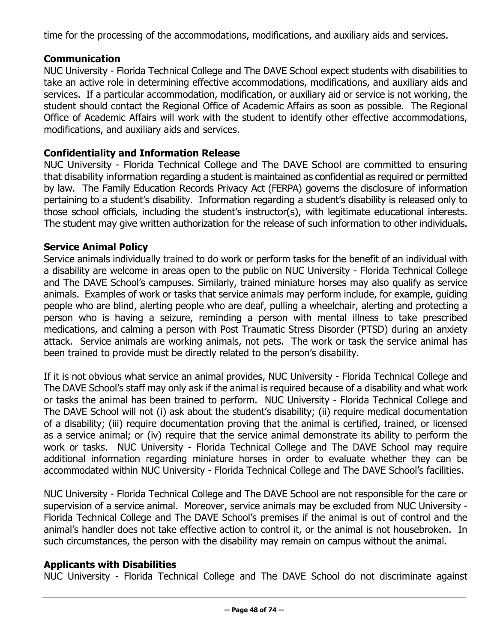time for the processing of the accommodations, modifications, and auxiliary aids and services.

# **Communication**

NUC University - Florida Technical College and The DAVE School expect students with disabilities to take an active role in determining effective accommodations, modifications, and auxiliary aids and services. If a particular accommodation, modification, or auxiliary aid or service is not working, the student should contact the Regional Office of Academic Affairs as soon as possible. The Regional Office of Academic Affairs will work with the student to identify other effective accommodations, modifications, and auxiliary aids and services.

# **Confidentiality and Information Release**

NUC University - Florida Technical College and The DAVE School are committed to ensuring that disability information regarding a student is maintained as confidential as required or permitted by law. The Family Education Records Privacy Act (FERPA) governs the disclosure of information pertaining to a student's disability. Information regarding a student's disability is released only to those school officials, including the student's instructor(s), with legitimate educational interests. The student may give written authorization for the release of such information to other individuals.

### **Service Animal Policy**

Service animals individually trained to do work or perform tasks for the benefit of an individual with a disability are welcome in areas open to the public on NUC University - Florida Technical College and The DAVE School's campuses. Similarly, trained miniature horses may also qualify as service animals. Examples of work or tasks that service animals may perform include, for example, guiding people who are blind, alerting people who are deaf, pulling a wheelchair, alerting and protecting a person who is having a seizure, reminding a person with mental illness to take prescribed medications, and calming a person with Post Traumatic Stress Disorder (PTSD) during an anxiety attack. Service animals are working animals, not pets. The work or task the service animal has been trained to provide must be directly related to the person's disability.

If it is not obvious what service an animal provides, NUC University - Florida Technical College and The DAVE School's staff may only ask if the animal is required because of a disability and what work or tasks the animal has been trained to perform. NUC University - Florida Technical College and The DAVE School will not (i) ask about the student's disability; (ii) require medical documentation of a disability; (iii) require documentation proving that the animal is certified, trained, or licensed as a service animal; or (iv) require that the service animal demonstrate its ability to perform the work or tasks. NUC University - Florida Technical College and The DAVE School may require additional information regarding miniature horses in order to evaluate whether they can be accommodated within NUC University - Florida Technical College and The DAVE School's facilities.

NUC University - Florida Technical College and The DAVE School are not responsible for the care or supervision of a service animal. Moreover, service animals may be excluded from NUC University - Florida Technical College and The DAVE School's premises if the animal is out of control and the animal's handler does not take effective action to control it, or the animal is not housebroken. In such circumstances, the person with the disability may remain on campus without the animal.

### **Applicants with Disabilities**

NUC University - Florida Technical College and The DAVE School do not discriminate against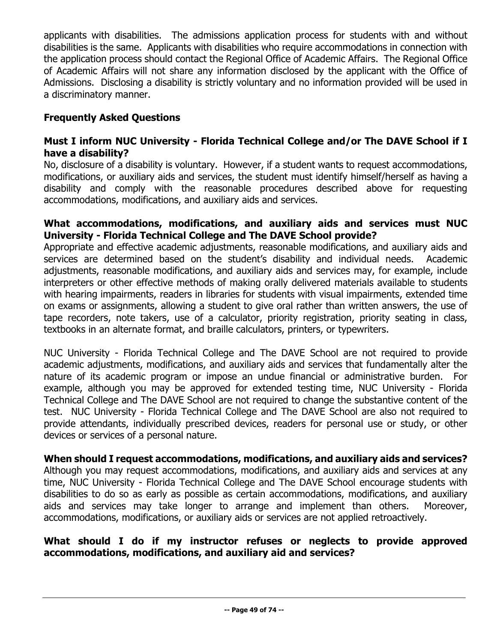applicants with disabilities. The admissions application process for students with and without disabilities is the same. Applicants with disabilities who require accommodations in connection with the application process should contact the Regional Office of Academic Affairs. The Regional Office of Academic Affairs will not share any information disclosed by the applicant with the Office of Admissions. Disclosing a disability is strictly voluntary and no information provided will be used in a discriminatory manner.

# **Frequently Asked Questions**

### **Must I inform NUC University - Florida Technical College and/or The DAVE School if I have a disability?**

No, disclosure of a disability is voluntary. However, if a student wants to request accommodations, modifications, or auxiliary aids and services, the student must identify himself/herself as having a disability and comply with the reasonable procedures described above for requesting accommodations, modifications, and auxiliary aids and services.

### **What accommodations, modifications, and auxiliary aids and services must NUC University - Florida Technical College and The DAVE School provide?**

Appropriate and effective academic adjustments, reasonable modifications, and auxiliary aids and services are determined based on the student's disability and individual needs. Academic adjustments, reasonable modifications, and auxiliary aids and services may, for example, include interpreters or other effective methods of making orally delivered materials available to students with hearing impairments, readers in libraries for students with visual impairments, extended time on exams or assignments, allowing a student to give oral rather than written answers, the use of tape recorders, note takers, use of a calculator, priority registration, priority seating in class, textbooks in an alternate format, and braille calculators, printers, or typewriters.

NUC University - Florida Technical College and The DAVE School are not required to provide academic adjustments, modifications, and auxiliary aids and services that fundamentally alter the nature of its academic program or impose an undue financial or administrative burden. For example, although you may be approved for extended testing time, NUC University - Florida Technical College and The DAVE School are not required to change the substantive content of the test. NUC University - Florida Technical College and The DAVE School are also not required to provide attendants, individually prescribed devices, readers for personal use or study, or other devices or services of a personal nature.

### **When should I request accommodations, modifications, and auxiliary aids and services?**

Although you may request accommodations, modifications, and auxiliary aids and services at any time, NUC University - Florida Technical College and The DAVE School encourage students with disabilities to do so as early as possible as certain accommodations, modifications, and auxiliary aids and services may take longer to arrange and implement than others. Moreover, accommodations, modifications, or auxiliary aids or services are not applied retroactively.

# **What should I do if my instructor refuses or neglects to provide approved accommodations, modifications, and auxiliary aid and services?**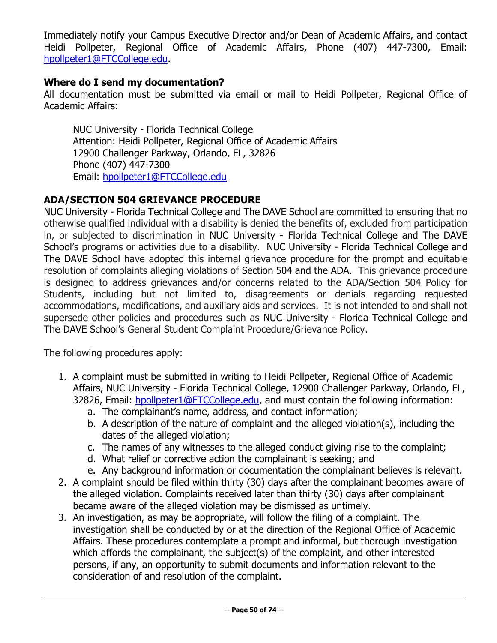Immediately notify your Campus Executive Director and/or Dean of Academic Affairs, and contact Heidi Pollpeter, Regional Office of Academic Affairs, Phone (407) 447-7300, Email: [hpollpeter1@FTCCollege.edu.](mailto:hpollpeter1@FTCCollege.edu)

# **Where do I send my documentation?**

All documentation must be submitted via email or mail to Heidi Pollpeter, Regional Office of Academic Affairs:

NUC University - Florida Technical College Attention: Heidi Pollpeter, Regional Office of Academic Affairs 12900 Challenger Parkway, Orlando, FL, 32826 Phone (407) 447-7300 Email: [hpollpeter1@FTCCollege.edu](mailto:hpollpeter1@FTCCollege.edu)

# **ADA/SECTION 504 GRIEVANCE PROCEDURE**

NUC University - Florida Technical College and The DAVE School are committed to ensuring that no otherwise qualified individual with a disability is denied the benefits of, excluded from participation in, or subjected to discrimination in NUC University - Florida Technical College and The DAVE School's programs or activities due to a disability. NUC University - Florida Technical College and The DAVE School have adopted this internal grievance procedure for the prompt and equitable resolution of complaints alleging violations of Section 504 and the ADA. This grievance procedure is designed to address grievances and/or concerns related to the ADA/Section 504 Policy for Students, including but not limited to, disagreements or denials regarding requested accommodations, modifications, and auxiliary aids and services. It is not intended to and shall not supersede other policies and procedures such as NUC University - Florida Technical College and The DAVE School's General Student Complaint Procedure/Grievance Policy.

The following procedures apply:

- 1. A complaint must be submitted in writing to Heidi Pollpeter, Regional Office of Academic Affairs, NUC University - Florida Technical College, 12900 Challenger Parkway, Orlando, FL, 32826, Email: [hpollpeter1@FTCCollege.edu,](mailto:hpollpeter1@FTCCollege.edu) and must contain the following information:
	- a. The complainant's name, address, and contact information;
	- b. A description of the nature of complaint and the alleged violation(s), including the dates of the alleged violation;
	- c. The names of any witnesses to the alleged conduct giving rise to the complaint;
	- d. What relief or corrective action the complainant is seeking; and
	- e. Any background information or documentation the complainant believes is relevant.
- 2. A complaint should be filed within thirty (30) days after the complainant becomes aware of the alleged violation. Complaints received later than thirty (30) days after complainant became aware of the alleged violation may be dismissed as untimely.
- 3. An investigation, as may be appropriate, will follow the filing of a complaint. The investigation shall be conducted by or at the direction of the Regional Office of Academic Affairs. These procedures contemplate a prompt and informal, but thorough investigation which affords the complainant, the subject(s) of the complaint, and other interested persons, if any, an opportunity to submit documents and information relevant to the consideration of and resolution of the complaint.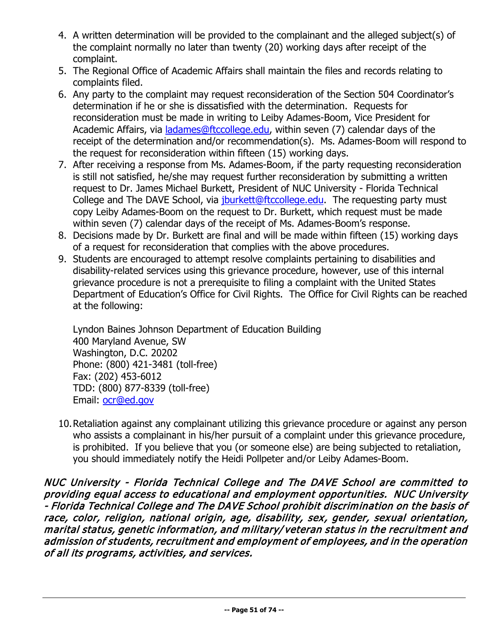- 4. A written determination will be provided to the complainant and the alleged subject(s) of the complaint normally no later than twenty (20) working days after receipt of the complaint.
- 5. The Regional Office of Academic Affairs shall maintain the files and records relating to complaints filed.
- 6. Any party to the complaint may request reconsideration of the Section 504 Coordinator's determination if he or she is dissatisfied with the determination. Requests for reconsideration must be made in writing to Leiby Adames-Boom, Vice President for Academic Affairs, via [ladames@ftccollege.edu,](mailto:ladames@ftccollege.edu) within seven (7) calendar days of the receipt of the determination and/or recommendation(s). Ms. Adames-Boom will respond to the request for reconsideration within fifteen (15) working days.
- 7. After receiving a response from Ms. Adames-Boom, if the party requesting reconsideration is still not satisfied, he/she may request further reconsideration by submitting a written request to Dr. James Michael Burkett, President of NUC University - Florida Technical College and The DAVE School, via [jburkett@ftccollege.edu.](mailto:jburkett@ftccollege.edu) The requesting party must copy Leiby Adames-Boom on the request to Dr. Burkett, which request must be made within seven (7) calendar days of the receipt of Ms. Adames-Boom's response.
- 8. Decisions made by Dr. Burkett are final and will be made within fifteen (15) working days of a request for reconsideration that complies with the above procedures.
- 9. Students are encouraged to attempt resolve complaints pertaining to disabilities and disability-related services using this grievance procedure, however, use of this internal grievance procedure is not a prerequisite to filing a complaint with the United States Department of Education's Office for Civil Rights. The Office for Civil Rights can be reached at the following:

Lyndon Baines Johnson Department of Education Building 400 Maryland Avenue, SW Washington, D.C. 20202 Phone: (800) 421-3481 (toll-free) Fax: (202) 453-6012 TDD: (800) 877-8339 (toll-free) Email: [ocr@ed.gov](mailto:ocr@ed.gov) 

10.Retaliation against any complainant utilizing this grievance procedure or against any person who assists a complainant in his/her pursuit of a complaint under this grievance procedure, is prohibited. If you believe that you (or someone else) are being subjected to retaliation, you should immediately notify the Heidi Pollpeter and/or Leiby Adames-Boom.

NUC University - Florida Technical College and The DAVE School are committed to providing equal access to educational and employment opportunities. NUC University - Florida Technical College and The DAVE School prohibit discrimination on the basis of race, color, religion, national origin, age, disability, sex, gender, sexual orientation, marital status, genetic information, and military/ veteran status in the recruitment and admission of students, recruitment and employment of employees, and in the operation of all its programs, activities, and services.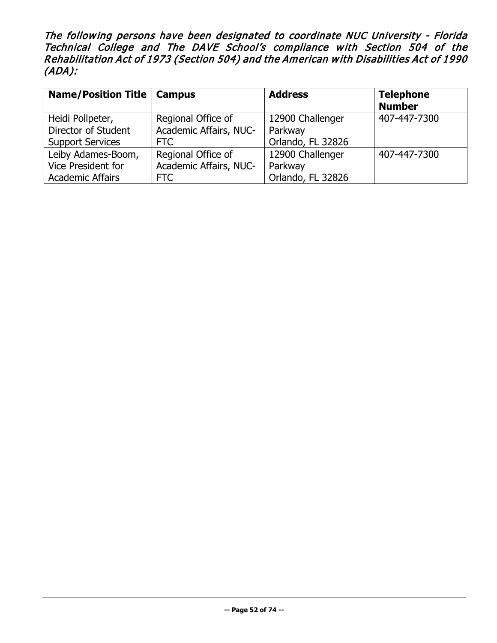The following persons have been designated to coordinate NUC University - Florida Technical College and The DAVE School's compliance with Section 504 of the Rehabilitation Act of 1973 (Section 504) and the American with Disabilities Act of 1990 (ADA):

| <b>Name/Position Title   Campus</b> |                        | <b>Address</b>    | <b>Telephone</b><br><b>Number</b> |
|-------------------------------------|------------------------|-------------------|-----------------------------------|
| Heidi Pollpeter,                    | Regional Office of     | 12900 Challenger  | 407-447-7300                      |
| Director of Student                 | Academic Affairs, NUC- | Parkway           |                                   |
| <b>Support Services</b>             | <b>FTC</b>             | Orlando, FL 32826 |                                   |
| Leiby Adames-Boom,                  | Regional Office of     | 12900 Challenger  | 407-447-7300                      |
| Vice President for                  | Academic Affairs, NUC- | Parkway           |                                   |
| <b>Academic Affairs</b>             | FTC                    | Orlando, FL 32826 |                                   |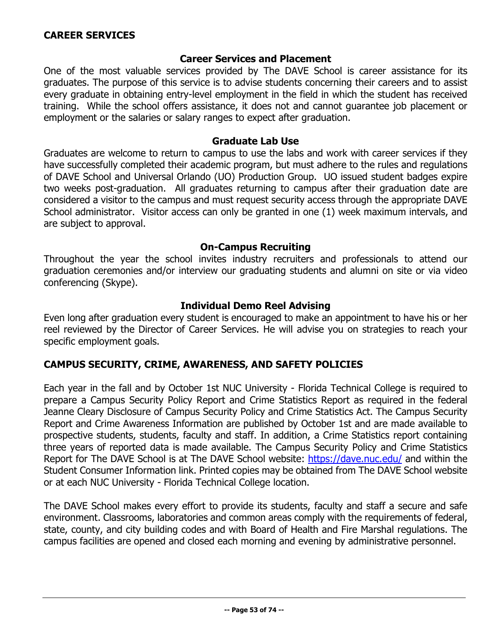### **Career Services and Placement**

One of the most valuable services provided by The DAVE School is career assistance for its graduates. The purpose of this service is to advise students concerning their careers and to assist every graduate in obtaining entry-level employment in the field in which the student has received training. While the school offers assistance, it does not and cannot guarantee job placement or employment or the salaries or salary ranges to expect after graduation.

### **Graduate Lab Use**

Graduates are welcome to return to campus to use the labs and work with career services if they have successfully completed their academic program, but must adhere to the rules and regulations of DAVE School and Universal Orlando (UO) Production Group. UO issued student badges expire two weeks post-graduation. All graduates returning to campus after their graduation date are considered a visitor to the campus and must request security access through the appropriate DAVE School administrator. Visitor access can only be granted in one (1) week maximum intervals, and are subject to approval.

### **On-Campus Recruiting**

Throughout the year the school invites industry recruiters and professionals to attend our graduation ceremonies and/or interview our graduating students and alumni on site or via video conferencing (Skype).

### **Individual Demo Reel Advising**

Even long after graduation every student is encouraged to make an appointment to have his or her reel reviewed by the Director of Career Services. He will advise you on strategies to reach your specific employment goals.

### **CAMPUS SECURITY, CRIME, AWARENESS, AND SAFETY POLICIES**

Each year in the fall and by October 1st NUC University - Florida Technical College is required to prepare a Campus Security Policy Report and Crime Statistics Report as required in the federal Jeanne Cleary Disclosure of Campus Security Policy and Crime Statistics Act. The Campus Security Report and Crime Awareness Information are published by October 1st and are made available to prospective students, students, faculty and staff. In addition, a Crime Statistics report containing three years of reported data is made available. The Campus Security Policy and Crime Statistics Report for The DAVE School is at The DAVE School website: <https://dave.nuc.edu/> and within the Student Consumer Information link. Printed copies may be obtained from The DAVE School website or at each NUC University - Florida Technical College location.

The DAVE School makes every effort to provide its students, faculty and staff a secure and safe environment. Classrooms, laboratories and common areas comply with the requirements of federal, state, county, and city building codes and with Board of Health and Fire Marshal regulations. The campus facilities are opened and closed each morning and evening by administrative personnel.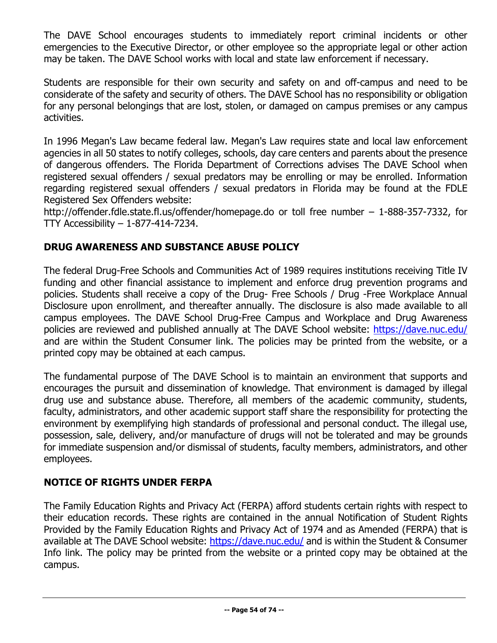The DAVE School encourages students to immediately report criminal incidents or other emergencies to the Executive Director, or other employee so the appropriate legal or other action may be taken. The DAVE School works with local and state law enforcement if necessary.

Students are responsible for their own security and safety on and off-campus and need to be considerate of the safety and security of others. The DAVE School has no responsibility or obligation for any personal belongings that are lost, stolen, or damaged on campus premises or any campus activities.

In 1996 Megan's Law became federal law. Megan's Law requires state and local law enforcement agencies in all 50 states to notify colleges, schools, day care centers and parents about the presence of dangerous offenders. The Florida Department of Corrections advises The DAVE School when registered sexual offenders / sexual predators may be enrolling or may be enrolled. Information regarding registered sexual offenders / sexual predators in Florida may be found at the FDLE Registered Sex Offenders website:

http://offender.fdle.state.fl.us/offender/homepage.do or toll free number – 1-888-357-7332, for TTY Accessibility – 1-877-414-7234.

# **DRUG AWARENESS AND SUBSTANCE ABUSE POLICY**

The federal Drug-Free Schools and Communities Act of 1989 requires institutions receiving Title IV funding and other financial assistance to implement and enforce drug prevention programs and policies. Students shall receive a copy of the Drug- Free Schools / Drug -Free Workplace Annual Disclosure upon enrollment, and thereafter annually. The disclosure is also made available to all campus employees. The DAVE School Drug-Free Campus and Workplace and Drug Awareness policies are reviewed and published annually at The DAVE School website: <https://dave.nuc.edu/> and are within the Student Consumer link. The policies may be printed from the website, or a printed copy may be obtained at each campus.

The fundamental purpose of The DAVE School is to maintain an environment that supports and encourages the pursuit and dissemination of knowledge. That environment is damaged by illegal drug use and substance abuse. Therefore, all members of the academic community, students, faculty, administrators, and other academic support staff share the responsibility for protecting the environment by exemplifying high standards of professional and personal conduct. The illegal use, possession, sale, delivery, and/or manufacture of drugs will not be tolerated and may be grounds for immediate suspension and/or dismissal of students, faculty members, administrators, and other employees.

# **NOTICE OF RIGHTS UNDER FERPA**

The Family Education Rights and Privacy Act (FERPA) afford students certain rights with respect to their education records. These rights are contained in the annual Notification of Student Rights Provided by the Family Education Rights and Privacy Act of 1974 and as Amended (FERPA) that is available at The DAVE School website:<https://dave.nuc.edu/> and is within the Student & Consumer Info link. The policy may be printed from the website or a printed copy may be obtained at the campus.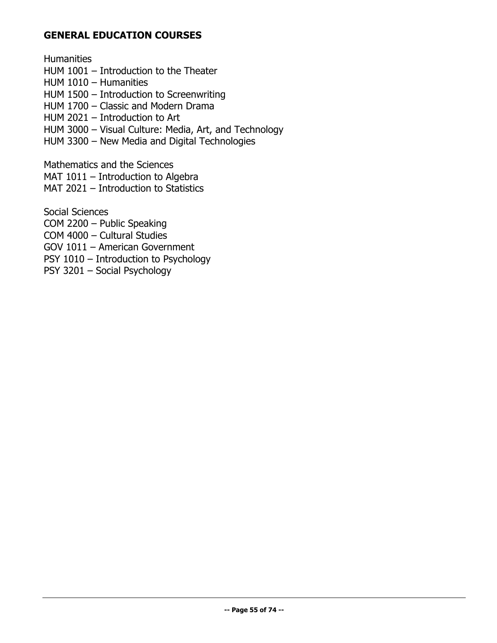### **GENERAL EDUCATION COURSES**

**Humanities** 

- HUM 1001 Introduction to the Theater
- HUM 1010 Humanities
- HUM 1500 Introduction to Screenwriting
- HUM 1700 Classic and Modern Drama
- HUM 2021 Introduction to Art
- HUM 3000 Visual Culture: Media, Art, and Technology
- HUM 3300 New Media and Digital Technologies

Mathematics and the Sciences

- MAT 1011 Introduction to Algebra
- MAT 2021 Introduction to Statistics

Social Sciences

- COM 2200 Public Speaking
- COM 4000 Cultural Studies
- GOV 1011 American Government
- PSY 1010 Introduction to Psychology
- PSY 3201 Social Psychology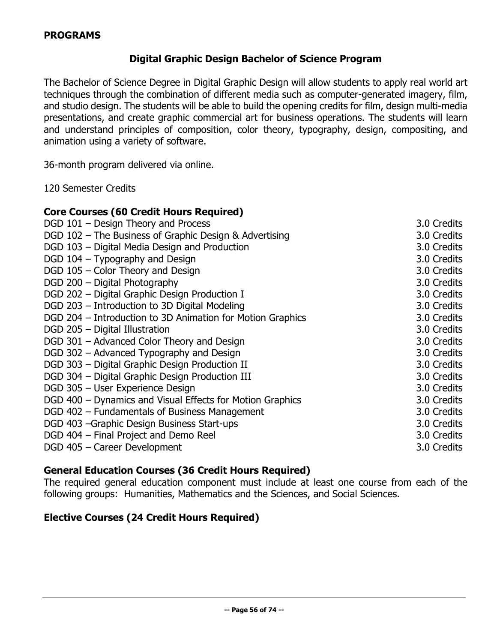# **Digital Graphic Design Bachelor of Science Program**

The Bachelor of Science Degree in Digital Graphic Design will allow students to apply real world art techniques through the combination of different media such as computer-generated imagery, film, and studio design. The students will be able to build the opening credits for film, design multi-media presentations, and create graphic commercial art for business operations. The students will learn and understand principles of composition, color theory, typography, design, compositing, and animation using a variety of software.

36-month program delivered via online.

120 Semester Credits

| <b>Core Courses (60 Credit Hours Required)</b>             |             |
|------------------------------------------------------------|-------------|
| DGD 101 - Design Theory and Process                        | 3.0 Credits |
| DGD 102 - The Business of Graphic Design & Advertising     | 3.0 Credits |
| DGD 103 - Digital Media Design and Production              | 3.0 Credits |
| DGD 104 - Typography and Design                            | 3.0 Credits |
| DGD 105 - Color Theory and Design                          | 3.0 Credits |
| DGD 200 - Digital Photography                              | 3.0 Credits |
| DGD 202 - Digital Graphic Design Production I              | 3.0 Credits |
| DGD 203 - Introduction to 3D Digital Modeling              | 3.0 Credits |
| DGD 204 - Introduction to 3D Animation for Motion Graphics | 3.0 Credits |
| DGD 205 - Digital Illustration                             | 3.0 Credits |
| DGD 301 - Advanced Color Theory and Design                 | 3.0 Credits |
| DGD 302 - Advanced Typography and Design                   | 3.0 Credits |
| DGD 303 - Digital Graphic Design Production II             | 3.0 Credits |
| DGD 304 - Digital Graphic Design Production III            | 3.0 Credits |
| DGD 305 - User Experience Design                           | 3.0 Credits |
| DGD 400 - Dynamics and Visual Effects for Motion Graphics  | 3.0 Credits |
| DGD 402 - Fundamentals of Business Management              | 3.0 Credits |
| DGD 403 - Graphic Design Business Start-ups                | 3.0 Credits |
| DGD 404 - Final Project and Demo Reel                      | 3.0 Credits |
| DGD 405 - Career Development                               | 3.0 Credits |
|                                                            |             |

# **General Education Courses (36 Credit Hours Required)**

The required general education component must include at least one course from each of the following groups: Humanities, Mathematics and the Sciences, and Social Sciences.

### **Elective Courses (24 Credit Hours Required)**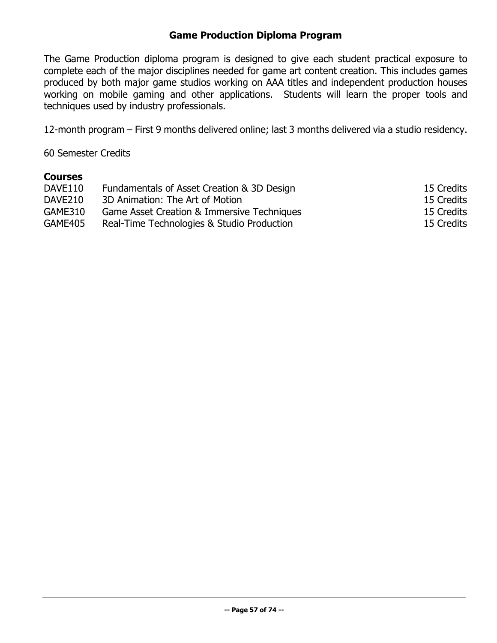# **Game Production Diploma Program**

The Game Production diploma program is designed to give each student practical exposure to complete each of the major disciplines needed for game art content creation. This includes games produced by both major game studios working on AAA titles and independent production houses working on mobile gaming and other applications. Students will learn the proper tools and techniques used by industry professionals.

12-month program – First 9 months delivered online; last 3 months delivered via a studio residency.

60 Semester Credits

### **Courses**

| DAVE110 | Fundamentals of Asset Creation & 3D Design | 15 Credits |
|---------|--------------------------------------------|------------|
| DAVE210 | 3D Animation: The Art of Motion            | 15 Credits |
| GAME310 | Game Asset Creation & Immersive Techniques | 15 Credits |
| GAME405 | Real-Time Technologies & Studio Production | 15 Credits |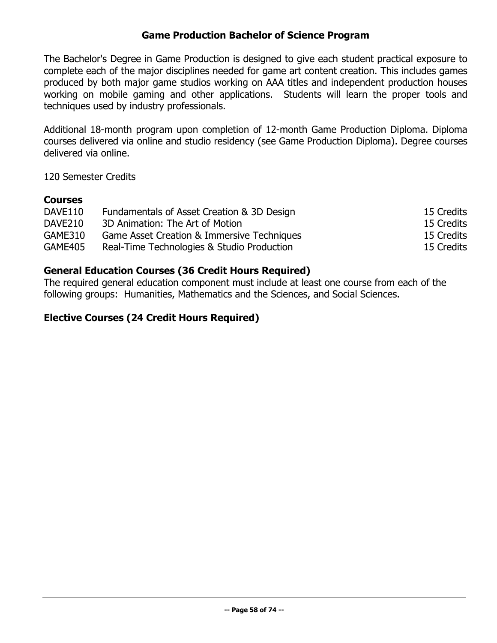# **Game Production Bachelor of Science Program**

The Bachelor's Degree in Game Production is designed to give each student practical exposure to complete each of the major disciplines needed for game art content creation. This includes games produced by both major game studios working on AAA titles and independent production houses working on mobile gaming and other applications. Students will learn the proper tools and techniques used by industry professionals.

Additional 18-month program upon completion of 12-month Game Production Diploma. Diploma courses delivered via online and studio residency (see Game Production Diploma). Degree courses delivered via online.

120 Semester Credits

# **Courses**

| DAVE110 | Fundamentals of Asset Creation & 3D Design | 15 Credits |
|---------|--------------------------------------------|------------|
| DAVE210 | 3D Animation: The Art of Motion            | 15 Credits |
| GAME310 | Game Asset Creation & Immersive Techniques | 15 Credits |
| GAME405 | Real-Time Technologies & Studio Production | 15 Credits |

# **General Education Courses (36 Credit Hours Required)**

The required general education component must include at least one course from each of the following groups: Humanities, Mathematics and the Sciences, and Social Sciences.

# **Elective Courses (24 Credit Hours Required)**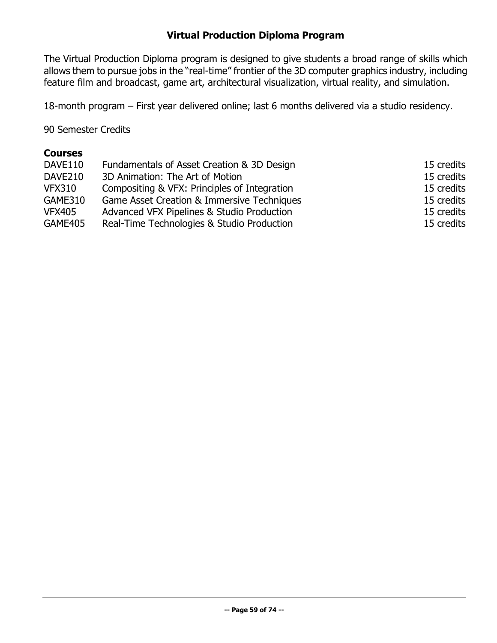# **Virtual Production Diploma Program**

The Virtual Production Diploma program is designed to give students a broad range of skills which allows them to pursue jobs in the "real-time" frontier of the 3D computer graphics industry, including feature film and broadcast, game art, architectural visualization, virtual reality, and simulation.

18-month program – First year delivered online; last 6 months delivered via a studio residency.

90 Semester Credits

### **Courses**

| DAVE110        | Fundamentals of Asset Creation & 3D Design   | 15 credits |
|----------------|----------------------------------------------|------------|
| DAVE210        | 3D Animation: The Art of Motion              | 15 credits |
| <b>VFX310</b>  | Compositing & VFX: Principles of Integration | 15 credits |
| GAME310        | Game Asset Creation & Immersive Techniques   | 15 credits |
| <b>VFX405</b>  | Advanced VFX Pipelines & Studio Production   | 15 credits |
| <b>GAME405</b> | Real-Time Technologies & Studio Production   | 15 credits |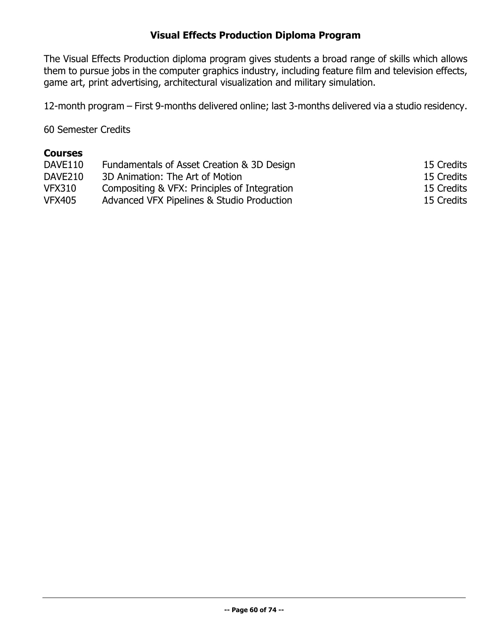# **Visual Effects Production Diploma Program**

The Visual Effects Production diploma program gives students a broad range of skills which allows them to pursue jobs in the computer graphics industry, including feature film and television effects, game art, print advertising, architectural visualization and military simulation.

12-month program – First 9-months delivered online; last 3-months delivered via a studio residency.

60 Semester Credits

### **Courses**

| DAVE110       | Fundamentals of Asset Creation & 3D Design   | 15 Credits |
|---------------|----------------------------------------------|------------|
| DAVE210       | 3D Animation: The Art of Motion              | 15 Credits |
| <b>VFX310</b> | Compositing & VFX: Principles of Integration | 15 Credits |
| <b>VFX405</b> | Advanced VFX Pipelines & Studio Production   | 15 Credits |
|               |                                              |            |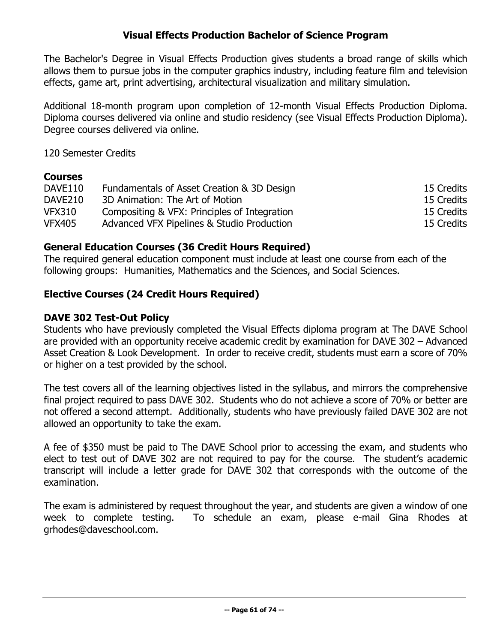# **Visual Effects Production Bachelor of Science Program**

The Bachelor's Degree in Visual Effects Production gives students a broad range of skills which allows them to pursue jobs in the computer graphics industry, including feature film and television effects, game art, print advertising, architectural visualization and military simulation.

Additional 18-month program upon completion of 12-month Visual Effects Production Diploma. Diploma courses delivered via online and studio residency (see Visual Effects Production Diploma). Degree courses delivered via online.

120 Semester Credits

### **Courses**

| DAVE110       | Fundamentals of Asset Creation & 3D Design   | 15 Credits |
|---------------|----------------------------------------------|------------|
| DAVE210       | 3D Animation: The Art of Motion              | 15 Credits |
| <b>VFX310</b> | Compositing & VFX: Principles of Integration | 15 Credits |
| <b>VFX405</b> | Advanced VFX Pipelines & Studio Production   | 15 Credits |

### **General Education Courses (36 Credit Hours Required)**

The required general education component must include at least one course from each of the following groups: Humanities, Mathematics and the Sciences, and Social Sciences.

# **Elective Courses (24 Credit Hours Required)**

### **DAVE 302 Test-Out Policy**

Students who have previously completed the Visual Effects diploma program at The DAVE School are provided with an opportunity receive academic credit by examination for DAVE 302 – Advanced Asset Creation & Look Development. In order to receive credit, students must earn a score of 70% or higher on a test provided by the school.

The test covers all of the learning objectives listed in the syllabus, and mirrors the comprehensive final project required to pass DAVE 302. Students who do not achieve a score of 70% or better are not offered a second attempt. Additionally, students who have previously failed DAVE 302 are not allowed an opportunity to take the exam.

A fee of \$350 must be paid to The DAVE School prior to accessing the exam, and students who elect to test out of DAVE 302 are not required to pay for the course. The student's academic transcript will include a letter grade for DAVE 302 that corresponds with the outcome of the examination.

The exam is administered by request throughout the year, and students are given a window of one week to complete testing. To schedule an exam, please e-mail Gina Rhodes at grhodes@daveschool.com.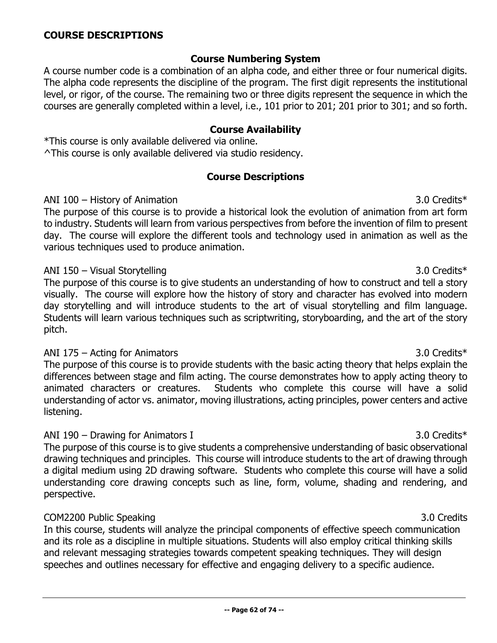### **Course Numbering System**

A course number code is a combination of an alpha code, and either three or four numerical digits. The alpha code represents the discipline of the program. The first digit represents the institutional level, or rigor, of the course. The remaining two or three digits represent the sequence in which the courses are generally completed within a level, i.e., 101 prior to 201; 201 prior to 301; and so forth.

### **Course Availability**

\*This course is only available delivered via online. ^This course is only available delivered via studio residency.

### **Course Descriptions**

### ANI 100 – History of Animation 3.0 Credits\*

The purpose of this course is to provide a historical look the evolution of animation from art form to industry. Students will learn from various perspectives from before the invention of film to present day. The course will explore the different tools and technology used in animation as well as the various techniques used to produce animation.

### ANI 150 – Visual Storytelling 3.0 Credits\*

The purpose of this course is to give students an understanding of how to construct and tell a story visually. The course will explore how the history of story and character has evolved into modern day storytelling and will introduce students to the art of visual storytelling and film language. Students will learn various techniques such as scriptwriting, storyboarding, and the art of the story pitch.

### ANI 175 – Acting for Animators 3.0 Credits\*

The purpose of this course is to provide students with the basic acting theory that helps explain the differences between stage and film acting. The course demonstrates how to apply acting theory to animated characters or creatures. Students who complete this course will have a solid understanding of actor vs. animator, moving illustrations, acting principles, power centers and active listening.

### ANI 190 – Drawing for Animators I 3.0 Credits\*

The purpose of this course is to give students a comprehensive understanding of basic observational drawing techniques and principles. This course will introduce students to the art of drawing through a digital medium using 2D drawing software. Students who complete this course will have a solid understanding core drawing concepts such as line, form, volume, shading and rendering, and perspective.

### COM2200 Public Speaking 3.0 Credits

In this course, students will analyze the principal components of effective speech communication and its role as a discipline in multiple situations. Students will also employ critical thinking skills and relevant messaging strategies towards competent speaking techniques. They will design speeches and outlines necessary for effective and engaging delivery to a specific audience.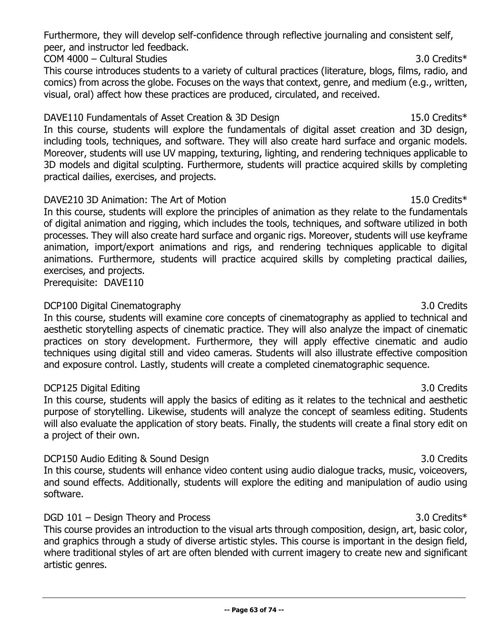Furthermore, they will develop self-confidence through reflective journaling and consistent self, peer, and instructor led feedback.

COM 4000 – Cultural Studies 3.0 Credits\*

This course introduces students to a variety of cultural practices (literature, blogs, films, radio, and comics) from across the globe. Focuses on the ways that context, genre, and medium (e.g., written, visual, oral) affect how these practices are produced, circulated, and received.

DAVE110 Fundamentals of Asset Creation & 3D Design 15.0 Credits 15.0 Credits 15.0 Credits 15.0 Credits 15.0 Credits 15.0 Credits 15.0 Credits 15.0 Credits 15.0 Credits 15.0 Credits 15.0 Credits 15.0 Credits 15.0 Credits 15 In this course, students will explore the fundamentals of digital asset creation and 3D design, including tools, techniques, and software. They will also create hard surface and organic models. Moreover, students will use UV mapping, texturing, lighting, and rendering techniques applicable to 3D models and digital sculpting. Furthermore, students will practice acquired skills by completing practical dailies, exercises, and projects.

### DAVE210 3D Animation: The Art of Motion 15.0 Credits\* 15.0 Credits\*

In this course, students will explore the principles of animation as they relate to the fundamentals of digital animation and rigging, which includes the tools, techniques, and software utilized in both processes. They will also create hard surface and organic rigs. Moreover, students will use keyframe animation, import/export animations and rigs, and rendering techniques applicable to digital animations. Furthermore, students will practice acquired skills by completing practical dailies, exercises, and projects.

Prerequisite: DAVE110

# DCP100 Digital Cinematography 3.0 Credits

In this course, students will examine core concepts of cinematography as applied to technical and aesthetic storytelling aspects of cinematic practice. They will also analyze the impact of cinematic practices on story development. Furthermore, they will apply effective cinematic and audio techniques using digital still and video cameras. Students will also illustrate effective composition and exposure control. Lastly, students will create a completed cinematographic sequence.

# DCP125 Digital Editing 3.0 Credits

In this course, students will apply the basics of editing as it relates to the technical and aesthetic purpose of storytelling. Likewise, students will analyze the concept of seamless editing. Students will also evaluate the application of story beats. Finally, the students will create a final story edit on a project of their own.

# DCP150 Audio Editing & Sound Design 3.0 Credits 3.0 Credits

In this course, students will enhance video content using audio dialogue tracks, music, voiceovers, and sound effects. Additionally, students will explore the editing and manipulation of audio using software.

# DGD 101 – Design Theory and Process 3.0 Credits\*

This course provides an introduction to the visual arts through composition, design, art, basic color, and graphics through a study of diverse artistic styles. This course is important in the design field, where traditional styles of art are often blended with current imagery to create new and significant artistic genres.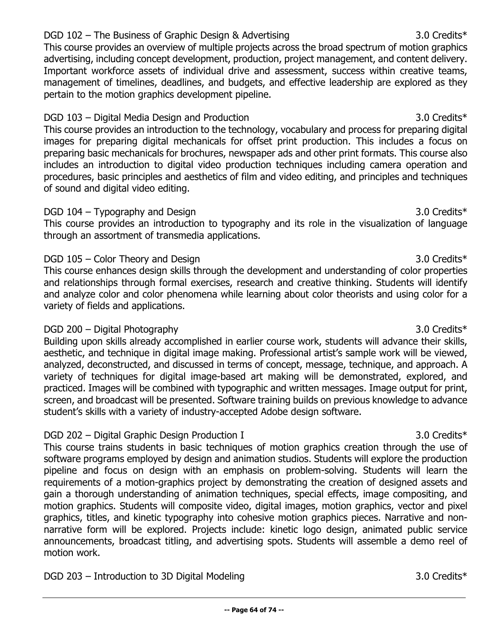### DGD 102 – The Business of Graphic Design & Advertising 3.0 Credits\*

This course provides an overview of multiple projects across the broad spectrum of motion graphics advertising, including concept development, production, project management, and content delivery. Important workforce assets of individual drive and assessment, success within creative teams, management of timelines, deadlines, and budgets, and effective leadership are explored as they pertain to the motion graphics development pipeline.

DGD 103 – Digital Media Design and Production 3.0 Credits\* 3.0 Credits\* This course provides an introduction to the technology, vocabulary and process for preparing digital images for preparing digital mechanicals for offset print production. This includes a focus on preparing basic mechanicals for brochures, newspaper ads and other print formats. This course also includes an introduction to digital video production techniques including camera operation and procedures, basic principles and aesthetics of film and video editing, and principles and techniques of sound and digital video editing.

### DGD 104 – Typography and Design 3.0 Credits\* 3.0 Credits 3.0 Credits 3.0 Credits 3.0 Credits 3.0 Credits 3.0 Credits 3.0 Credits 3.0 Credits 3.0 Credits 3.0 Credits 3.0 Credits 3.0 Credits 3.0 Credits 3.0 Credits 3.0 Credi

This course provides an introduction to typography and its role in the visualization of language through an assortment of transmedia applications.

### DGD 105 – Color Theory and Design 3.0 Credits\* 3.0 Credits 3.0 Credits 3.0 Credits 3.0 Credits 3.0 Credits 3.0 Credits 3.0 Credits 3.0 Credits 3.0 Credits 3.0 Credits 3.0 Credits 3.0 Credits 3.0 Credits 3.0 Credits 3.0 Cre

This course enhances design skills through the development and understanding of color properties and relationships through formal exercises, research and creative thinking. Students will identify and analyze color and color phenomena while learning about color theorists and using color for a variety of fields and applications.

### DGD 200 – Digital Photography 3.0 Credits\*

Building upon skills already accomplished in earlier course work, students will advance their skills, aesthetic, and technique in digital image making. Professional artist's sample work will be viewed, analyzed, deconstructed, and discussed in terms of concept, message, technique, and approach. A variety of techniques for digital image-based art making will be demonstrated, explored, and practiced. Images will be combined with typographic and written messages. Image output for print, screen, and broadcast will be presented. Software training builds on previous knowledge to advance student's skills with a variety of industry-accepted Adobe design software.

### DGD 202 – Digital Graphic Design Production I 3.0 Credits \*

This course trains students in basic techniques of motion graphics creation through the use of software programs employed by design and animation studios. Students will explore the production pipeline and focus on design with an emphasis on problem-solving. Students will learn the requirements of a motion-graphics project by demonstrating the creation of designed assets and gain a thorough understanding of animation techniques, special effects, image compositing, and motion graphics. Students will composite video, digital images, motion graphics, vector and pixel graphics, titles, and kinetic typography into cohesive motion graphics pieces. Narrative and nonnarrative form will be explored. Projects include: kinetic logo design, animated public service announcements, broadcast titling, and advertising spots. Students will assemble a demo reel of motion work.

DGD 203 – Introduction to 3D Digital Modeling 3.0 Credits\* 3.0 Credits 3.0 Credits 3.0 Credits 3.0 Credits 3.0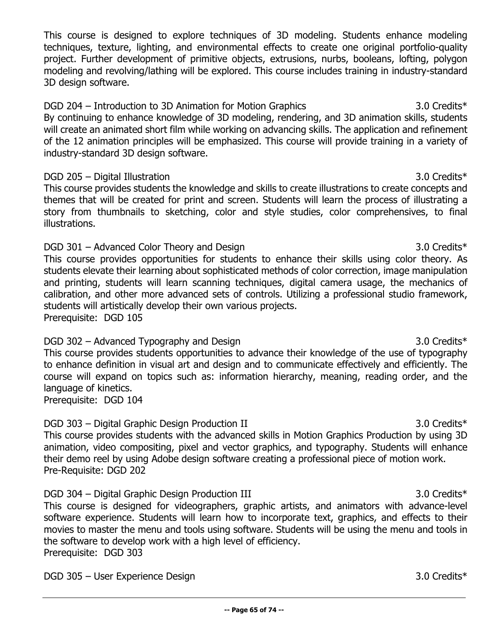This course is designed to explore techniques of 3D modeling. Students enhance modeling techniques, texture, lighting, and environmental effects to create one original portfolio-quality project. Further development of primitive objects, extrusions, nurbs, booleans, lofting, polygon modeling and revolving/lathing will be explored. This course includes training in industry-standard 3D design software.

DGD 204 – Introduction to 3D Animation for Motion Graphics 3.0 Credits\* By continuing to enhance knowledge of 3D modeling, rendering, and 3D animation skills, students will create an animated short film while working on advancing skills. The application and refinement of the 12 animation principles will be emphasized. This course will provide training in a variety of industry-standard 3D design software.

### DGD 205 – Digital Illustration 3.0 Credits\*

This course provides students the knowledge and skills to create illustrations to create concepts and themes that will be created for print and screen. Students will learn the process of illustrating a story from thumbnails to sketching, color and style studies, color comprehensives, to final illustrations.

# DGD 301 – Advanced Color Theory and Design 3.0 Credits 3.0 Credits 3.0 Credits 3.0 Credits 3.0 Credits 3.0 Credits 3.0 Credits 3.0 Credits 3.0 Credits 3.0 Credits 3.0 Credits 3.0 Credits 3.0 Credits 3.0 Credits 3.0 Credits

This course provides opportunities for students to enhance their skills using color theory. As students elevate their learning about sophisticated methods of color correction, image manipulation and printing, students will learn scanning techniques, digital camera usage, the mechanics of calibration, and other more advanced sets of controls. Utilizing a professional studio framework, students will artistically develop their own various projects. Prerequisite: DGD 105

# DGD 302 – Advanced Typography and Design 3.0 Credits 3.0 Credits 3.0 Credits 3.0 Credits 3.0 Credits 3.0 Credits 3.0 Credits 3.0 Credits 3.0 Credits 3.0 Credits 3.0 Credits 3.0 Credits 3.0 Credits 3.0 Credits 3.0 Credits 3

This course provides students opportunities to advance their knowledge of the use of typography to enhance definition in visual art and design and to communicate effectively and efficiently. The course will expand on topics such as: information hierarchy, meaning, reading order, and the language of kinetics.

Prerequisite: DGD 104

# DGD 303 – Digital Graphic Design Production II 3.0 Credits\* 3.0 Credits 3.0 Credits 3.0 Credits 3.0 Credits 3.0 Credits 3.0 Credits 3.0 Credits 3.0 Credits 3.0 Credits 3.0 Credits 3.0 Credits 3.0 Credits 3.0 Credits 3.0 Cr

This course provides students with the advanced skills in Motion Graphics Production by using 3D animation, video compositing, pixel and vector graphics, and typography. Students will enhance their demo reel by using Adobe design software creating a professional piece of motion work. Pre-Requisite: DGD 202

DGD 304 – Digital Graphic Design Production III 3.0 Credits 3.0 Credits 3.0 Credits 3.0 Credits 3.0 Credits 3.0 Credits 3.0 Credits 3.0 Credits 3.0 Credits 3.0 Credits 3.0 Credits 3.0 Credits 3.0 Credits 3.0 Credits 3.0 Cr This course is designed for videographers, graphic artists, and animators with advance-level software experience. Students will learn how to incorporate text, graphics, and effects to their movies to master the menu and tools using software. Students will be using the menu and tools in the software to develop work with a high level of efficiency. Prerequisite: DGD 303

DGD 305 – User Experience Design 3.0 Credits\*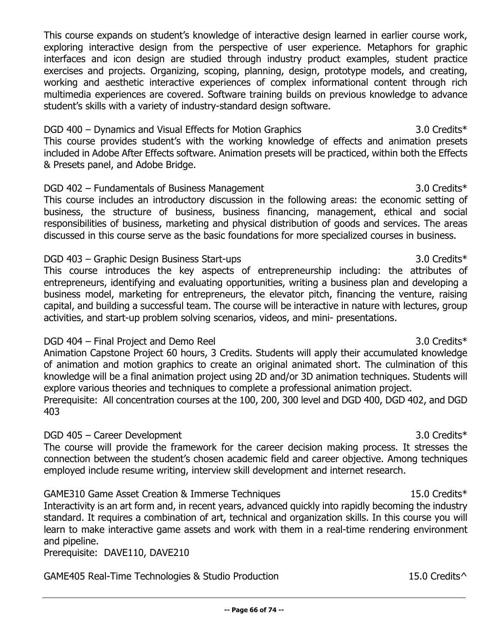This course expands on student's knowledge of interactive design learned in earlier course work, exploring interactive design from the perspective of user experience. Metaphors for graphic interfaces and icon design are studied through industry product examples, student practice exercises and projects. Organizing, scoping, planning, design, prototype models, and creating, working and aesthetic interactive experiences of complex informational content through rich multimedia experiences are covered. Software training builds on previous knowledge to advance student's skills with a variety of industry-standard design software.

DGD 400 – Dynamics and Visual Effects for Motion Graphics 3.0 Credits\* 3.0 Credits\* This course provides student's with the working knowledge of effects and animation presets included in Adobe After Effects software. Animation presets will be practiced, within both the Effects & Presets panel, and Adobe Bridge.

DGD 402 – Fundamentals of Business Management 3.0 Credits\* 3.0 Credits\* This course includes an introductory discussion in the following areas: the economic setting of business, the structure of business, business financing, management, ethical and social responsibilities of business, marketing and physical distribution of goods and services. The areas discussed in this course serve as the basic foundations for more specialized courses in business.

DGD 403 – Graphic Design Business Start-ups 3.0 Credits 3.0 Credits 3.0 Credits 3.0 Credits 3.0 Credits 3.0 Credits 3.0 Credits 3.0 Credits 3.0 Credits 3.0 Credits 3.0 Credits 3.0 Credits 3.0 Credits 3.0 Credits 3.0 Credit This course introduces the key aspects of entrepreneurship including: the attributes of entrepreneurs, identifying and evaluating opportunities, writing a business plan and developing a business model, marketing for entrepreneurs, the elevator pitch, financing the venture, raising capital, and building a successful team. The course will be interactive in nature with lectures, group activities, and start-up problem solving scenarios, videos, and mini- presentations.

### DGD 404 – Final Project and Demo Reel 3.0 Credits\* Animation Capstone Project 60 hours, 3 Credits. Students will apply their accumulated knowledge of animation and motion graphics to create an original animated short. The culmination of this knowledge will be a final animation project using 2D and/or 3D animation techniques. Students will explore various theories and techniques to complete a professional animation project. Prerequisite: All concentration courses at the 100, 200, 300 level and DGD 400, DGD 402, and DGD 403

### DGD 405 – Career Development 3.0 Credits\* 3.0 Credits\* The course will provide the framework for the career decision making process. It stresses the connection between the student's chosen academic field and career objective. Among techniques employed include resume writing, interview skill development and internet research.

GAME310 Game Asset Creation & Immerse Techniques 15.0 Credits 15.0 Credits 15.0 Credits 15.0 Credits 15.0 Credits 15.0 Credits 15.0 Credits 15.0 Credits 15.0 Credits 15.0 Credits 15.0 Credits 15.0 Credits 15.0 Credits 15.0 Interactivity is an art form and, in recent years, advanced quickly into rapidly becoming the industry standard. It requires a combination of art, technical and organization skills. In this course you will learn to make interactive game assets and work with them in a real-time rendering environment and pipeline.

Prerequisite: DAVE110, DAVE210

GAME405 Real-Time Technologies & Studio Production 15.0 Credits<sup>^</sup>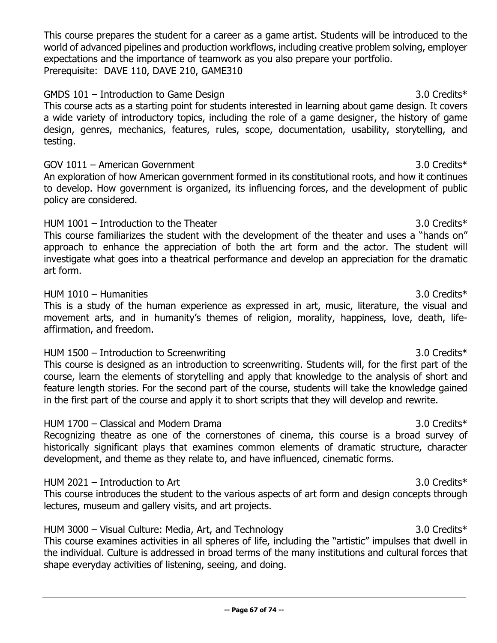This course prepares the student for a career as a game artist. Students will be introduced to the world of advanced pipelines and production workflows, including creative problem solving, employer expectations and the importance of teamwork as you also prepare your portfolio. Prerequisite: DAVE 110, DAVE 210, GAME310

# GMDS 101 – Introduction to Game Design 3.0 Credits\* 3.0 Credits\*

This course acts as a starting point for students interested in learning about game design. It covers a wide variety of introductory topics, including the role of a game designer, the history of game design, genres, mechanics, features, rules, scope, documentation, usability, storytelling, and testing.

### GOV  $1011 -$  American Government 3.0 Credits\*

An exploration of how American government formed in its constitutional roots, and how it continues to develop. How government is organized, its influencing forces, and the development of public policy are considered.

### HUM 1001 – Introduction to the Theater 3.0 Credits\* 3.0 Credits\*

This course familiarizes the student with the development of the theater and uses a "hands on" approach to enhance the appreciation of both the art form and the actor. The student will investigate what goes into a theatrical performance and develop an appreciation for the dramatic art form.

### HUM 1010 – Humanities 3.0 Credits\*

This is a study of the human experience as expressed in art, music, literature, the visual and movement arts, and in humanity's themes of religion, morality, happiness, love, death, lifeaffirmation, and freedom.

### HUM 1500 – Introduction to Screenwriting 3.0 Credits\*

This course is designed as an introduction to screenwriting. Students will, for the first part of the course, learn the elements of storytelling and apply that knowledge to the analysis of short and feature length stories. For the second part of the course, students will take the knowledge gained in the first part of the course and apply it to short scripts that they will develop and rewrite.

### HUM 1700 – Classical and Modern Drama 3.0 Credits\*

Recognizing theatre as one of the cornerstones of cinema, this course is a broad survey of historically significant plays that examines common elements of dramatic structure, character development, and theme as they relate to, and have influenced, cinematic forms.

### HUM 2021 – Introduction to Art 3.0 Credits\*

This course introduces the student to the various aspects of art form and design concepts through lectures, museum and gallery visits, and art projects.

# HUM 3000 – Visual Culture: Media, Art, and Technology 3.0 Credits\* This course examines activities in all spheres of life, including the "artistic" impulses that dwell in the individual. Culture is addressed in broad terms of the many institutions and cultural forces that shape everyday activities of listening, seeing, and doing.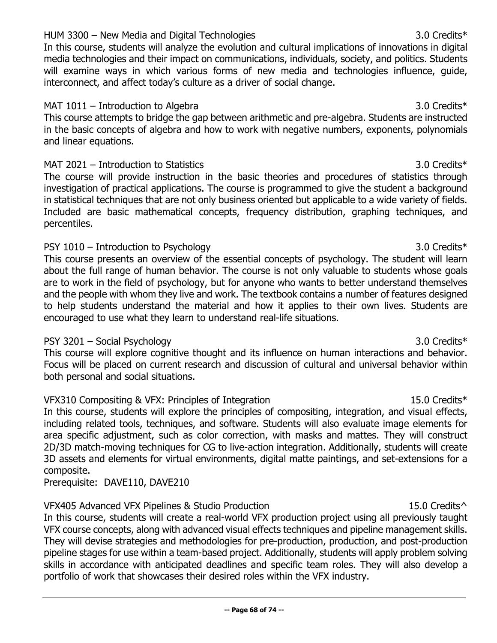### HUM 3300 – New Media and Digital Technologies 3.0 Credits\*

In this course, students will analyze the evolution and cultural implications of innovations in digital media technologies and their impact on communications, individuals, society, and politics. Students will examine ways in which various forms of new media and technologies influence, guide, interconnect, and affect today's culture as a driver of social change.

### MAT 1011 – Introduction to Algebra 3.0 Credits\* 3.0 Credits 3.0 Credits 3.0 Credits 3.0 Credits 3.0 Credits 3.0 Credits 3.0 Credits 3.0 Credits 3.0 Credits 3.0 Credits 3.0 Credits 3.0 Credits 3.0 Credits 3.0 Credits 3.0 Cr

This course attempts to bridge the gap between arithmetic and pre-algebra. Students are instructed in the basic concepts of algebra and how to work with negative numbers, exponents, polynomials and linear equations.

### MAT 2021 – Introduction to Statistics 3.0 Credits\*

The course will provide instruction in the basic theories and procedures of statistics through investigation of practical applications. The course is programmed to give the student a background in statistical techniques that are not only business oriented but applicable to a wide variety of fields. Included are basic mathematical concepts, frequency distribution, graphing techniques, and percentiles.

### PSY 1010 – Introduction to Psychology 3.0 Credits\*

This course presents an overview of the essential concepts of psychology. The student will learn about the full range of human behavior. The course is not only valuable to students whose goals are to work in the field of psychology, but for anyone who wants to better understand themselves and the people with whom they live and work. The textbook contains a number of features designed to help students understand the material and how it applies to their own lives. Students are encouraged to use what they learn to understand real-life situations.

### PSY 3201 – Social Psychology 3.0 Credits\*

This course will explore cognitive thought and its influence on human interactions and behavior. Focus will be placed on current research and discussion of cultural and universal behavior within both personal and social situations.

# VFX310 Compositing & VFX: Principles of Integration 15.0 Credits 15.0 Credits 15.0 Credits 15.0 Credits 15.0 Credits 15.0 Credits 15.0 Credits 15.0 Credits 15.0 Credits 15.0 Credits 15.0 Credits 15.0 Credits 15.0 Credits 1

In this course, students will explore the principles of compositing, integration, and visual effects, including related tools, techniques, and software. Students will also evaluate image elements for area specific adjustment, such as color correction, with masks and mattes. They will construct 2D/3D match-moving techniques for CG to live-action integration. Additionally, students will create 3D assets and elements for virtual environments, digital matte paintings, and set-extensions for a composite.

Prerequisite: DAVE110, DAVE210

### VFX405 Advanced VFX Pipelines & Studio Production 15.0 Credits<sup>^</sup>

In this course, students will create a real-world VFX production project using all previously taught VFX course concepts, along with advanced visual effects techniques and pipeline management skills. They will devise strategies and methodologies for pre-production, production, and post-production pipeline stages for use within a team-based project. Additionally, students will apply problem solving skills in accordance with anticipated deadlines and specific team roles. They will also develop a portfolio of work that showcases their desired roles within the VFX industry.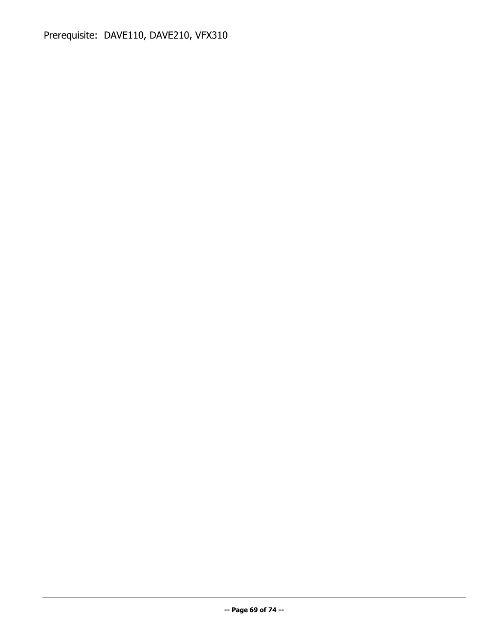Prerequisite: DAVE110, DAVE210, VFX310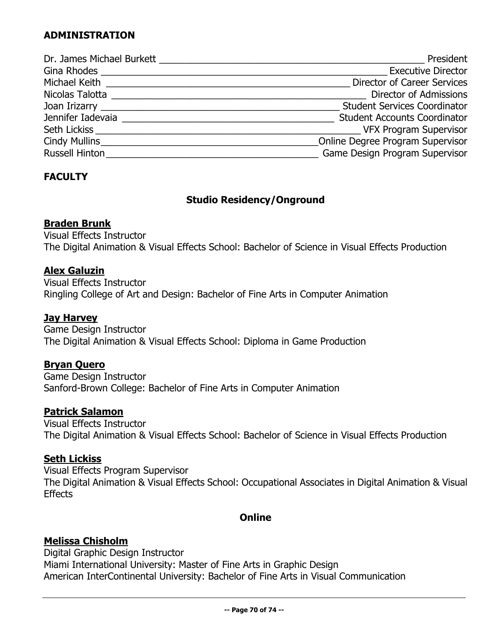# **ADMINISTRATION**

|                                                                                                                                                                                                                                | President                           |
|--------------------------------------------------------------------------------------------------------------------------------------------------------------------------------------------------------------------------------|-------------------------------------|
| Gina Rhodes                                                                                                                                                                                                                    | <b>Executive Director</b>           |
|                                                                                                                                                                                                                                | <b>Director of Career Services</b>  |
| Nicolas Talotta _                                                                                                                                                                                                              | Director of Admissions              |
| Joan Irizarry and the state of the state of the state of the state of the state of the state of the state of the state of the state of the state of the state of the state of the state of the state of the state of the state | <b>Student Services Coordinator</b> |
| Jennifer Iadevaia                                                                                                                                                                                                              | <b>Student Accounts Coordinator</b> |
|                                                                                                                                                                                                                                | VFX Program Supervisor              |
| Cindy Mullins <b>Cindy Mullins</b>                                                                                                                                                                                             | Online Degree Program Supervisor    |
| <b>Russell Hinton</b>                                                                                                                                                                                                          | Game Design Program Supervisor      |

# **FACULTY**

# **Studio Residency/Onground**

### **Braden Brunk**

Visual Effects Instructor The Digital Animation & Visual Effects School: Bachelor of Science in Visual Effects Production

### **Alex Galuzin**

Visual Effects Instructor Ringling College of Art and Design: Bachelor of Fine Arts in Computer Animation

# **Jay Harvey**

Game Design Instructor The Digital Animation & Visual Effects School: Diploma in Game Production

### **Bryan Quero**

Game Design Instructor Sanford-Brown College: Bachelor of Fine Arts in Computer Animation

### **Patrick Salamon**

Visual Effects Instructor The Digital Animation & Visual Effects School: Bachelor of Science in Visual Effects Production

### **Seth Lickiss**

Visual Effects Program Supervisor The Digital Animation & Visual Effects School: Occupational Associates in Digital Animation & Visual **Effects** 

### **Online**

### **Melissa Chisholm**

Digital Graphic Design Instructor Miami International University: Master of Fine Arts in Graphic Design American InterContinental University: Bachelor of Fine Arts in Visual Communication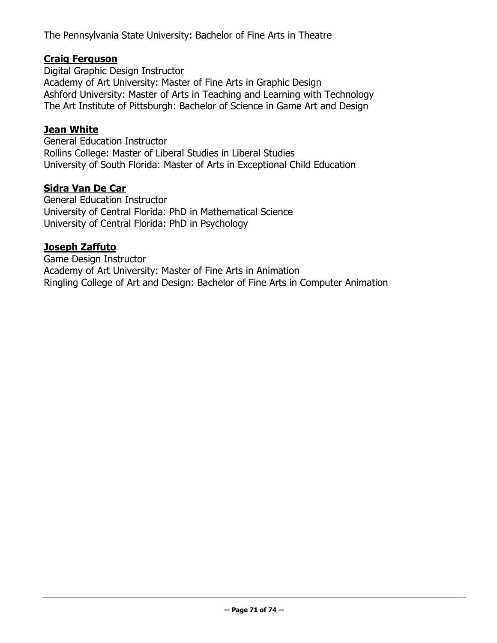The Pennsylvania State University: Bachelor of Fine Arts in Theatre

### **Craig Ferguson**

Digital Graphic Design Instructor Academy of Art University: Master of Fine Arts in Graphic Design Ashford University: Master of Arts in Teaching and Learning with Technology The Art Institute of Pittsburgh: Bachelor of Science in Game Art and Design

### **Jean White**

General Education Instructor Rollins College: Master of Liberal Studies in Liberal Studies University of South Florida: Master of Arts in Exceptional Child Education

### **Sidra Van De Car**

General Education Instructor University of Central Florida: PhD in Mathematical Science University of Central Florida: PhD in Psychology

### **Joseph Zaffuto**

Game Design Instructor Academy of Art University: Master of Fine Arts in Animation Ringling College of Art and Design: Bachelor of Fine Arts in Computer Animation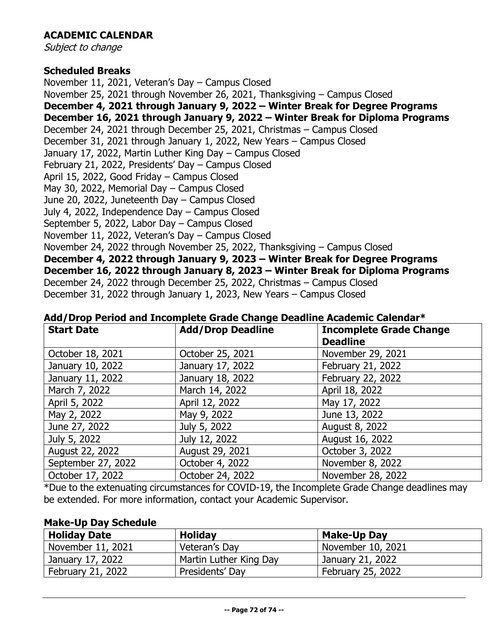# **ACADEMIC CALENDAR**

Subject to change

### **Scheduled Breaks**

November 11, 2021, Veteran's Day – Campus Closed November 25, 2021 through November 26, 2021, Thanksgiving – Campus Closed **December 4, 2021 through January 9, 2022 – Winter Break for Degree Programs December 16, 2021 through January 9, 2022 – Winter Break for Diploma Programs** December 24, 2021 through December 25, 2021, Christmas – Campus Closed December 31, 2021 through January 1, 2022, New Years – Campus Closed January 17, 2022, Martin Luther King Day – Campus Closed February 21, 2022, Presidents' Day – Campus Closed April 15, 2022, Good Friday – Campus Closed May 30, 2022, Memorial Day – Campus Closed June 20, 2022, Juneteenth Day – Campus Closed July 4, 2022, Independence Day – Campus Closed September 5, 2022, Labor Day – Campus Closed November 11, 2022, Veteran's Day – Campus Closed November 24, 2022 through November 25, 2022, Thanksgiving – Campus Closed **December 4, 2022 through January 9, 2023 – Winter Break for Degree Programs December 16, 2022 through January 8, 2023 – Winter Break for Diploma Programs** December 24, 2022 through December 25, 2022, Christmas – Campus Closed December 31, 2022 through January 1, 2023, New Years – Campus Closed

| <b>Start Date</b>  | <b>Add/Drop Deadline</b> | <b>Incomplete Grade Change</b><br><b>Deadline</b> |
|--------------------|--------------------------|---------------------------------------------------|
| October 18, 2021   | October 25, 2021         | November 29, 2021                                 |
| January 10, 2022   | January 17, 2022         | February 21, 2022                                 |
| January 11, 2022   | January 18, 2022         | February 22, 2022                                 |
| March 7, 2022      | March 14, 2022           | April 18, 2022                                    |
| April 5, 2022      | April 12, 2022           | May 17, 2022                                      |
| May 2, 2022        | May 9, 2022              | June 13, 2022                                     |
| June 27, 2022      | July 5, 2022             | August 8, 2022                                    |
| July 5, 2022       | July 12, 2022            | August 16, 2022                                   |
| August 22, 2022    | August 29, 2021          | October 3, 2022                                   |
| September 27, 2022 | October 4, 2022          | November 8, 2022                                  |
| October 17, 2022   | October 24, 2022         | November 28, 2022                                 |

### **Add/Drop Period and Incomplete Grade Change Deadline Academic Calendar\***

\*Due to the extenuating circumstances for COVID-19, the Incomplete Grade Change deadlines may be extended. For more information, contact your Academic Supervisor.

### **Make-Up Day Schedule**

| <b>Holiday Date</b>      | <b>Holiday</b>         | <b>Make-Up Day</b>       |
|--------------------------|------------------------|--------------------------|
| November 11, 2021        | Veteran's Day          | November 10, 2021        |
| January 17, 2022         | Martin Luther King Day | January 21, 2022         |
| <b>February 21, 2022</b> | Presidents' Day        | <b>February 25, 2022</b> |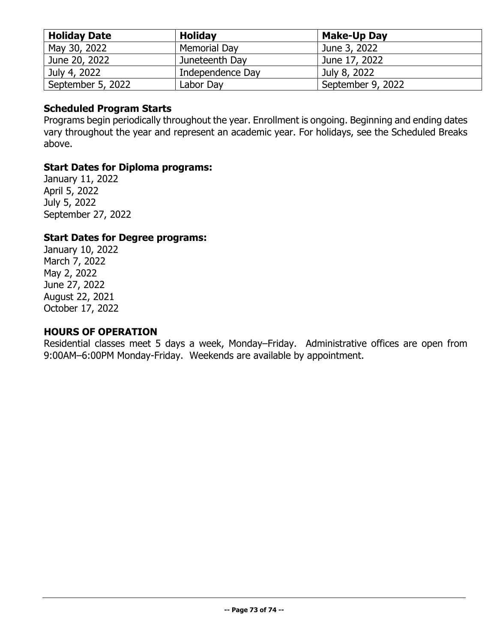| <b>Holiday Date</b> | <b>Holiday</b>      | <b>Make-Up Day</b> |
|---------------------|---------------------|--------------------|
| May 30, 2022        | <b>Memorial Day</b> | June 3, 2022       |
| June 20, 2022       | Juneteenth Day      | June 17, 2022      |
| July 4, 2022        | Independence Day    | July 8, 2022       |
| September 5, 2022   | Labor Day           | September 9, 2022  |

### **Scheduled Program Starts**

Programs begin periodically throughout the year. Enrollment is ongoing. Beginning and ending dates vary throughout the year and represent an academic year. For holidays, see the Scheduled Breaks above.

# **Start Dates for Diploma programs:**

January 11, 2022 April 5, 2022 July 5, 2022 September 27, 2022

# **Start Dates for Degree programs:**

January 10, 2022 March 7, 2022 May 2, 2022 June 27, 2022 August 22, 2021 October 17, 2022

### **HOURS OF OPERATION**

Residential classes meet 5 days a week, Monday–Friday. Administrative offices are open from 9:00AM–6:00PM Monday-Friday. Weekends are available by appointment.